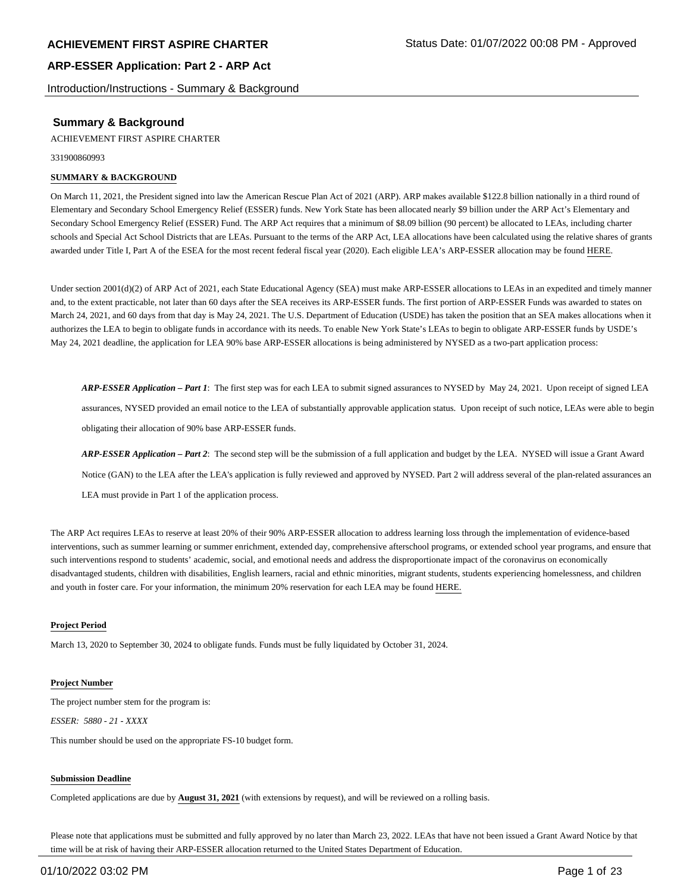Introduction/Instructions - Summary & Background

## **Summary & Background**

ACHIEVEMENT FIRST ASPIRE CHARTER

331900860993

#### **SUMMARY & BACKGROUND**

On March 11, 2021, the President signed into law the American Rescue Plan Act of 2021 (ARP). ARP makes available \$122.8 billion nationally in a third round of Elementary and Secondary School Emergency Relief (ESSER) funds. New York State has been allocated nearly \$9 billion under the ARP Act's Elementary and Secondary School Emergency Relief (ESSER) Fund. The ARP Act requires that a minimum of \$8.09 billion (90 percent) be allocated to LEAs, including charter schools and Special Act School Districts that are LEAs. Pursuant to the terms of the ARP Act, LEA allocations have been calculated using the relative shares of grants awarded under Title I, Part A of the ESEA for the most recent federal fiscal year (2020). Each eligible LEA's ARP-ESSER allocation may be found HERE.

Under section 2001(d)(2) of ARP Act of 2021, each State Educational Agency (SEA) must make ARP-ESSER allocations to LEAs in an expedited and timely manner and, to the extent practicable, not later than 60 days after the SEA receives its ARP-ESSER funds. The first portion of ARP-ESSER Funds was awarded to states on March 24, 2021, and 60 days from that day is May 24, 2021. The U.S. Department of Education (USDE) has taken the position that an SEA makes allocations when it authorizes the LEA to begin to obligate funds in accordance with its needs. To enable New York State's LEAs to begin to obligate ARP-ESSER funds by USDE's May 24, 2021 deadline, the application for LEA 90% base ARP-ESSER allocations is being administered by NYSED as a two-part application process:

*ARP-ESSER Application – Part 1*: The first step was for each LEA to submit signed assurances to NYSED by May 24, 2021. Upon receipt of signed LEA assurances, NYSED provided an email notice to the LEA of substantially approvable application status. Upon receipt of such notice, LEAs were able to begin obligating their allocation of 90% base ARP-ESSER funds.

*ARP-ESSER Application – Part 2*: The second step will be the submission of a full application and budget by the LEA. NYSED will issue a Grant Award Notice (GAN) to the LEA after the LEA's application is fully reviewed and approved by NYSED. Part 2 will address several of the plan-related assurances an LEA must provide in Part 1 of the application process.

The ARP Act requires LEAs to reserve at least 20% of their 90% ARP-ESSER allocation to address learning loss through the implementation of evidence-based interventions, such as summer learning or summer enrichment, extended day, comprehensive afterschool programs, or extended school year programs, and ensure that such interventions respond to students' academic, social, and emotional needs and address the disproportionate impact of the coronavirus on economically disadvantaged students, children with disabilities, English learners, racial and ethnic minorities, migrant students, students experiencing homelessness, and children and youth in foster care. For your information, the minimum 20% reservation for each LEA may be found HERE.

#### **Project Period**

March 13, 2020 to September 30, 2024 to obligate funds. Funds must be fully liquidated by October 31, 2024.

#### **Project Number**

The project number stem for the program is: *ESSER: 5880 - 21 - XXXX*

This number should be used on the appropriate FS-10 budget form.

#### **Submission Deadline**

Completed applications are due by **August 31, 2021** (with extensions by request), and will be reviewed on a rolling basis.

Please note that applications must be submitted and fully approved by no later than March 23, 2022. LEAs that have not been issued a Grant Award Notice by that time will be at risk of having their ARP-ESSER allocation returned to the United States Department of Education.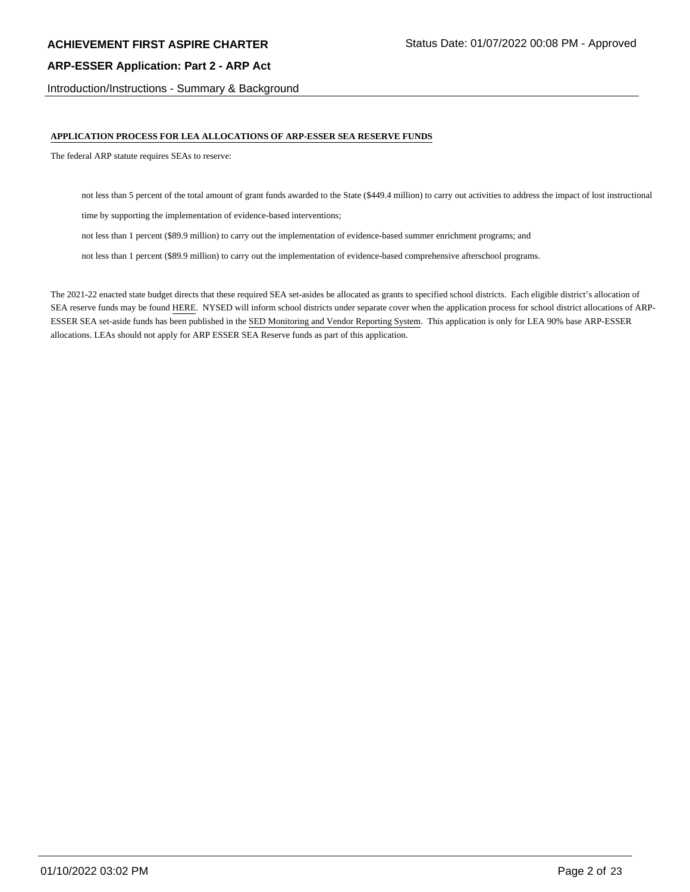Introduction/Instructions - Summary & Background

#### **APPLICATION PROCESS FOR LEA ALLOCATIONS OF ARP-ESSER SEA RESERVE FUNDS**

The federal ARP statute requires SEAs to reserve:

not less than 5 percent of the total amount of grant funds awarded to the State (\$449.4 million) to carry out activities to address the impact of lost instructional

time by supporting the implementation of evidence-based interventions;

not less than 1 percent (\$89.9 million) to carry out the implementation of evidence-based summer enrichment programs; and

not less than 1 percent (\$89.9 million) to carry out the implementation of evidence-based comprehensive afterschool programs.

The 2021-22 enacted state budget directs that these required SEA set-asides be allocated as grants to specified school districts. Each eligible district's allocation of SEA reserve funds may be found HERE. NYSED will inform school districts under separate cover when the application process for school district allocations of ARP-ESSER SEA set-aside funds has been published in the SED Monitoring and Vendor Reporting System. This application is only for LEA 90% base ARP-ESSER allocations. LEAs should not apply for ARP ESSER SEA Reserve funds as part of this application.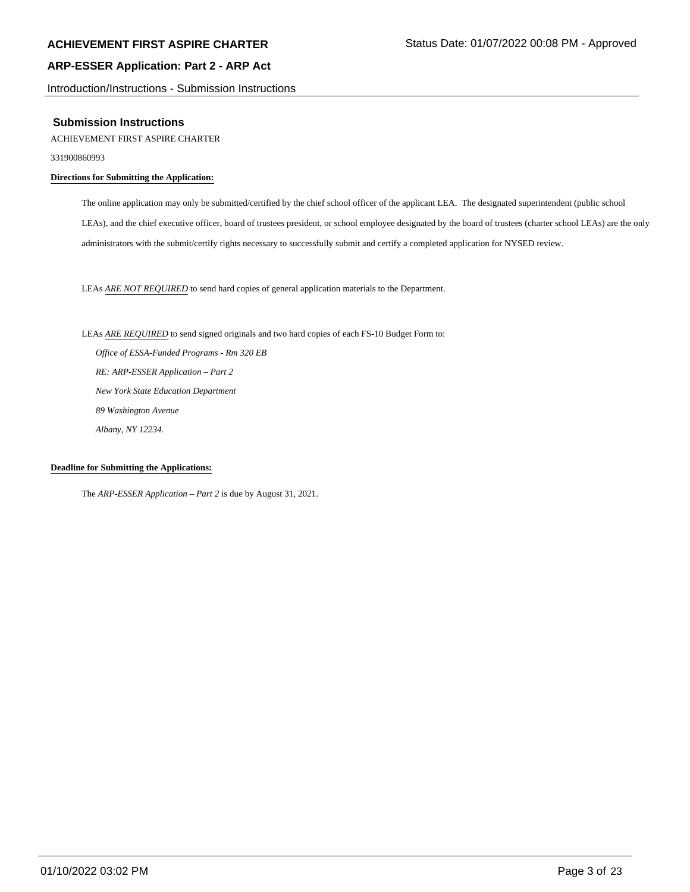Introduction/Instructions - Submission Instructions

#### **Submission Instructions**

ACHIEVEMENT FIRST ASPIRE CHARTER

331900860993

#### **Directions for Submitting the Application:**

The online application may only be submitted/certified by the chief school officer of the applicant LEA. The designated superintendent (public school LEAs), and the chief executive officer, board of trustees president, or school employee designated by the board of trustees (charter school LEAs) are the only administrators with the submit/certify rights necessary to successfully submit and certify a completed application for NYSED review.

LEAs *ARE NOT REQUIRED* to send hard copies of general application materials to the Department.

LEAs *ARE REQUIRED* to send signed originals and two hard copies of each FS-10 Budget Form to:  *Office of ESSA-Funded Programs - Rm 320 EB RE: ARP-ESSER Application – Part 2 New York State Education Department 89 Washington Avenue Albany, NY 12234.*

#### **Deadline for Submitting the Applications:**

The *ARP-ESSER Application – Part 2* is due by August 31, 2021.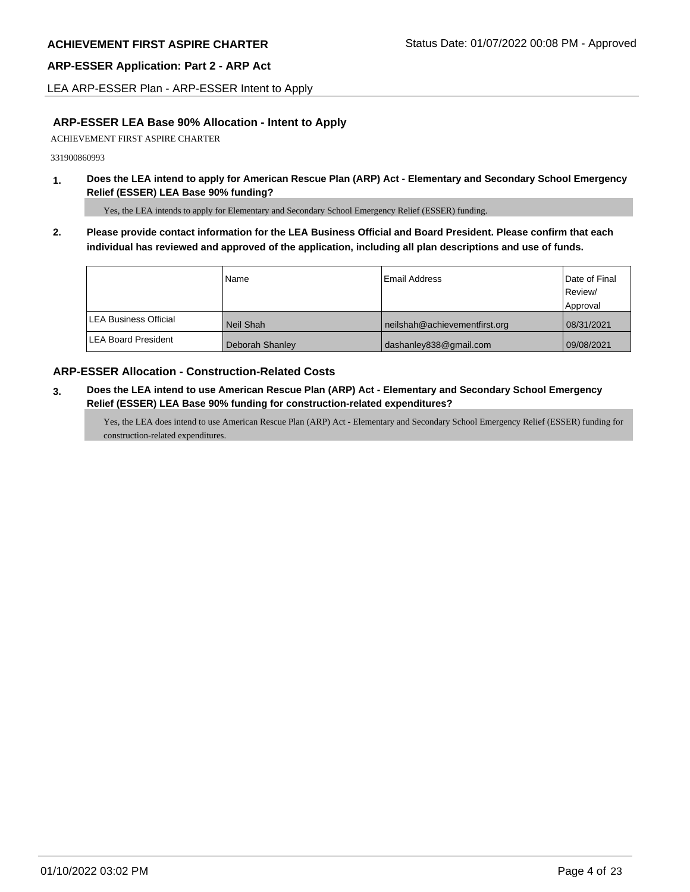LEA ARP-ESSER Plan - ARP-ESSER Intent to Apply

# **ARP-ESSER LEA Base 90% Allocation - Intent to Apply**

ACHIEVEMENT FIRST ASPIRE CHARTER

331900860993

**1. Does the LEA intend to apply for American Rescue Plan (ARP) Act - Elementary and Secondary School Emergency Relief (ESSER) LEA Base 90% funding?**

Yes, the LEA intends to apply for Elementary and Secondary School Emergency Relief (ESSER) funding.

**2. Please provide contact information for the LEA Business Official and Board President. Please confirm that each individual has reviewed and approved of the application, including all plan descriptions and use of funds.** 

|                               | Name            | Email Address                 | Date of Final |
|-------------------------------|-----------------|-------------------------------|---------------|
|                               |                 |                               | Review/       |
|                               |                 |                               | Approval      |
| <b>ILEA Business Official</b> | Neil Shah       | neilshah@achievementfirst.org | 08/31/2021    |
| <b>LEA Board President</b>    | Deborah Shanley | dashanley838@gmail.com        | 09/08/2021    |

## **ARP-ESSER Allocation - Construction-Related Costs**

**3. Does the LEA intend to use American Rescue Plan (ARP) Act - Elementary and Secondary School Emergency Relief (ESSER) LEA Base 90% funding for construction-related expenditures?**

Yes, the LEA does intend to use American Rescue Plan (ARP) Act - Elementary and Secondary School Emergency Relief (ESSER) funding for construction-related expenditures.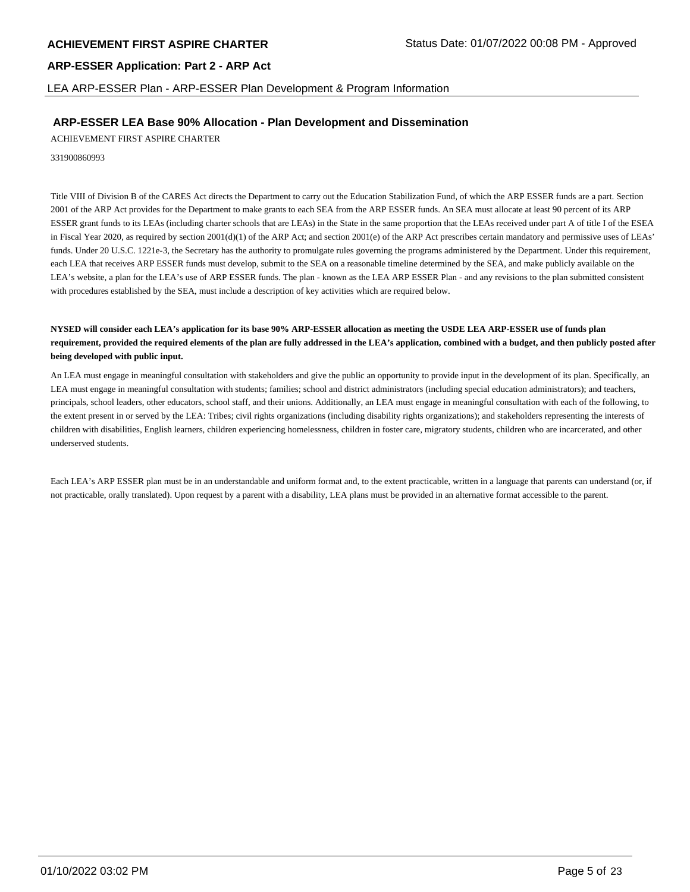LEA ARP-ESSER Plan - ARP-ESSER Plan Development & Program Information

#### **ARP-ESSER LEA Base 90% Allocation - Plan Development and Dissemination**

ACHIEVEMENT FIRST ASPIRE CHARTER

331900860993

Title VIII of Division B of the CARES Act directs the Department to carry out the Education Stabilization Fund, of which the ARP ESSER funds are a part. Section 2001 of the ARP Act provides for the Department to make grants to each SEA from the ARP ESSER funds. An SEA must allocate at least 90 percent of its ARP ESSER grant funds to its LEAs (including charter schools that are LEAs) in the State in the same proportion that the LEAs received under part A of title I of the ESEA in Fiscal Year 2020, as required by section  $2001(d)(1)$  of the ARP Act; and section  $2001(e)$  of the ARP Act prescribes certain mandatory and permissive uses of LEAs' funds. Under 20 U.S.C. 1221e-3, the Secretary has the authority to promulgate rules governing the programs administered by the Department. Under this requirement, each LEA that receives ARP ESSER funds must develop, submit to the SEA on a reasonable timeline determined by the SEA, and make publicly available on the LEA's website, a plan for the LEA's use of ARP ESSER funds. The plan - known as the LEA ARP ESSER Plan - and any revisions to the plan submitted consistent with procedures established by the SEA, must include a description of key activities which are required below.

#### **NYSED will consider each LEA's application for its base 90% ARP-ESSER allocation as meeting the USDE LEA ARP-ESSER use of funds plan requirement, provided the required elements of the plan are fully addressed in the LEA's application, combined with a budget, and then publicly posted after being developed with public input.**

An LEA must engage in meaningful consultation with stakeholders and give the public an opportunity to provide input in the development of its plan. Specifically, an LEA must engage in meaningful consultation with students; families; school and district administrators (including special education administrators); and teachers, principals, school leaders, other educators, school staff, and their unions. Additionally, an LEA must engage in meaningful consultation with each of the following, to the extent present in or served by the LEA: Tribes; civil rights organizations (including disability rights organizations); and stakeholders representing the interests of children with disabilities, English learners, children experiencing homelessness, children in foster care, migratory students, children who are incarcerated, and other underserved students.

Each LEA's ARP ESSER plan must be in an understandable and uniform format and, to the extent practicable, written in a language that parents can understand (or, if not practicable, orally translated). Upon request by a parent with a disability, LEA plans must be provided in an alternative format accessible to the parent.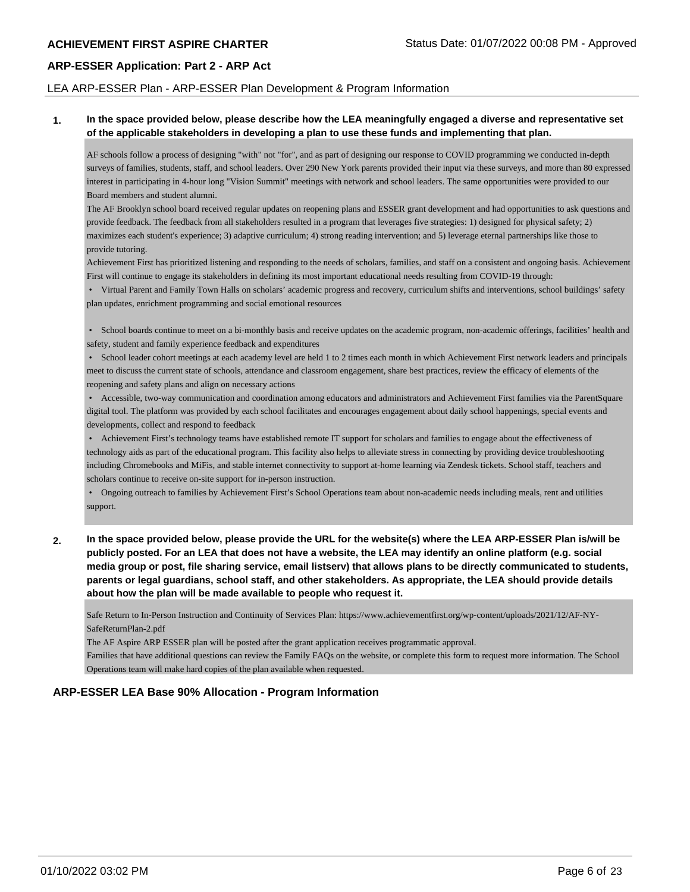#### LEA ARP-ESSER Plan - ARP-ESSER Plan Development & Program Information

#### **1. In the space provided below, please describe how the LEA meaningfully engaged a diverse and representative set of the applicable stakeholders in developing a plan to use these funds and implementing that plan.**

AF schools follow a process of designing "with" not "for", and as part of designing our response to COVID programming we conducted in-depth surveys of families, students, staff, and school leaders. Over 290 New York parents provided their input via these surveys, and more than 80 expressed interest in participating in 4-hour long "Vision Summit" meetings with network and school leaders. The same opportunities were provided to our Board members and student alumni.

The AF Brooklyn school board received regular updates on reopening plans and ESSER grant development and had opportunities to ask questions and provide feedback. The feedback from all stakeholders resulted in a program that leverages five strategies: 1) designed for physical safety; 2) maximizes each student's experience; 3) adaptive curriculum; 4) strong reading intervention; and 5) leverage eternal partnerships like those to provide tutoring.

Achievement First has prioritized listening and responding to the needs of scholars, families, and staff on a consistent and ongoing basis. Achievement First will continue to engage its stakeholders in defining its most important educational needs resulting from COVID-19 through:

 • Virtual Parent and Family Town Halls on scholars' academic progress and recovery, curriculum shifts and interventions, school buildings' safety plan updates, enrichment programming and social emotional resources

 • School boards continue to meet on a bi-monthly basis and receive updates on the academic program, non-academic offerings, facilities' health and safety, student and family experience feedback and expenditures

 • School leader cohort meetings at each academy level are held 1 to 2 times each month in which Achievement First network leaders and principals meet to discuss the current state of schools, attendance and classroom engagement, share best practices, review the efficacy of elements of the reopening and safety plans and align on necessary actions

 • Accessible, two-way communication and coordination among educators and administrators and Achievement First families via the ParentSquare digital tool. The platform was provided by each school facilitates and encourages engagement about daily school happenings, special events and developments, collect and respond to feedback

 • Achievement First's technology teams have established remote IT support for scholars and families to engage about the effectiveness of technology aids as part of the educational program. This facility also helps to alleviate stress in connecting by providing device troubleshooting including Chromebooks and MiFis, and stable internet connectivity to support at-home learning via Zendesk tickets. School staff, teachers and scholars continue to receive on-site support for in-person instruction.

 • Ongoing outreach to families by Achievement First's School Operations team about non-academic needs including meals, rent and utilities support.

**2. In the space provided below, please provide the URL for the website(s) where the LEA ARP-ESSER Plan is/will be publicly posted. For an LEA that does not have a website, the LEA may identify an online platform (e.g. social media group or post, file sharing service, email listserv) that allows plans to be directly communicated to students, parents or legal guardians, school staff, and other stakeholders. As appropriate, the LEA should provide details about how the plan will be made available to people who request it.**

Safe Return to In-Person Instruction and Continuity of Services Plan: https://www.achievementfirst.org/wp-content/uploads/2021/12/AF-NY-SafeReturnPlan-2.pdf

The AF Aspire ARP ESSER plan will be posted after the grant application receives programmatic approval.

Families that have additional questions can review the Family FAQs on the website, or complete this form to request more information. The School Operations team will make hard copies of the plan available when requested.

## **ARP-ESSER LEA Base 90% Allocation - Program Information**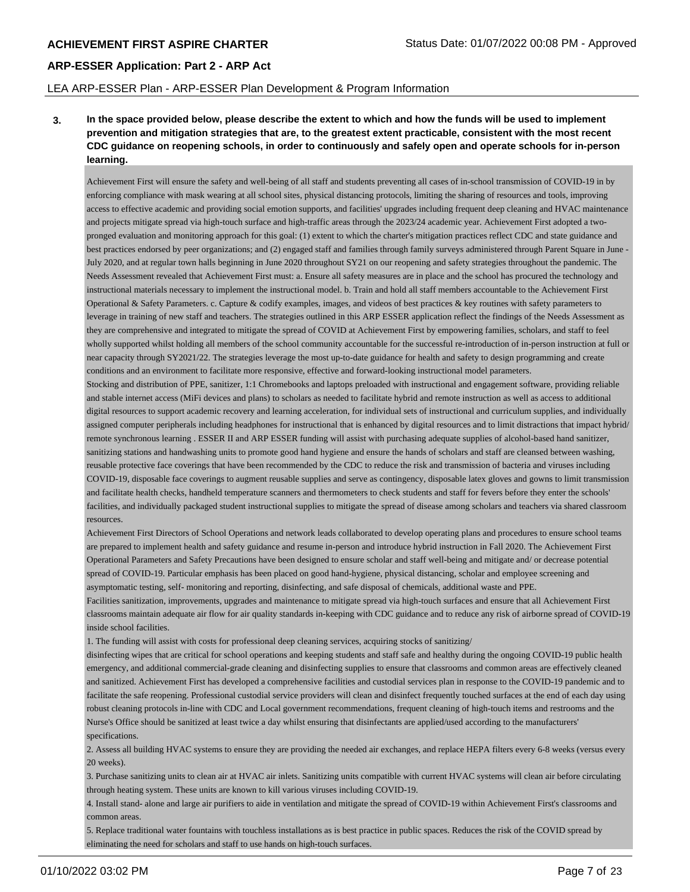#### LEA ARP-ESSER Plan - ARP-ESSER Plan Development & Program Information

**3. In the space provided below, please describe the extent to which and how the funds will be used to implement prevention and mitigation strategies that are, to the greatest extent practicable, consistent with the most recent CDC guidance on reopening schools, in order to continuously and safely open and operate schools for in-person learning.**

Achievement First will ensure the safety and well-being of all staff and students preventing all cases of in-school transmission of COVID-19 in by enforcing compliance with mask wearing at all school sites, physical distancing protocols, limiting the sharing of resources and tools, improving access to effective academic and providing social emotion supports, and facilities' upgrades including frequent deep cleaning and HVAC maintenance and projects mitigate spread via high-touch surface and high-traffic areas through the 2023/24 academic year. Achievement First adopted a twopronged evaluation and monitoring approach for this goal: (1) extent to which the charter's mitigation practices reflect CDC and state guidance and best practices endorsed by peer organizations; and (2) engaged staff and families through family surveys administered through Parent Square in June - July 2020, and at regular town halls beginning in June 2020 throughout SY21 on our reopening and safety strategies throughout the pandemic. The Needs Assessment revealed that Achievement First must: a. Ensure all safety measures are in place and the school has procured the technology and instructional materials necessary to implement the instructional model. b. Train and hold all staff members accountable to the Achievement First Operational & Safety Parameters. c. Capture & codify examples, images, and videos of best practices & key routines with safety parameters to leverage in training of new staff and teachers. The strategies outlined in this ARP ESSER application reflect the findings of the Needs Assessment as they are comprehensive and integrated to mitigate the spread of COVID at Achievement First by empowering families, scholars, and staff to feel wholly supported whilst holding all members of the school community accountable for the successful re-introduction of in-person instruction at full or near capacity through SY2021/22. The strategies leverage the most up-to-date guidance for health and safety to design programming and create conditions and an environment to facilitate more responsive, effective and forward-looking instructional model parameters.

Stocking and distribution of PPE, sanitizer, 1:1 Chromebooks and laptops preloaded with instructional and engagement software, providing reliable and stable internet access (MiFi devices and plans) to scholars as needed to facilitate hybrid and remote instruction as well as access to additional digital resources to support academic recovery and learning acceleration, for individual sets of instructional and curriculum supplies, and individually assigned computer peripherals including headphones for instructional that is enhanced by digital resources and to limit distractions that impact hybrid/ remote synchronous learning . ESSER II and ARP ESSER funding will assist with purchasing adequate supplies of alcohol-based hand sanitizer, sanitizing stations and handwashing units to promote good hand hygiene and ensure the hands of scholars and staff are cleansed between washing, reusable protective face coverings that have been recommended by the CDC to reduce the risk and transmission of bacteria and viruses including COVID-19, disposable face coverings to augment reusable supplies and serve as contingency, disposable latex gloves and gowns to limit transmission and facilitate health checks, handheld temperature scanners and thermometers to check students and staff for fevers before they enter the schools' facilities, and individually packaged student instructional supplies to mitigate the spread of disease among scholars and teachers via shared classroom resources.

Achievement First Directors of School Operations and network leads collaborated to develop operating plans and procedures to ensure school teams are prepared to implement health and safety guidance and resume in-person and introduce hybrid instruction in Fall 2020. The Achievement First Operational Parameters and Safety Precautions have been designed to ensure scholar and staff well-being and mitigate and/ or decrease potential spread of COVID-19. Particular emphasis has been placed on good hand-hygiene, physical distancing, scholar and employee screening and asymptomatic testing, self- monitoring and reporting, disinfecting, and safe disposal of chemicals, additional waste and PPE.

Facilities sanitization, improvements, upgrades and maintenance to mitigate spread via high-touch surfaces and ensure that all Achievement First classrooms maintain adequate air flow for air quality standards in-keeping with CDC guidance and to reduce any risk of airborne spread of COVID-19 inside school facilities.

1. The funding will assist with costs for professional deep cleaning services, acquiring stocks of sanitizing/

disinfecting wipes that are critical for school operations and keeping students and staff safe and healthy during the ongoing COVID-19 public health emergency, and additional commercial-grade cleaning and disinfecting supplies to ensure that classrooms and common areas are effectively cleaned and sanitized. Achievement First has developed a comprehensive facilities and custodial services plan in response to the COVID-19 pandemic and to facilitate the safe reopening. Professional custodial service providers will clean and disinfect frequently touched surfaces at the end of each day using robust cleaning protocols in-line with CDC and Local government recommendations, frequent cleaning of high-touch items and restrooms and the Nurse's Office should be sanitized at least twice a day whilst ensuring that disinfectants are applied/used according to the manufacturers' specifications.

2. Assess all building HVAC systems to ensure they are providing the needed air exchanges, and replace HEPA filters every 6-8 weeks (versus every 20 weeks).

3. Purchase sanitizing units to clean air at HVAC air inlets. Sanitizing units compatible with current HVAC systems will clean air before circulating through heating system. These units are known to kill various viruses including COVID-19.

4. Install stand- alone and large air purifiers to aide in ventilation and mitigate the spread of COVID-19 within Achievement First's classrooms and common areas.

5. Replace traditional water fountains with touchless installations as is best practice in public spaces. Reduces the risk of the COVID spread by eliminating the need for scholars and staff to use hands on high-touch surfaces.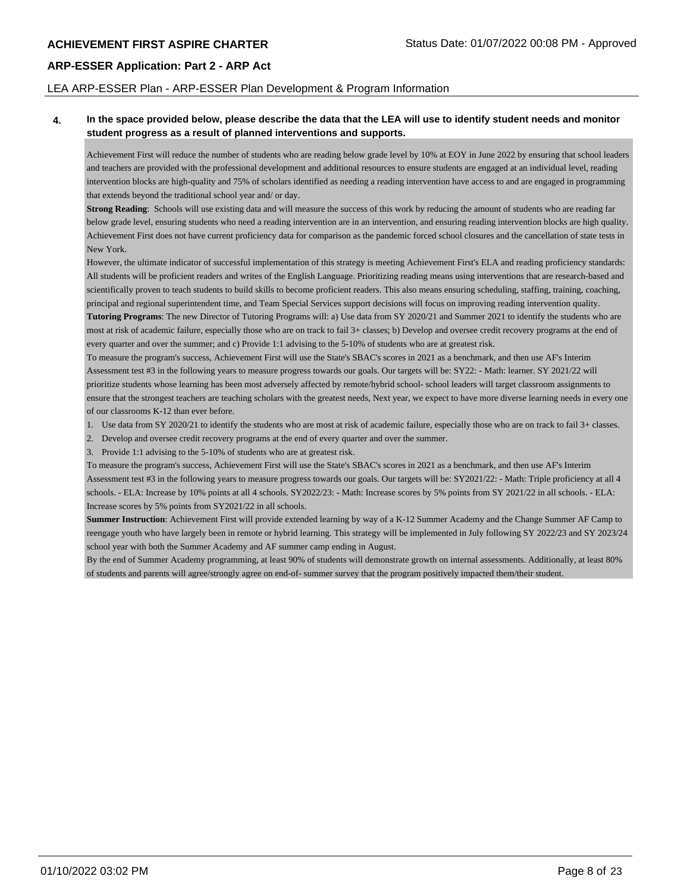#### LEA ARP-ESSER Plan - ARP-ESSER Plan Development & Program Information

#### **4. In the space provided below, please describe the data that the LEA will use to identify student needs and monitor student progress as a result of planned interventions and supports.**

Achievement First will reduce the number of students who are reading below grade level by 10% at EOY in June 2022 by ensuring that school leaders and teachers are provided with the professional development and additional resources to ensure students are engaged at an individual level, reading intervention blocks are high-quality and 75% of scholars identified as needing a reading intervention have access to and are engaged in programming that extends beyond the traditional school year and/ or day.

**Strong Reading**: Schools will use existing data and will measure the success of this work by reducing the amount of students who are reading far below grade level, ensuring students who need a reading intervention are in an intervention, and ensuring reading intervention blocks are high quality. Achievement First does not have current proficiency data for comparison as the pandemic forced school closures and the cancellation of state tests in New York.

However, the ultimate indicator of successful implementation of this strategy is meeting Achievement First's ELA and reading proficiency standards: All students will be proficient readers and writes of the English Language. Prioritizing reading means using interventions that are research-based and scientifically proven to teach students to build skills to become proficient readers. This also means ensuring scheduling, staffing, training, coaching, principal and regional superintendent time, and Team Special Services support decisions will focus on improving reading intervention quality. **Tutoring Programs**: The new Director of Tutoring Programs will: a) Use data from SY 2020/21 and Summer 2021 to identify the students who are most at risk of academic failure, especially those who are on track to fail 3+ classes; b) Develop and oversee credit recovery programs at the end of

every quarter and over the summer; and c) Provide 1:1 advising to the 5-10% of students who are at greatest risk.

To measure the program's success, Achievement First will use the State's SBAC's scores in 2021 as a benchmark, and then use AF's Interim Assessment test #3 in the following years to measure progress towards our goals. Our targets will be: SY22: - Math: learner. SY 2021/22 will prioritize students whose learning has been most adversely affected by remote/hybrid school- school leaders will target classroom assignments to ensure that the strongest teachers are teaching scholars with the greatest needs, Next year, we expect to have more diverse learning needs in every one of our classrooms K-12 than ever before.

- 1. Use data from SY 2020/21 to identify the students who are most at risk of academic failure, especially those who are on track to fail 3+ classes.
- 2. Develop and oversee credit recovery programs at the end of every quarter and over the summer.

3. Provide 1:1 advising to the 5-10% of students who are at greatest risk.

To measure the program's success, Achievement First will use the State's SBAC's scores in 2021 as a benchmark, and then use AF's Interim Assessment test #3 in the following years to measure progress towards our goals. Our targets will be: SY2021/22: - Math: Triple proficiency at all 4 schools. - ELA: Increase by 10% points at all 4 schools. SY2022/23: - Math: Increase scores by 5% points from SY 2021/22 in all schools. - ELA: Increase scores by 5% points from SY2021/22 in all schools.

**Summer Instruction**: Achievement First will provide extended learning by way of a K-12 Summer Academy and the Change Summer AF Camp to reengage youth who have largely been in remote or hybrid learning. This strategy will be implemented in July following SY 2022/23 and SY 2023/24 school year with both the Summer Academy and AF summer camp ending in August.

By the end of Summer Academy programming, at least 90% of students will demonstrate growth on internal assessments. Additionally, at least 80% of students and parents will agree/strongly agree on end-of- summer survey that the program positively impacted them/their student.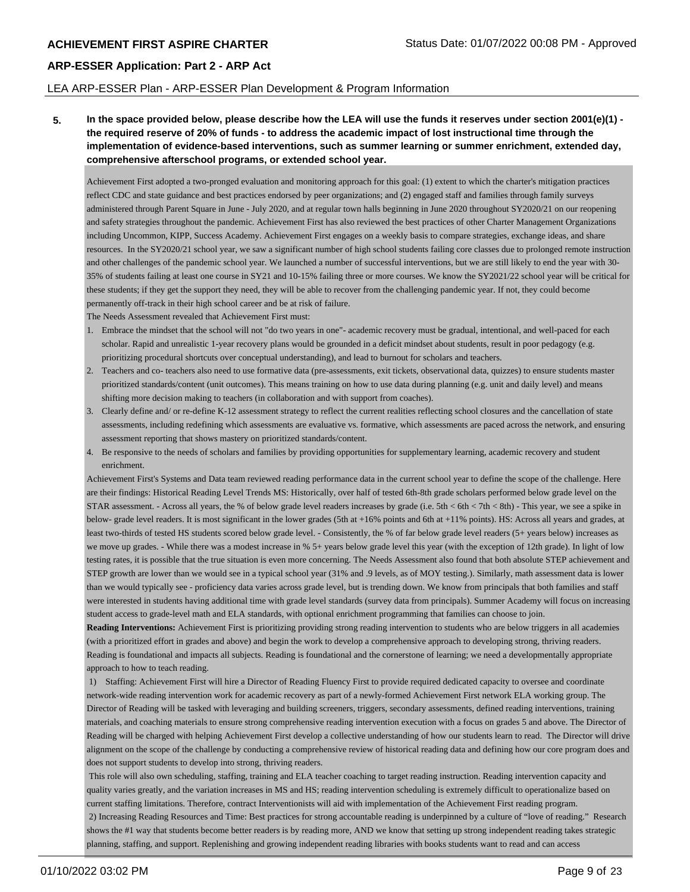#### LEA ARP-ESSER Plan - ARP-ESSER Plan Development & Program Information

**5. In the space provided below, please describe how the LEA will use the funds it reserves under section 2001(e)(1) the required reserve of 20% of funds - to address the academic impact of lost instructional time through the implementation of evidence-based interventions, such as summer learning or summer enrichment, extended day, comprehensive afterschool programs, or extended school year.**

Achievement First adopted a two-pronged evaluation and monitoring approach for this goal: (1) extent to which the charter's mitigation practices reflect CDC and state guidance and best practices endorsed by peer organizations; and (2) engaged staff and families through family surveys administered through Parent Square in June - July 2020, and at regular town halls beginning in June 2020 throughout SY2020/21 on our reopening and safety strategies throughout the pandemic. Achievement First has also reviewed the best practices of other Charter Management Organizations including Uncommon, KIPP, Success Academy. Achievement First engages on a weekly basis to compare strategies, exchange ideas, and share resources. In the SY2020/21 school year, we saw a significant number of high school students failing core classes due to prolonged remote instruction and other challenges of the pandemic school year. We launched a number of successful interventions, but we are still likely to end the year with 30- 35% of students failing at least one course in SY21 and 10-15% failing three or more courses. We know the SY2021/22 school year will be critical for these students; if they get the support they need, they will be able to recover from the challenging pandemic year. If not, they could become permanently off-track in their high school career and be at risk of failure.

The Needs Assessment revealed that Achievement First must:

- 1. Embrace the mindset that the school will not "do two years in one"- academic recovery must be gradual, intentional, and well-paced for each scholar. Rapid and unrealistic 1-year recovery plans would be grounded in a deficit mindset about students, result in poor pedagogy (e.g. prioritizing procedural shortcuts over conceptual understanding), and lead to burnout for scholars and teachers.
- 2. Teachers and co- teachers also need to use formative data (pre-assessments, exit tickets, observational data, quizzes) to ensure students master prioritized standards/content (unit outcomes). This means training on how to use data during planning (e.g. unit and daily level) and means shifting more decision making to teachers (in collaboration and with support from coaches).
- 3. Clearly define and/ or re-define K-12 assessment strategy to reflect the current realities reflecting school closures and the cancellation of state assessments, including redefining which assessments are evaluative vs. formative, which assessments are paced across the network, and ensuring assessment reporting that shows mastery on prioritized standards/content.
- 4. Be responsive to the needs of scholars and families by providing opportunities for supplementary learning, academic recovery and student enrichment.

Achievement First's Systems and Data team reviewed reading performance data in the current school year to define the scope of the challenge. Here are their findings: Historical Reading Level Trends MS: Historically, over half of tested 6th-8th grade scholars performed below grade level on the STAR assessment. - Across all years, the % of below grade level readers increases by grade (i.e. 5th < 6th < 7th < 8th) - This year, we see a spike in below- grade level readers. It is most significant in the lower grades (5th at +16% points and 6th at +11% points). HS: Across all years and grades, at least two-thirds of tested HS students scored below grade level. - Consistently, the % of far below grade level readers (5+ years below) increases as we move up grades. - While there was a modest increase in % 5+ years below grade level this year (with the exception of 12th grade). In light of low testing rates, it is possible that the true situation is even more concerning. The Needs Assessment also found that both absolute STEP achievement and STEP growth are lower than we would see in a typical school year (31% and .9 levels, as of MOY testing.). Similarly, math assessment data is lower than we would typically see - proficiency data varies across grade level, but is trending down. We know from principals that both families and staff were interested in students having additional time with grade level standards (survey data from principals). Summer Academy will focus on increasing student access to grade-level math and ELA standards, with optional enrichment programming that families can choose to join.

**Reading Interventions:** Achievement First is prioritizing providing strong reading intervention to students who are below triggers in all academies (with a prioritized effort in grades and above) and begin the work to develop a comprehensive approach to developing strong, thriving readers. Reading is foundational and impacts all subjects. Reading is foundational and the cornerstone of learning; we need a developmentally appropriate approach to how to teach reading.

 1) Staffing: Achievement First will hire a Director of Reading Fluency First to provide required dedicated capacity to oversee and coordinate network-wide reading intervention work for academic recovery as part of a newly-formed Achievement First network ELA working group. The Director of Reading will be tasked with leveraging and building screeners, triggers, secondary assessments, defined reading interventions, training materials, and coaching materials to ensure strong comprehensive reading intervention execution with a focus on grades 5 and above. The Director of Reading will be charged with helping Achievement First develop a collective understanding of how our students learn to read. The Director will drive alignment on the scope of the challenge by conducting a comprehensive review of historical reading data and defining how our core program does and does not support students to develop into strong, thriving readers.

 This role will also own scheduling, staffing, training and ELA teacher coaching to target reading instruction. Reading intervention capacity and quality varies greatly, and the variation increases in MS and HS; reading intervention scheduling is extremely difficult to operationalize based on current staffing limitations. Therefore, contract Interventionists will aid with implementation of the Achievement First reading program. 2) Increasing Reading Resources and Time: Best practices for strong accountable reading is underpinned by a culture of "love of reading." Research shows the #1 way that students become better readers is by reading more, AND we know that setting up strong independent reading takes strategic planning, staffing, and support. Replenishing and growing independent reading libraries with books students want to read and can access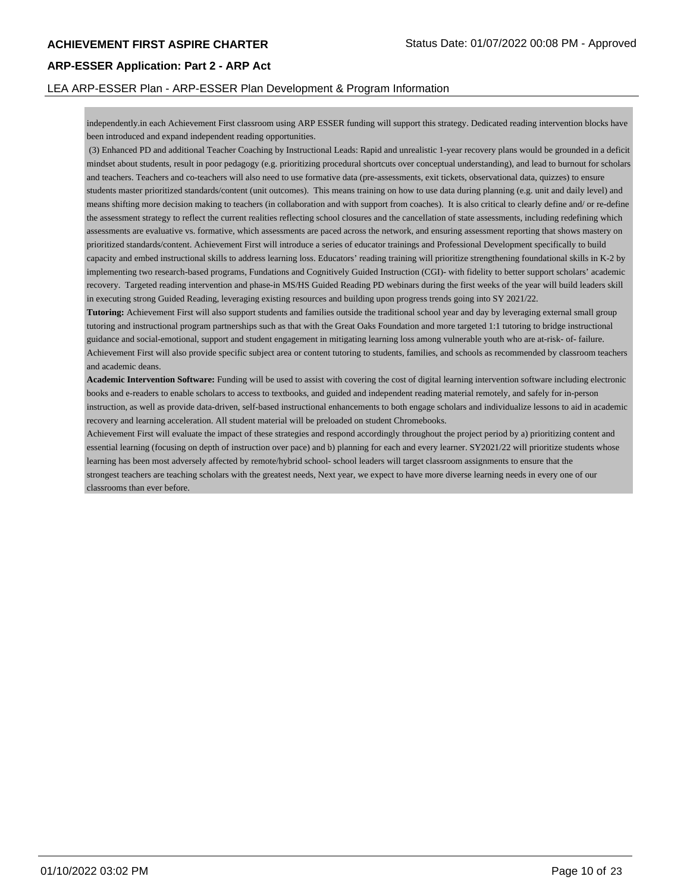#### LEA ARP-ESSER Plan - ARP-ESSER Plan Development & Program Information

independently.in each Achievement First classroom using ARP ESSER funding will support this strategy. Dedicated reading intervention blocks have been introduced and expand independent reading opportunities.

 (3) Enhanced PD and additional Teacher Coaching by Instructional Leads: Rapid and unrealistic 1-year recovery plans would be grounded in a deficit mindset about students, result in poor pedagogy (e.g. prioritizing procedural shortcuts over conceptual understanding), and lead to burnout for scholars and teachers. Teachers and co-teachers will also need to use formative data (pre-assessments, exit tickets, observational data, quizzes) to ensure students master prioritized standards/content (unit outcomes). This means training on how to use data during planning (e.g. unit and daily level) and means shifting more decision making to teachers (in collaboration and with support from coaches). It is also critical to clearly define and/ or re-define the assessment strategy to reflect the current realities reflecting school closures and the cancellation of state assessments, including redefining which assessments are evaluative vs. formative, which assessments are paced across the network, and ensuring assessment reporting that shows mastery on prioritized standards/content. Achievement First will introduce a series of educator trainings and Professional Development specifically to build capacity and embed instructional skills to address learning loss. Educators' reading training will prioritize strengthening foundational skills in K-2 by implementing two research-based programs, Fundations and Cognitively Guided Instruction (CGI)- with fidelity to better support scholars' academic recovery. Targeted reading intervention and phase-in MS/HS Guided Reading PD webinars during the first weeks of the year will build leaders skill in executing strong Guided Reading, leveraging existing resources and building upon progress trends going into SY 2021/22.

**Tutoring:** Achievement First will also support students and families outside the traditional school year and day by leveraging external small group tutoring and instructional program partnerships such as that with the Great Oaks Foundation and more targeted 1:1 tutoring to bridge instructional guidance and social-emotional, support and student engagement in mitigating learning loss among vulnerable youth who are at-risk- of- failure. Achievement First will also provide specific subject area or content tutoring to students, families, and schools as recommended by classroom teachers and academic deans.

**Academic Intervention Software:** Funding will be used to assist with covering the cost of digital learning intervention software including electronic books and e-readers to enable scholars to access to textbooks, and guided and independent reading material remotely, and safely for in-person instruction, as well as provide data-driven, self-based instructional enhancements to both engage scholars and individualize lessons to aid in academic recovery and learning acceleration. All student material will be preloaded on student Chromebooks.

Achievement First will evaluate the impact of these strategies and respond accordingly throughout the project period by a) prioritizing content and essential learning (focusing on depth of instruction over pace) and b) planning for each and every learner. SY2021/22 will prioritize students whose learning has been most adversely affected by remote/hybrid school- school leaders will target classroom assignments to ensure that the strongest teachers are teaching scholars with the greatest needs, Next year, we expect to have more diverse learning needs in every one of our classrooms than ever before.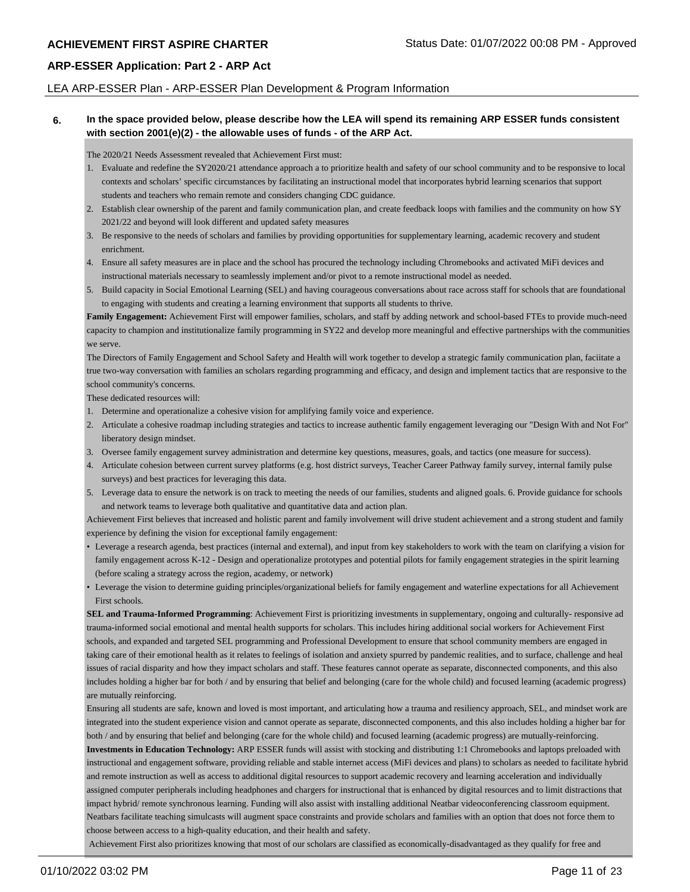#### LEA ARP-ESSER Plan - ARP-ESSER Plan Development & Program Information

#### **6. In the space provided below, please describe how the LEA will spend its remaining ARP ESSER funds consistent with section 2001(e)(2) - the allowable uses of funds - of the ARP Act.**

The 2020/21 Needs Assessment revealed that Achievement First must:

- 1. Evaluate and redefine the SY2020/21 attendance approach a to prioritize health and safety of our school community and to be responsive to local contexts and scholars' specific circumstances by facilitating an instructional model that incorporates hybrid learning scenarios that support students and teachers who remain remote and considers changing CDC guidance.
- 2. Establish clear ownership of the parent and family communication plan, and create feedback loops with families and the community on how SY 2021/22 and beyond will look different and updated safety measures
- 3. Be responsive to the needs of scholars and families by providing opportunities for supplementary learning, academic recovery and student enrichment.
- 4. Ensure all safety measures are in place and the school has procured the technology including Chromebooks and activated MiFi devices and instructional materials necessary to seamlessly implement and/or pivot to a remote instructional model as needed.
- 5. Build capacity in Social Emotional Learning (SEL) and having courageous conversations about race across staff for schools that are foundational to engaging with students and creating a learning environment that supports all students to thrive.

Family Engagement: Achievement First will empower families, scholars, and staff by adding network and school-based FTEs to provide much-need capacity to champion and institutionalize family programming in SY22 and develop more meaningful and effective partnerships with the communities we serve.

The Directors of Family Engagement and School Safety and Health will work together to develop a strategic family communication plan, faciitate a true two-way conversation with families an scholars regarding programming and efficacy, and design and implement tactics that are responsive to the school community's concerns.

These dedicated resources will:

- 1. Determine and operationalize a cohesive vision for amplifying family voice and experience.
- 2. Articulate a cohesive roadmap including strategies and tactics to increase authentic family engagement leveraging our "Design With and Not For" liberatory design mindset.
- 3. Oversee family engagement survey administration and determine key questions, measures, goals, and tactics (one measure for success).
- 4. Articulate cohesion between current survey platforms (e.g. host district surveys, Teacher Career Pathway family survey, internal family pulse surveys) and best practices for leveraging this data.
- 5. Leverage data to ensure the network is on track to meeting the needs of our families, students and aligned goals. 6. Provide guidance for schools and network teams to leverage both qualitative and quantitative data and action plan.

Achievement First believes that increased and holistic parent and family involvement will drive student achievement and a strong student and family experience by defining the vision for exceptional family engagement:

- Leverage a research agenda, best practices (internal and external), and input from key stakeholders to work with the team on clarifying a vision for family engagement across K-12 - Design and operationalize prototypes and potential pilots for family engagement strategies in the spirit learning (before scaling a strategy across the region, academy, or network)
- Leverage the vision to determine guiding principles/organizational beliefs for family engagement and waterline expectations for all Achievement First schools.

**SEL and Trauma-Informed Programming**: Achievement First is prioritizing investments in supplementary, ongoing and culturally- responsive ad trauma-informed social emotional and mental health supports for scholars. This includes hiring additional social workers for Achievement First schools, and expanded and targeted SEL programming and Professional Development to ensure that school community members are engaged in taking care of their emotional health as it relates to feelings of isolation and anxiety spurred by pandemic realities, and to surface, challenge and heal issues of racial disparity and how they impact scholars and staff. These features cannot operate as separate, disconnected components, and this also includes holding a higher bar for both / and by ensuring that belief and belonging (care for the whole child) and focused learning (academic progress) are mutually reinforcing.

Ensuring all students are safe, known and loved is most important, and articulating how a trauma and resiliency approach, SEL, and mindset work are integrated into the student experience vision and cannot operate as separate, disconnected components, and this also includes holding a higher bar for both / and by ensuring that belief and belonging (care for the whole child) and focused learning (academic progress) are mutually-reinforcing.

**Investments in Education Technology:** ARP ESSER funds will assist with stocking and distributing 1:1 Chromebooks and laptops preloaded with instructional and engagement software, providing reliable and stable internet access (MiFi devices and plans) to scholars as needed to facilitate hybrid and remote instruction as well as access to additional digital resources to support academic recovery and learning acceleration and individually assigned computer peripherals including headphones and chargers for instructional that is enhanced by digital resources and to limit distractions that impact hybrid/ remote synchronous learning. Funding will also assist with installing additional Neatbar videoconferencing classroom equipment. Neatbars facilitate teaching simulcasts will augment space constraints and provide scholars and families with an option that does not force them to choose between access to a high-quality education, and their health and safety.

Achievement First also prioritizes knowing that most of our scholars are classified as economically-disadvantaged as they qualify for free and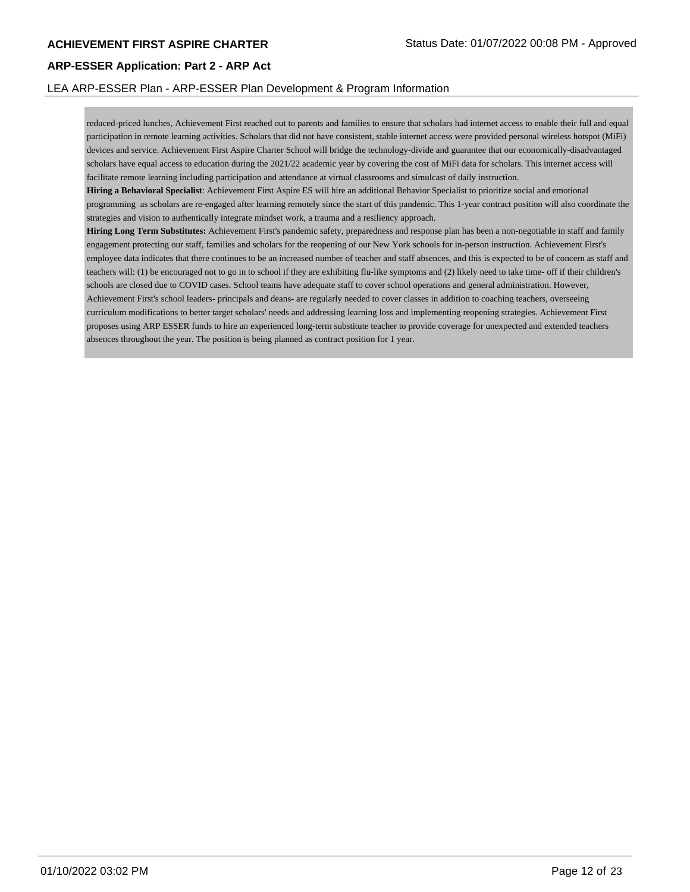#### LEA ARP-ESSER Plan - ARP-ESSER Plan Development & Program Information

reduced-priced lunches, Achievement First reached out to parents and families to ensure that scholars had internet access to enable their full and equal participation in remote learning activities. Scholars that did not have consistent, stable internet access were provided personal wireless hotspot (MiFi) devices and service. Achievement First Aspire Charter School will bridge the technology-divide and guarantee that our economically-disadvantaged scholars have equal access to education during the 2021/22 academic year by covering the cost of MiFi data for scholars. This internet access will facilitate remote learning including participation and attendance at virtual classrooms and simulcast of daily instruction.

**Hiring a Behavioral Specialist**: Achievement First Aspire ES will hire an additional Behavior Specialist to prioritize social and emotional programming as scholars are re-engaged after learning remotely since the start of this pandemic. This 1-year contract position will also coordinate the strategies and vision to authentically integrate mindset work, a trauma and a resiliency approach.

**Hiring Long Term Substitutes:** Achievement First's pandemic safety, preparedness and response plan has been a non-negotiable in staff and family engagement protecting our staff, families and scholars for the reopening of our New York schools for in-person instruction. Achievement First's employee data indicates that there continues to be an increased number of teacher and staff absences, and this is expected to be of concern as staff and teachers will: (1) be encouraged not to go in to school if they are exhibiting flu-like symptoms and (2) likely need to take time- off if their children's schools are closed due to COVID cases. School teams have adequate staff to cover school operations and general administration. However, Achievement First's school leaders- principals and deans- are regularly needed to cover classes in addition to coaching teachers, overseeing curriculum modifications to better target scholars' needs and addressing learning loss and implementing reopening strategies. Achievement First proposes using ARP ESSER funds to hire an experienced long-term substitute teacher to provide coverage for unexpected and extended teachers absences throughout the year. The position is being planned as contract position for 1 year.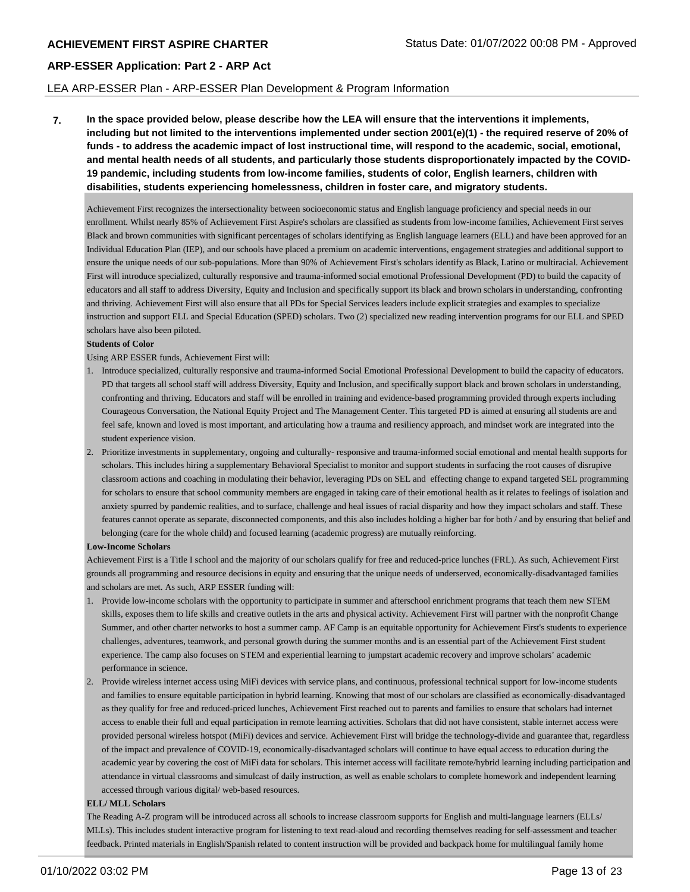#### LEA ARP-ESSER Plan - ARP-ESSER Plan Development & Program Information

**7. In the space provided below, please describe how the LEA will ensure that the interventions it implements, including but not limited to the interventions implemented under section 2001(e)(1) - the required reserve of 20% of funds - to address the academic impact of lost instructional time, will respond to the academic, social, emotional, and mental health needs of all students, and particularly those students disproportionately impacted by the COVID-19 pandemic, including students from low-income families, students of color, English learners, children with disabilities, students experiencing homelessness, children in foster care, and migratory students.**

Achievement First recognizes the intersectionality between socioeconomic status and English language proficiency and special needs in our enrollment. Whilst nearly 85% of Achievement First Aspire's scholars are classified as students from low-income families, Achievement First serves Black and brown communities with significant percentages of scholars identifying as English language learners (ELL) and have been approved for an Individual Education Plan (IEP), and our schools have placed a premium on academic interventions, engagement strategies and additional support to ensure the unique needs of our sub-populations. More than 90% of Achievement First's scholars identify as Black, Latino or multiracial. Achievement First will introduce specialized, culturally responsive and trauma-informed social emotional Professional Development (PD) to build the capacity of educators and all staff to address Diversity, Equity and Inclusion and specifically support its black and brown scholars in understanding, confronting and thriving. Achievement First will also ensure that all PDs for Special Services leaders include explicit strategies and examples to specialize instruction and support ELL and Special Education (SPED) scholars. Two (2) specialized new reading intervention programs for our ELL and SPED scholars have also been piloted.

#### **Students of Color**

Using ARP ESSER funds, Achievement First will:

- 1. Introduce specialized, culturally responsive and trauma-informed Social Emotional Professional Development to build the capacity of educators. PD that targets all school staff will address Diversity, Equity and Inclusion, and specifically support black and brown scholars in understanding, confronting and thriving. Educators and staff will be enrolled in training and evidence-based programming provided through experts including Courageous Conversation, the National Equity Project and The Management Center. This targeted PD is aimed at ensuring all students are and feel safe, known and loved is most important, and articulating how a trauma and resiliency approach, and mindset work are integrated into the student experience vision.
- 2. Prioritize investments in supplementary, ongoing and culturally- responsive and trauma-informed social emotional and mental health supports for scholars. This includes hiring a supplementary Behavioral Specialist to monitor and support students in surfacing the root causes of disrupive classroom actions and coaching in modulating their behavior, leveraging PDs on SEL and effecting change to expand targeted SEL programming for scholars to ensure that school community members are engaged in taking care of their emotional health as it relates to feelings of isolation and anxiety spurred by pandemic realities, and to surface, challenge and heal issues of racial disparity and how they impact scholars and staff. These features cannot operate as separate, disconnected components, and this also includes holding a higher bar for both / and by ensuring that belief and belonging (care for the whole child) and focused learning (academic progress) are mutually reinforcing.

#### **Low-Income Scholars**

Achievement First is a Title I school and the majority of our scholars qualify for free and reduced-price lunches (FRL). As such, Achievement First grounds all programming and resource decisions in equity and ensuring that the unique needs of underserved, economically-disadvantaged families and scholars are met. As such, ARP ESSER funding will:

- 1. Provide low-income scholars with the opportunity to participate in summer and afterschool enrichment programs that teach them new STEM skills, exposes them to life skills and creative outlets in the arts and physical activity. Achievement First will partner with the nonprofit Change Summer, and other charter networks to host a summer camp. AF Camp is an equitable opportunity for Achievement First's students to experience challenges, adventures, teamwork, and personal growth during the summer months and is an essential part of the Achievement First student experience. The camp also focuses on STEM and experiential learning to jumpstart academic recovery and improve scholars' academic performance in science.
- 2. Provide wireless internet access using MiFi devices with service plans, and continuous, professional technical support for low-income students and families to ensure equitable participation in hybrid learning. Knowing that most of our scholars are classified as economically-disadvantaged as they qualify for free and reduced-priced lunches, Achievement First reached out to parents and families to ensure that scholars had internet access to enable their full and equal participation in remote learning activities. Scholars that did not have consistent, stable internet access were provided personal wireless hotspot (MiFi) devices and service. Achievement First will bridge the technology-divide and guarantee that, regardless of the impact and prevalence of COVID-19, economically-disadvantaged scholars will continue to have equal access to education during the academic year by covering the cost of MiFi data for scholars. This internet access will facilitate remote/hybrid learning including participation and attendance in virtual classrooms and simulcast of daily instruction, as well as enable scholars to complete homework and independent learning accessed through various digital/ web-based resources.

#### **ELL/ MLL Scholars**

The Reading A-Z program will be introduced across all schools to increase classroom supports for English and multi-language learners (ELLs/ MLLs). This includes student interactive program for listening to text read-aloud and recording themselves reading for self-assessment and teacher feedback. Printed materials in English/Spanish related to content instruction will be provided and backpack home for multilingual family home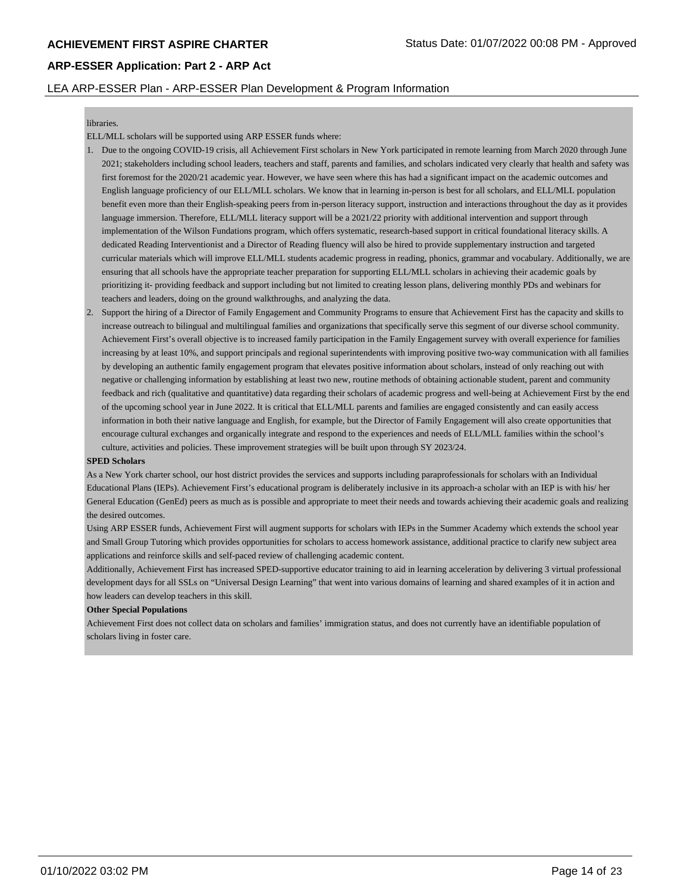#### LEA ARP-ESSER Plan - ARP-ESSER Plan Development & Program Information

#### libraries.

ELL/MLL scholars will be supported using ARP ESSER funds where:

- 1. Due to the ongoing COVID-19 crisis, all Achievement First scholars in New York participated in remote learning from March 2020 through June 2021; stakeholders including school leaders, teachers and staff, parents and families, and scholars indicated very clearly that health and safety was first foremost for the 2020/21 academic year. However, we have seen where this has had a significant impact on the academic outcomes and English language proficiency of our ELL/MLL scholars. We know that in learning in-person is best for all scholars, and ELL/MLL population benefit even more than their English-speaking peers from in-person literacy support, instruction and interactions throughout the day as it provides language immersion. Therefore, ELL/MLL literacy support will be a 2021/22 priority with additional intervention and support through implementation of the Wilson Fundations program, which offers systematic, research-based support in critical foundational literacy skills. A dedicated Reading Interventionist and a Director of Reading fluency will also be hired to provide supplementary instruction and targeted curricular materials which will improve ELL/MLL students academic progress in reading, phonics, grammar and vocabulary. Additionally, we are ensuring that all schools have the appropriate teacher preparation for supporting ELL/MLL scholars in achieving their academic goals by prioritizing it- providing feedback and support including but not limited to creating lesson plans, delivering monthly PDs and webinars for teachers and leaders, doing on the ground walkthroughs, and analyzing the data.
- 2. Support the hiring of a Director of Family Engagement and Community Programs to ensure that Achievement First has the capacity and skills to increase outreach to bilingual and multilingual families and organizations that specifically serve this segment of our diverse school community. Achievement First's overall objective is to increased family participation in the Family Engagement survey with overall experience for families increasing by at least 10%, and support principals and regional superintendents with improving positive two-way communication with all families by developing an authentic family engagement program that elevates positive information about scholars, instead of only reaching out with negative or challenging information by establishing at least two new, routine methods of obtaining actionable student, parent and community feedback and rich (qualitative and quantitative) data regarding their scholars of academic progress and well-being at Achievement First by the end of the upcoming school year in June 2022. It is critical that ELL/MLL parents and families are engaged consistently and can easily access information in both their native language and English, for example, but the Director of Family Engagement will also create opportunities that encourage cultural exchanges and organically integrate and respond to the experiences and needs of ELL/MLL families within the school's culture, activities and policies. These improvement strategies will be built upon through SY 2023/24.

#### **SPED Scholars**

As a New York charter school, our host district provides the services and supports including paraprofessionals for scholars with an Individual Educational Plans (IEPs). Achievement First's educational program is deliberately inclusive in its approach-a scholar with an IEP is with his/ her General Education (GenEd) peers as much as is possible and appropriate to meet their needs and towards achieving their academic goals and realizing the desired outcomes.

Using ARP ESSER funds, Achievement First will augment supports for scholars with IEPs in the Summer Academy which extends the school year and Small Group Tutoring which provides opportunities for scholars to access homework assistance, additional practice to clarify new subject area applications and reinforce skills and self-paced review of challenging academic content.

Additionally, Achievement First has increased SPED-supportive educator training to aid in learning acceleration by delivering 3 virtual professional development days for all SSLs on "Universal Design Learning" that went into various domains of learning and shared examples of it in action and how leaders can develop teachers in this skill.

#### **Other Special Populations**

Achievement First does not collect data on scholars and families' immigration status, and does not currently have an identifiable population of scholars living in foster care.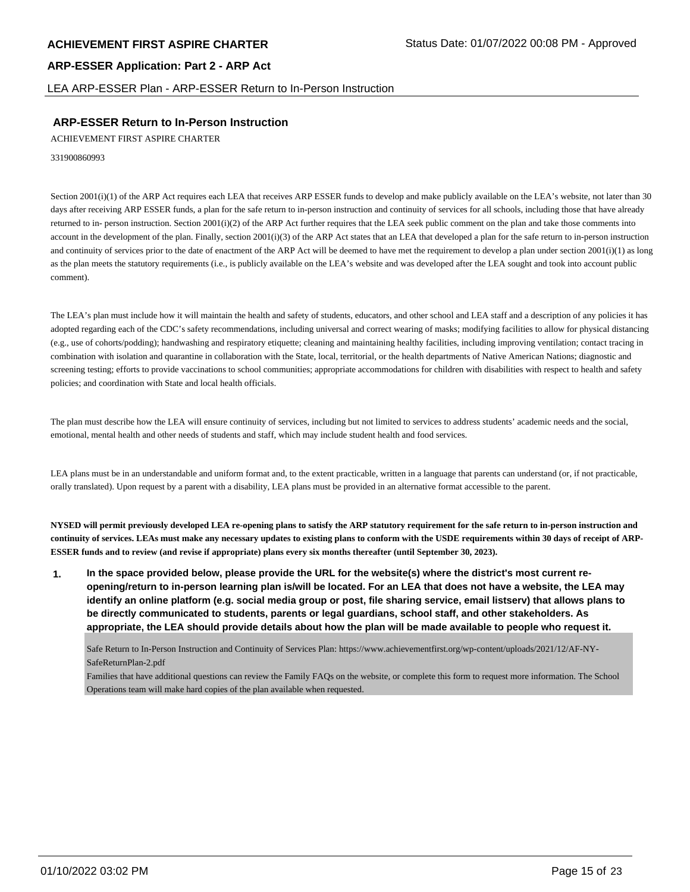LEA ARP-ESSER Plan - ARP-ESSER Return to In-Person Instruction

## **ARP-ESSER Return to In-Person Instruction**

ACHIEVEMENT FIRST ASPIRE CHARTER

331900860993

Section 2001(i)(1) of the ARP Act requires each LEA that receives ARP ESSER funds to develop and make publicly available on the LEA's website, not later than 30 days after receiving ARP ESSER funds, a plan for the safe return to in-person instruction and continuity of services for all schools, including those that have already returned to in- person instruction. Section 2001(i)(2) of the ARP Act further requires that the LEA seek public comment on the plan and take those comments into account in the development of the plan. Finally, section 2001(i)(3) of the ARP Act states that an LEA that developed a plan for the safe return to in-person instruction and continuity of services prior to the date of enactment of the ARP Act will be deemed to have met the requirement to develop a plan under section  $2001(i)(1)$  as long as the plan meets the statutory requirements (i.e., is publicly available on the LEA's website and was developed after the LEA sought and took into account public comment).

The LEA's plan must include how it will maintain the health and safety of students, educators, and other school and LEA staff and a description of any policies it has adopted regarding each of the CDC's safety recommendations, including universal and correct wearing of masks; modifying facilities to allow for physical distancing (e.g., use of cohorts/podding); handwashing and respiratory etiquette; cleaning and maintaining healthy facilities, including improving ventilation; contact tracing in combination with isolation and quarantine in collaboration with the State, local, territorial, or the health departments of Native American Nations; diagnostic and screening testing; efforts to provide vaccinations to school communities; appropriate accommodations for children with disabilities with respect to health and safety policies; and coordination with State and local health officials.

The plan must describe how the LEA will ensure continuity of services, including but not limited to services to address students' academic needs and the social, emotional, mental health and other needs of students and staff, which may include student health and food services.

LEA plans must be in an understandable and uniform format and, to the extent practicable, written in a language that parents can understand (or, if not practicable, orally translated). Upon request by a parent with a disability, LEA plans must be provided in an alternative format accessible to the parent.

**NYSED will permit previously developed LEA re-opening plans to satisfy the ARP statutory requirement for the safe return to in-person instruction and continuity of services. LEAs must make any necessary updates to existing plans to conform with the USDE requirements within 30 days of receipt of ARP-ESSER funds and to review (and revise if appropriate) plans every six months thereafter (until September 30, 2023).**

**1. In the space provided below, please provide the URL for the website(s) where the district's most current reopening/return to in-person learning plan is/will be located. For an LEA that does not have a website, the LEA may identify an online platform (e.g. social media group or post, file sharing service, email listserv) that allows plans to be directly communicated to students, parents or legal guardians, school staff, and other stakeholders. As appropriate, the LEA should provide details about how the plan will be made available to people who request it.**

Safe Return to In-Person Instruction and Continuity of Services Plan: https://www.achievementfirst.org/wp-content/uploads/2021/12/AF-NY-SafeReturnPlan-2.pdf

Families that have additional questions can review the Family FAQs on the website, or complete this form to request more information. The School Operations team will make hard copies of the plan available when requested.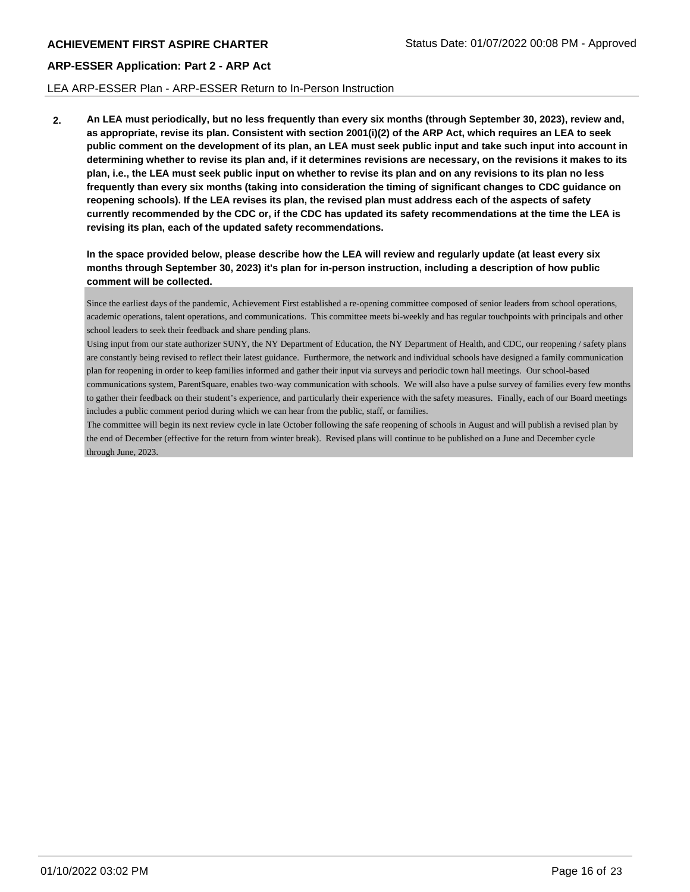#### LEA ARP-ESSER Plan - ARP-ESSER Return to In-Person Instruction

**2. An LEA must periodically, but no less frequently than every six months (through September 30, 2023), review and, as appropriate, revise its plan. Consistent with section 2001(i)(2) of the ARP Act, which requires an LEA to seek public comment on the development of its plan, an LEA must seek public input and take such input into account in determining whether to revise its plan and, if it determines revisions are necessary, on the revisions it makes to its plan, i.e., the LEA must seek public input on whether to revise its plan and on any revisions to its plan no less frequently than every six months (taking into consideration the timing of significant changes to CDC guidance on reopening schools). If the LEA revises its plan, the revised plan must address each of the aspects of safety currently recommended by the CDC or, if the CDC has updated its safety recommendations at the time the LEA is revising its plan, each of the updated safety recommendations.**

**In the space provided below, please describe how the LEA will review and regularly update (at least every six months through September 30, 2023) it's plan for in-person instruction, including a description of how public comment will be collected.**

Since the earliest days of the pandemic, Achievement First established a re-opening committee composed of senior leaders from school operations, academic operations, talent operations, and communications. This committee meets bi-weekly and has regular touchpoints with principals and other school leaders to seek their feedback and share pending plans.

Using input from our state authorizer SUNY, the NY Department of Education, the NY Department of Health, and CDC, our reopening / safety plans are constantly being revised to reflect their latest guidance. Furthermore, the network and individual schools have designed a family communication plan for reopening in order to keep families informed and gather their input via surveys and periodic town hall meetings. Our school-based communications system, ParentSquare, enables two-way communication with schools. We will also have a pulse survey of families every few months to gather their feedback on their student's experience, and particularly their experience with the safety measures. Finally, each of our Board meetings includes a public comment period during which we can hear from the public, staff, or families.

The committee will begin its next review cycle in late October following the safe reopening of schools in August and will publish a revised plan by the end of December (effective for the return from winter break). Revised plans will continue to be published on a June and December cycle through June, 2023.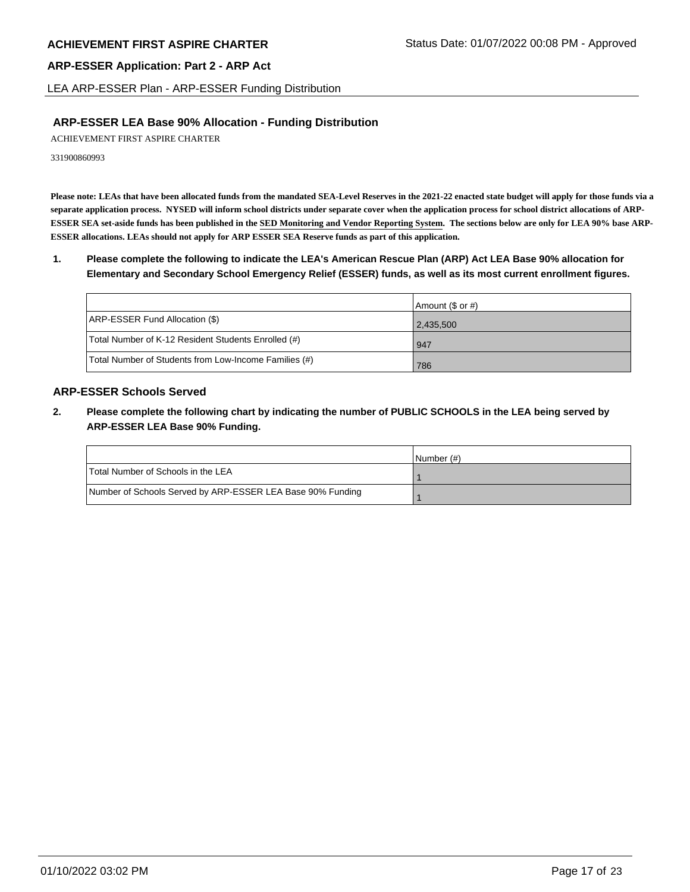LEA ARP-ESSER Plan - ARP-ESSER Funding Distribution

# **ARP-ESSER LEA Base 90% Allocation - Funding Distribution**

ACHIEVEMENT FIRST ASPIRE CHARTER

331900860993

**Please note: LEAs that have been allocated funds from the mandated SEA-Level Reserves in the 2021-22 enacted state budget will apply for those funds via a separate application process. NYSED will inform school districts under separate cover when the application process for school district allocations of ARP-ESSER SEA set-aside funds has been published in the SED Monitoring and Vendor Reporting System. The sections below are only for LEA 90% base ARP-ESSER allocations. LEAs should not apply for ARP ESSER SEA Reserve funds as part of this application.**

**1. Please complete the following to indicate the LEA's American Rescue Plan (ARP) Act LEA Base 90% allocation for Elementary and Secondary School Emergency Relief (ESSER) funds, as well as its most current enrollment figures.**

|                                                       | Amount (\$ or #) |
|-------------------------------------------------------|------------------|
| ARP-ESSER Fund Allocation (\$)                        | 2,435,500        |
| Total Number of K-12 Resident Students Enrolled (#)   | 947              |
| Total Number of Students from Low-Income Families (#) | 786              |

# **ARP-ESSER Schools Served**

**2. Please complete the following chart by indicating the number of PUBLIC SCHOOLS in the LEA being served by ARP-ESSER LEA Base 90% Funding.**

|                                                            | INumber (#) |
|------------------------------------------------------------|-------------|
| Total Number of Schools in the LEA                         |             |
| Number of Schools Served by ARP-ESSER LEA Base 90% Funding |             |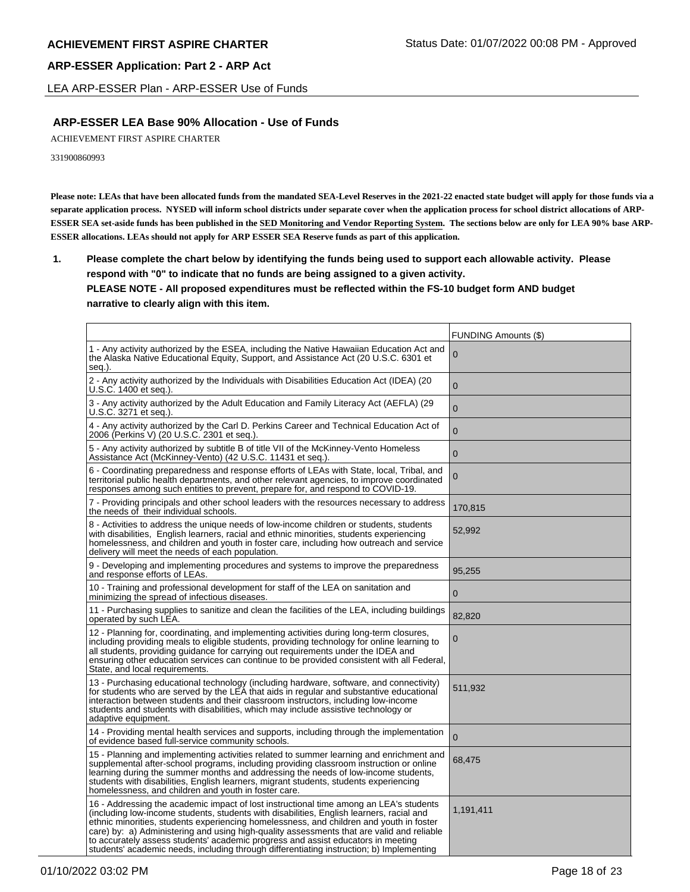LEA ARP-ESSER Plan - ARP-ESSER Use of Funds

# **ARP-ESSER LEA Base 90% Allocation - Use of Funds**

ACHIEVEMENT FIRST ASPIRE CHARTER

331900860993

**Please note: LEAs that have been allocated funds from the mandated SEA-Level Reserves in the 2021-22 enacted state budget will apply for those funds via a separate application process. NYSED will inform school districts under separate cover when the application process for school district allocations of ARP-ESSER SEA set-aside funds has been published in the SED Monitoring and Vendor Reporting System. The sections below are only for LEA 90% base ARP-ESSER allocations. LEAs should not apply for ARP ESSER SEA Reserve funds as part of this application.**

**1. Please complete the chart below by identifying the funds being used to support each allowable activity. Please respond with "0" to indicate that no funds are being assigned to a given activity. PLEASE NOTE - All proposed expenditures must be reflected within the FS-10 budget form AND budget narrative to clearly align with this item.**

|                                                                                                                                                                                                                                                                                                                                                                                                                                                                                                                                                            | <b>FUNDING Amounts (\$)</b> |
|------------------------------------------------------------------------------------------------------------------------------------------------------------------------------------------------------------------------------------------------------------------------------------------------------------------------------------------------------------------------------------------------------------------------------------------------------------------------------------------------------------------------------------------------------------|-----------------------------|
| 1 - Any activity authorized by the ESEA, including the Native Hawaiian Education Act and<br>the Alaska Native Educational Equity, Support, and Assistance Act (20 U.S.C. 6301 et<br>seg.).                                                                                                                                                                                                                                                                                                                                                                 | 0                           |
| 2 - Any activity authorized by the Individuals with Disabilities Education Act (IDEA) (20<br>U.S.C. 1400 et seg.).                                                                                                                                                                                                                                                                                                                                                                                                                                         | $\Omega$                    |
| 3 - Any activity authorized by the Adult Education and Family Literacy Act (AEFLA) (29<br>U.S.C. 3271 et seq.).                                                                                                                                                                                                                                                                                                                                                                                                                                            | $\overline{0}$              |
| 4 - Any activity authorized by the Carl D. Perkins Career and Technical Education Act of<br>2006 (Perkins V) (20 U.S.C. 2301 et seq.).                                                                                                                                                                                                                                                                                                                                                                                                                     | $\mathbf 0$                 |
| 5 - Any activity authorized by subtitle B of title VII of the McKinney-Vento Homeless<br>Assistance Act (McKinney-Vento) (42 U.S.C. 11431 et seq.).                                                                                                                                                                                                                                                                                                                                                                                                        | $\mathbf{0}$                |
| 6 - Coordinating preparedness and response efforts of LEAs with State, local, Tribal, and<br>territorial public health departments, and other relevant agencies, to improve coordinated<br>responses among such entities to prevent, prepare for, and respond to COVID-19.                                                                                                                                                                                                                                                                                 | $\mathbf 0$                 |
| 7 - Providing principals and other school leaders with the resources necessary to address<br>the needs of their individual schools.                                                                                                                                                                                                                                                                                                                                                                                                                        | 170,815                     |
| 8 - Activities to address the unique needs of low-income children or students, students<br>with disabilities, English learners, racial and ethnic minorities, students experiencing<br>homelessness, and children and youth in foster care, including how outreach and service<br>delivery will meet the needs of each population.                                                                                                                                                                                                                         | 52,992                      |
| 9 - Developing and implementing procedures and systems to improve the preparedness<br>and response efforts of LEAs.                                                                                                                                                                                                                                                                                                                                                                                                                                        | 95,255                      |
| 10 - Training and professional development for staff of the LEA on sanitation and<br>minimizing the spread of infectious diseases.                                                                                                                                                                                                                                                                                                                                                                                                                         | $\mathbf 0$                 |
| 11 - Purchasing supplies to sanitize and clean the facilities of the LEA, including buildings<br>operated by such LEA.                                                                                                                                                                                                                                                                                                                                                                                                                                     | 82,820                      |
| 12 - Planning for, coordinating, and implementing activities during long-term closures,<br>including providing meals to eligible students, providing technology for online learning to<br>all students, providing guidance for carrying out requirements under the IDEA and<br>ensuring other education services can continue to be provided consistent with all Federal,<br>State, and local requirements.                                                                                                                                                | 0                           |
| 13 - Purchasing educational technology (including hardware, software, and connectivity)<br>for students who are served by the LEA that aids in regular and substantive educational<br>interaction between students and their classroom instructors, including low-income<br>students and students with disabilities, which may include assistive technology or<br>adaptive equipment.                                                                                                                                                                      | 511,932                     |
| 14 - Providing mental health services and supports, including through the implementation<br>of evidence based full-service community schools.                                                                                                                                                                                                                                                                                                                                                                                                              | $\overline{0}$              |
| 15 - Planning and implementing activities related to summer learning and enrichment and<br>supplemental after-school programs, including providing classroom instruction or online<br>learning during the summer months and addressing the needs of low-income students,<br>students with disabilities, English learners, migrant students, students experiencing<br>homelessness, and children and youth in foster care.                                                                                                                                  | 68,475                      |
| 16 - Addressing the academic impact of lost instructional time among an LEA's students<br>(including low-income students, students with disabilities, English learners, racial and<br>ethnic minorities, students experiencing homelessness, and children and youth in foster<br>care) by: a) Administering and using high-quality assessments that are valid and reliable<br>to accurately assess students' academic progress and assist educators in meeting<br>students' academic needs, including through differentiating instruction; b) Implementing | 1,191,411                   |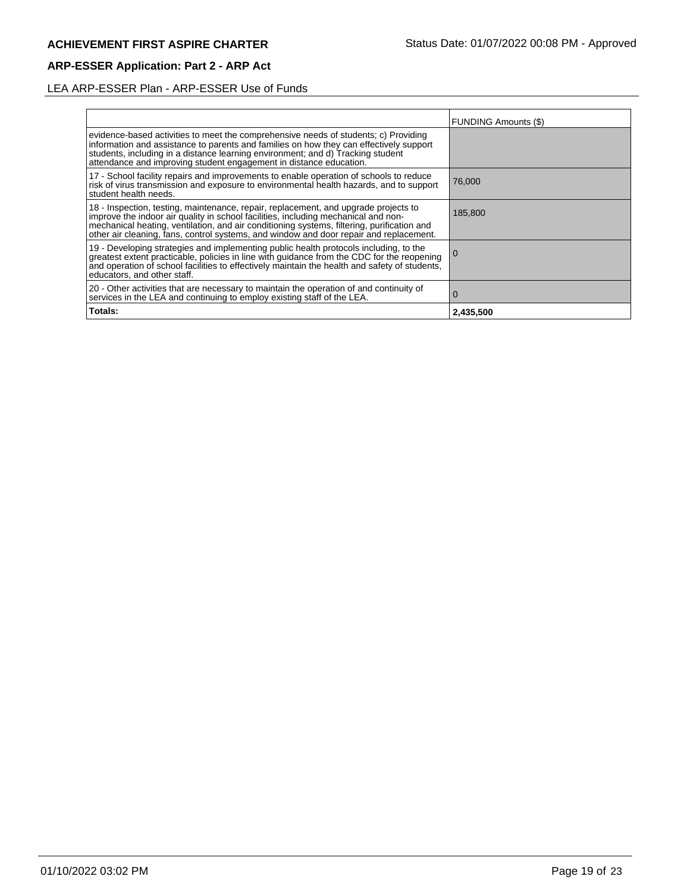# LEA ARP-ESSER Plan - ARP-ESSER Use of Funds

|                                                                                                                                                                                                                                                                                                                                                                | <b>FUNDING Amounts (\$)</b> |
|----------------------------------------------------------------------------------------------------------------------------------------------------------------------------------------------------------------------------------------------------------------------------------------------------------------------------------------------------------------|-----------------------------|
| evidence-based activities to meet the comprehensive needs of students; c) Providing<br>information and assistance to parents and families on how they can effectively support<br>students, including in a distance learning environment; and d) Tracking student<br>attendance and improving student engagement in distance education.                         |                             |
| 17 - School facility repairs and improvements to enable operation of schools to reduce<br>risk of virus transmission and exposure to environmental health hazards, and to support<br>student health needs.                                                                                                                                                     | 76,000                      |
| 18 - Inspection, testing, maintenance, repair, replacement, and upgrade projects to improve the indoor air quality in school facilities, including mechanical and non-<br>mechanical heating, ventilation, and air conditioning systems, filtering, purification and<br>other air cleaning, fans, control systems, and window and door repair and replacement. | 185.800                     |
| 19 - Developing strategies and implementing public health protocols including, to the<br>greatest extent practicable, policies in line with guidance from the CDC for the reopening<br>and operation of school facilities to effectively maintain the health and safety of students,<br>educators, and other staff.                                            | <b>U</b>                    |
| 20 - Other activities that are necessary to maintain the operation of and continuity of<br>services in the LEA and continuing to employ existing staff of the LEA.                                                                                                                                                                                             | 0                           |
| Totals:                                                                                                                                                                                                                                                                                                                                                        | 2,435,500                   |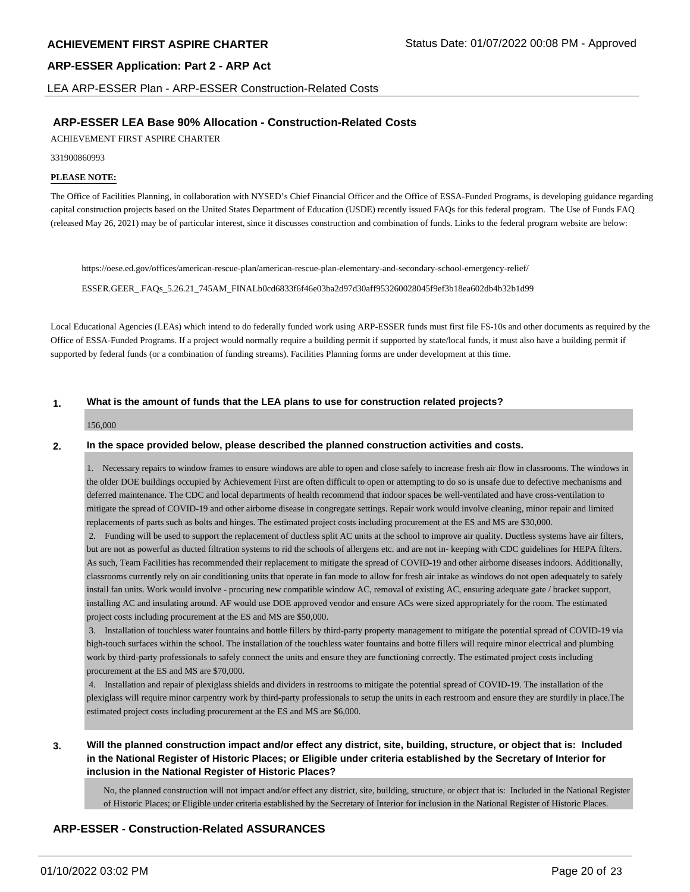LEA ARP-ESSER Plan - ARP-ESSER Construction-Related Costs

#### **ARP-ESSER LEA Base 90% Allocation - Construction-Related Costs**

ACHIEVEMENT FIRST ASPIRE CHARTER

#### 331900860993

#### **PLEASE NOTE:**

The Office of Facilities Planning, in collaboration with NYSED's Chief Financial Officer and the Office of ESSA-Funded Programs, is developing guidance regarding capital construction projects based on the United States Department of Education (USDE) recently issued FAQs for this federal program. The Use of Funds FAQ (released May 26, 2021) may be of particular interest, since it discusses construction and combination of funds. Links to the federal program website are below:

https://oese.ed.gov/offices/american-rescue-plan/american-rescue-plan-elementary-and-secondary-school-emergency-relief/

ESSER.GEER\_.FAQs\_5.26.21\_745AM\_FINALb0cd6833f6f46e03ba2d97d30aff953260028045f9ef3b18ea602db4b32b1d99

Local Educational Agencies (LEAs) which intend to do federally funded work using ARP-ESSER funds must first file FS-10s and other documents as required by the Office of ESSA-Funded Programs. If a project would normally require a building permit if supported by state/local funds, it must also have a building permit if supported by federal funds (or a combination of funding streams). Facilities Planning forms are under development at this time.

#### **1. What is the amount of funds that the LEA plans to use for construction related projects?**

#### 156,000

#### **2. In the space provided below, please described the planned construction activities and costs.**

1. Necessary repairs to window frames to ensure windows are able to open and close safely to increase fresh air flow in classrooms. The windows in the older DOE buildings occupied by Achievement First are often difficult to open or attempting to do so is unsafe due to defective mechanisms and deferred maintenance. The CDC and local departments of health recommend that indoor spaces be well-ventilated and have cross-ventilation to mitigate the spread of COVID-19 and other airborne disease in congregate settings. Repair work would involve cleaning, minor repair and limited replacements of parts such as bolts and hinges. The estimated project costs including procurement at the ES and MS are \$30,000.

 2. Funding will be used to support the replacement of ductless split AC units at the school to improve air quality. Ductless systems have air filters, but are not as powerful as ducted filtration systems to rid the schools of allergens etc. and are not in- keeping with CDC guidelines for HEPA filters. As such, Team Facilities has recommended their replacement to mitigate the spread of COVID-19 and other airborne diseases indoors. Additionally, classrooms currently rely on air conditioning units that operate in fan mode to allow for fresh air intake as windows do not open adequately to safely install fan units. Work would involve - procuring new compatible window AC, removal of existing AC, ensuring adequate gate / bracket support, installing AC and insulating around. AF would use DOE approved vendor and ensure ACs were sized appropriately for the room. The estimated project costs including procurement at the ES and MS are \$50,000.

 3. Installation of touchless water fountains and bottle fillers by third-party property management to mitigate the potential spread of COVID-19 via high-touch surfaces within the school. The installation of the touchless water fountains and botte fillers will require minor electrical and plumbing work by third-party professionals to safely connect the units and ensure they are functioning correctly. The estimated project costs including procurement at the ES and MS are \$70,000.

 4. Installation and repair of plexiglass shields and dividers in restrooms to mitigate the potential spread of COVID-19. The installation of the plexiglass will require minor carpentry work by third-party professionals to setup the units in each restroom and ensure they are sturdily in place.The estimated project costs including procurement at the ES and MS are \$6,000.

**3. Will the planned construction impact and/or effect any district, site, building, structure, or object that is: Included in the National Register of Historic Places; or Eligible under criteria established by the Secretary of Interior for inclusion in the National Register of Historic Places?**

No, the planned construction will not impact and/or effect any district, site, building, structure, or object that is: Included in the National Register of Historic Places; or Eligible under criteria established by the Secretary of Interior for inclusion in the National Register of Historic Places.

## **ARP-ESSER - Construction-Related ASSURANCES**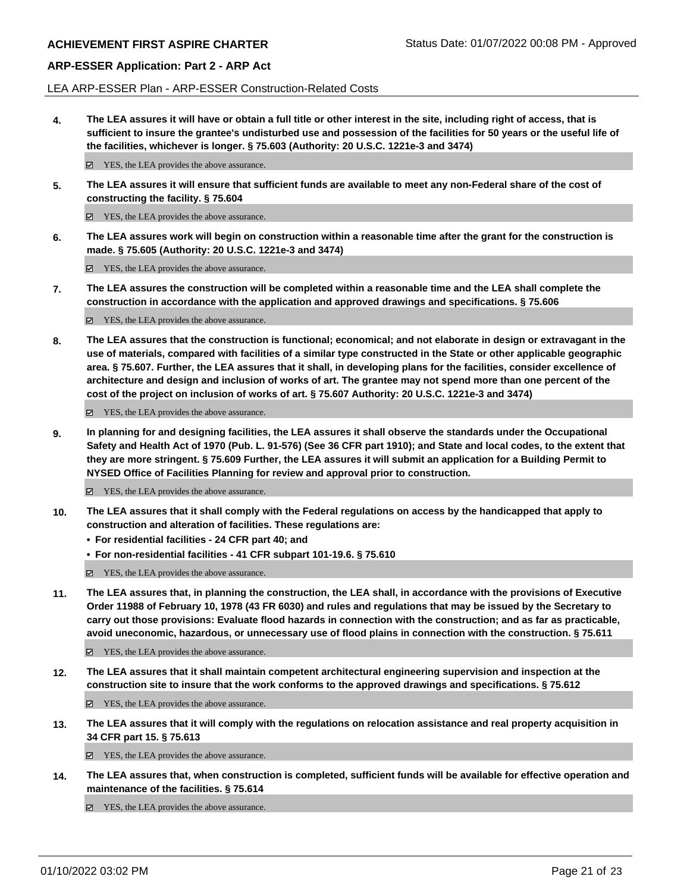LEA ARP-ESSER Plan - ARP-ESSER Construction-Related Costs

**4. The LEA assures it will have or obtain a full title or other interest in the site, including right of access, that is sufficient to insure the grantee's undisturbed use and possession of the facilities for 50 years or the useful life of the facilities, whichever is longer. § 75.603 (Authority: 20 U.S.C. 1221e-3 and 3474)**

 $✓$  YES, the LEA provides the above assurance.

**5. The LEA assures it will ensure that sufficient funds are available to meet any non-Federal share of the cost of constructing the facility. § 75.604**

YES, the LEA provides the above assurance.

**6. The LEA assures work will begin on construction within a reasonable time after the grant for the construction is made. § 75.605 (Authority: 20 U.S.C. 1221e-3 and 3474)**

■ YES, the LEA provides the above assurance.

**7. The LEA assures the construction will be completed within a reasonable time and the LEA shall complete the construction in accordance with the application and approved drawings and specifications. § 75.606**

YES, the LEA provides the above assurance.

**8. The LEA assures that the construction is functional; economical; and not elaborate in design or extravagant in the use of materials, compared with facilities of a similar type constructed in the State or other applicable geographic area. § 75.607. Further, the LEA assures that it shall, in developing plans for the facilities, consider excellence of architecture and design and inclusion of works of art. The grantee may not spend more than one percent of the cost of the project on inclusion of works of art. § 75.607 Authority: 20 U.S.C. 1221e-3 and 3474)**

YES, the LEA provides the above assurance.

**9. In planning for and designing facilities, the LEA assures it shall observe the standards under the Occupational Safety and Health Act of 1970 (Pub. L. 91-576) (See 36 CFR part 1910); and State and local codes, to the extent that they are more stringent. § 75.609 Further, the LEA assures it will submit an application for a Building Permit to NYSED Office of Facilities Planning for review and approval prior to construction.**

■ YES, the LEA provides the above assurance.

- **10. The LEA assures that it shall comply with the Federal regulations on access by the handicapped that apply to construction and alteration of facilities. These regulations are:**
	- **• For residential facilities 24 CFR part 40; and**
	- **• For non-residential facilities 41 CFR subpart 101-19.6. § 75.610**

YES, the LEA provides the above assurance.

**11. The LEA assures that, in planning the construction, the LEA shall, in accordance with the provisions of Executive Order 11988 of February 10, 1978 (43 FR 6030) and rules and regulations that may be issued by the Secretary to carry out those provisions: Evaluate flood hazards in connection with the construction; and as far as practicable, avoid uneconomic, hazardous, or unnecessary use of flood plains in connection with the construction. § 75.611**

YES, the LEA provides the above assurance.

**12. The LEA assures that it shall maintain competent architectural engineering supervision and inspection at the construction site to insure that the work conforms to the approved drawings and specifications. § 75.612**

YES, the LEA provides the above assurance.

**13. The LEA assures that it will comply with the regulations on relocation assistance and real property acquisition in 34 CFR part 15. § 75.613**

YES, the LEA provides the above assurance.

**14. The LEA assures that, when construction is completed, sufficient funds will be available for effective operation and maintenance of the facilities. § 75.614**

■ YES, the LEA provides the above assurance.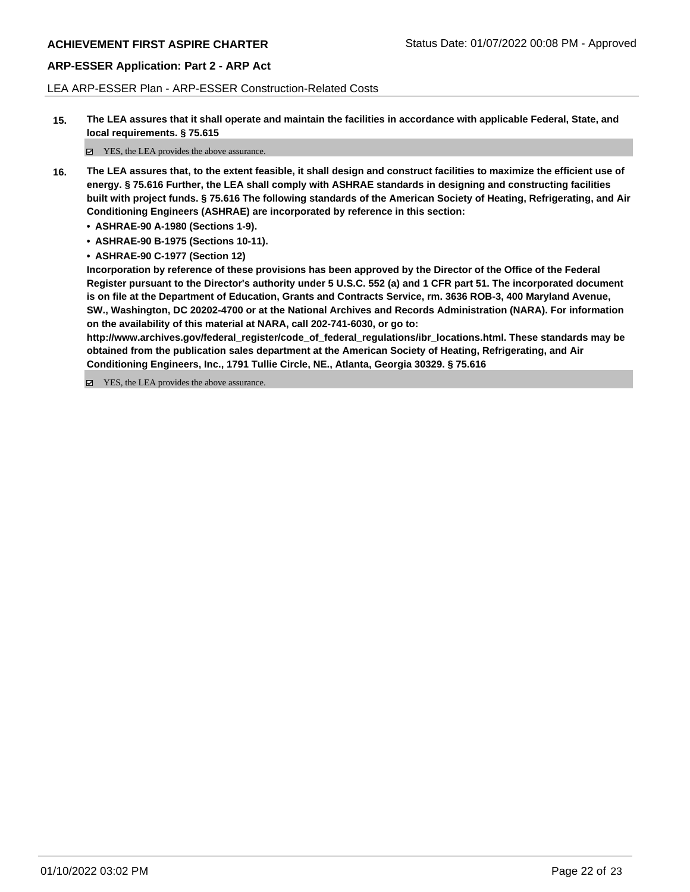LEA ARP-ESSER Plan - ARP-ESSER Construction-Related Costs

**15. The LEA assures that it shall operate and maintain the facilities in accordance with applicable Federal, State, and local requirements. § 75.615**

YES, the LEA provides the above assurance.

- **16. The LEA assures that, to the extent feasible, it shall design and construct facilities to maximize the efficient use of energy. § 75.616 Further, the LEA shall comply with ASHRAE standards in designing and constructing facilities built with project funds. § 75.616 The following standards of the American Society of Heating, Refrigerating, and Air Conditioning Engineers (ASHRAE) are incorporated by reference in this section:**
	- **• ASHRAE-90 A-1980 (Sections 1-9).**
	- **• ASHRAE-90 B-1975 (Sections 10-11).**
	- **• ASHRAE-90 C-1977 (Section 12)**

**Incorporation by reference of these provisions has been approved by the Director of the Office of the Federal Register pursuant to the Director's authority under 5 U.S.C. 552 (a) and 1 CFR part 51. The incorporated document is on file at the Department of Education, Grants and Contracts Service, rm. 3636 ROB-3, 400 Maryland Avenue, SW., Washington, DC 20202-4700 or at the National Archives and Records Administration (NARA). For information on the availability of this material at NARA, call 202-741-6030, or go to:**

**http://www.archives.gov/federal\_register/code\_of\_federal\_regulations/ibr\_locations.html. These standards may be obtained from the publication sales department at the American Society of Heating, Refrigerating, and Air Conditioning Engineers, Inc., 1791 Tullie Circle, NE., Atlanta, Georgia 30329. § 75.616**

YES, the LEA provides the above assurance.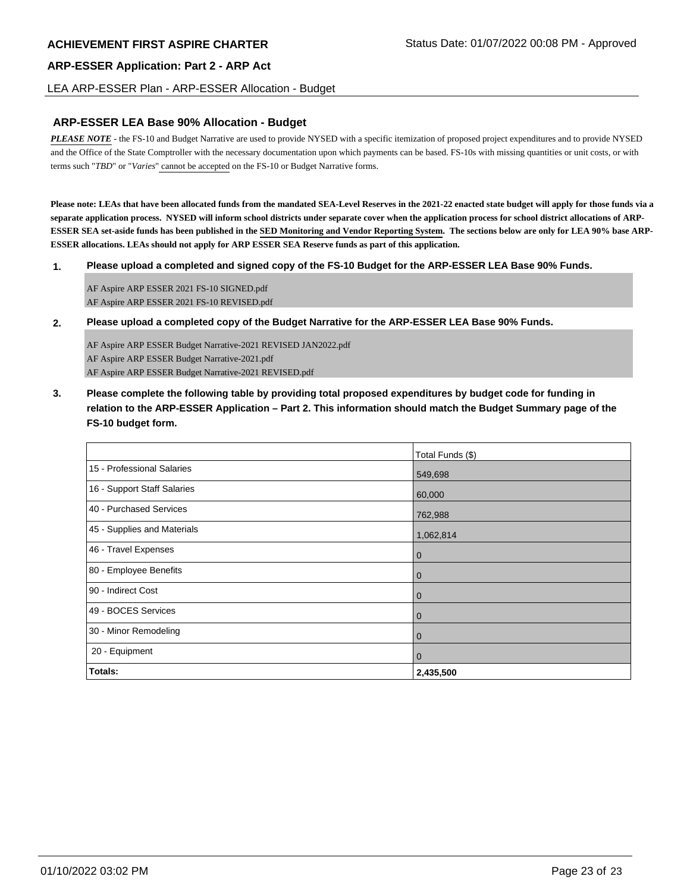#### LEA ARP-ESSER Plan - ARP-ESSER Allocation - Budget

#### **ARP-ESSER LEA Base 90% Allocation - Budget**

*PLEASE NOTE* - the FS-10 and Budget Narrative are used to provide NYSED with a specific itemization of proposed project expenditures and to provide NYSED and the Office of the State Comptroller with the necessary documentation upon which payments can be based. FS-10s with missing quantities or unit costs, or with terms such "*TBD*" or "*Varies*" cannot be accepted on the FS-10 or Budget Narrative forms.

**Please note: LEAs that have been allocated funds from the mandated SEA-Level Reserves in the 2021-22 enacted state budget will apply for those funds via a separate application process. NYSED will inform school districts under separate cover when the application process for school district allocations of ARP-ESSER SEA set-aside funds has been published in the SED Monitoring and Vendor Reporting System. The sections below are only for LEA 90% base ARP-ESSER allocations. LEAs should not apply for ARP ESSER SEA Reserve funds as part of this application.**

**1. Please upload a completed and signed copy of the FS-10 Budget for the ARP-ESSER LEA Base 90% Funds.**

AF Aspire ARP ESSER 2021 FS-10 SIGNED.pdf AF Aspire ARP ESSER 2021 FS-10 REVISED.pdf

**2. Please upload a completed copy of the Budget Narrative for the ARP-ESSER LEA Base 90% Funds.**

AF Aspire ARP ESSER Budget Narrative-2021 REVISED JAN2022.pdf AF Aspire ARP ESSER Budget Narrative-2021.pdf AF Aspire ARP ESSER Budget Narrative-2021 REVISED.pdf

**3. Please complete the following table by providing total proposed expenditures by budget code for funding in relation to the ARP-ESSER Application – Part 2. This information should match the Budget Summary page of the FS-10 budget form.**

|                             | Total Funds (\$) |
|-----------------------------|------------------|
| 15 - Professional Salaries  | 549,698          |
| 16 - Support Staff Salaries | 60,000           |
| 40 - Purchased Services     | 762,988          |
| 45 - Supplies and Materials | 1,062,814        |
| 46 - Travel Expenses        | $\overline{0}$   |
| 80 - Employee Benefits      | $\overline{0}$   |
| 90 - Indirect Cost          | $\overline{0}$   |
| 49 - BOCES Services         | $\overline{0}$   |
| 30 - Minor Remodeling       | $\overline{0}$   |
| 20 - Equipment              | $\overline{0}$   |
| <b>Totals:</b>              | 2,435,500        |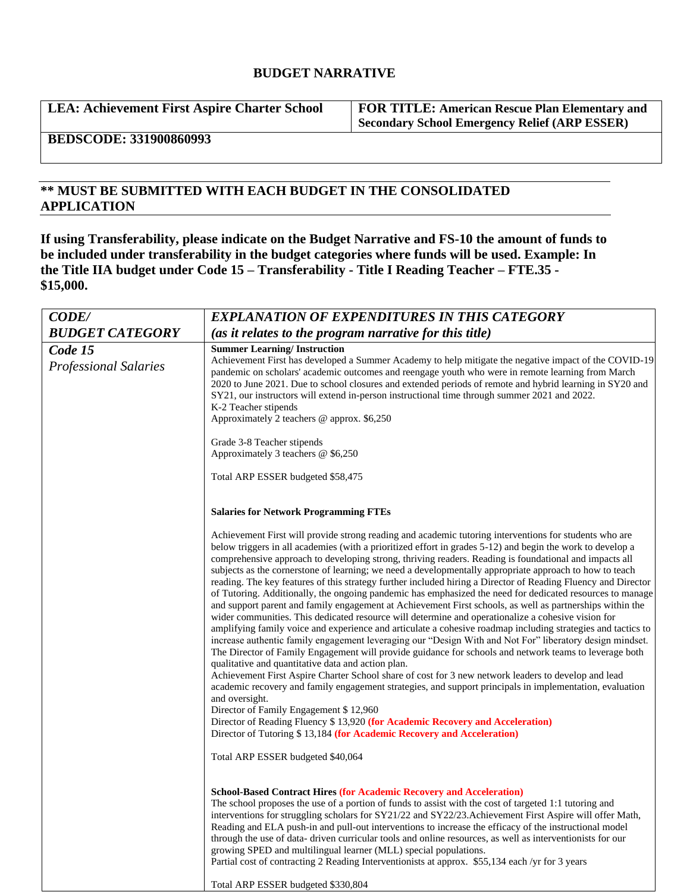# **BUDGET NARRATIVE**

**LEA: Achievement First Aspire Charter School FOR TITLE: American Rescue Plan Elementary and** 

**Secondary School Emergency Relief (ARP ESSER)**

**BEDSCODE: 331900860993**

# **\*\* MUST BE SUBMITTED WITH EACH BUDGET IN THE CONSOLIDATED APPLICATION**

**If using Transferability, please indicate on the Budget Narrative and FS-10 the amount of funds to be included under transferability in the budget categories where funds will be used. Example: In the Title IIA budget under Code 15 – Transferability - Title I Reading Teacher – FTE.35 - \$15,000.**

| <b>CODE/</b>                            | <b>EXPLANATION OF EXPENDITURES IN THIS CATEGORY</b>                                                                                                                                                                                                                                                                                                                                                                                                                                                                                                                                                                                                                                                                                                                                                                                                                                                                                                                                                                                                                                                                                                                                                                                                                                                                                                                                                                                                                                                                                                                                                                                                                                                                                                                              |  |
|-----------------------------------------|----------------------------------------------------------------------------------------------------------------------------------------------------------------------------------------------------------------------------------------------------------------------------------------------------------------------------------------------------------------------------------------------------------------------------------------------------------------------------------------------------------------------------------------------------------------------------------------------------------------------------------------------------------------------------------------------------------------------------------------------------------------------------------------------------------------------------------------------------------------------------------------------------------------------------------------------------------------------------------------------------------------------------------------------------------------------------------------------------------------------------------------------------------------------------------------------------------------------------------------------------------------------------------------------------------------------------------------------------------------------------------------------------------------------------------------------------------------------------------------------------------------------------------------------------------------------------------------------------------------------------------------------------------------------------------------------------------------------------------------------------------------------------------|--|
| <b>BUDGET CATEGORY</b>                  | (as it relates to the program narrative for this title)                                                                                                                                                                                                                                                                                                                                                                                                                                                                                                                                                                                                                                                                                                                                                                                                                                                                                                                                                                                                                                                                                                                                                                                                                                                                                                                                                                                                                                                                                                                                                                                                                                                                                                                          |  |
| Code 15<br><b>Professional Salaries</b> | <b>Summer Learning/Instruction</b><br>Achievement First has developed a Summer Academy to help mitigate the negative impact of the COVID-19<br>pandemic on scholars' academic outcomes and reengage youth who were in remote learning from March<br>2020 to June 2021. Due to school closures and extended periods of remote and hybrid learning in SY20 and<br>SY21, our instructors will extend in-person instructional time through summer 2021 and 2022.<br>K-2 Teacher stipends<br>Approximately 2 teachers @ approx. \$6,250                                                                                                                                                                                                                                                                                                                                                                                                                                                                                                                                                                                                                                                                                                                                                                                                                                                                                                                                                                                                                                                                                                                                                                                                                                               |  |
|                                         | Grade 3-8 Teacher stipends<br>Approximately 3 teachers $@$ \$6,250<br>Total ARP ESSER budgeted \$58,475                                                                                                                                                                                                                                                                                                                                                                                                                                                                                                                                                                                                                                                                                                                                                                                                                                                                                                                                                                                                                                                                                                                                                                                                                                                                                                                                                                                                                                                                                                                                                                                                                                                                          |  |
|                                         | <b>Salaries for Network Programming FTEs</b><br>Achievement First will provide strong reading and academic tutoring interventions for students who are<br>below triggers in all academies (with a prioritized effort in grades 5-12) and begin the work to develop a<br>comprehensive approach to developing strong, thriving readers. Reading is foundational and impacts all<br>subjects as the cornerstone of learning; we need a developmentally appropriate approach to how to teach<br>reading. The key features of this strategy further included hiring a Director of Reading Fluency and Director<br>of Tutoring. Additionally, the ongoing pandemic has emphasized the need for dedicated resources to manage<br>and support parent and family engagement at Achievement First schools, as well as partnerships within the<br>wider communities. This dedicated resource will determine and operationalize a cohesive vision for<br>amplifying family voice and experience and articulate a cohesive roadmap including strategies and tactics to<br>increase authentic family engagement leveraging our "Design With and Not For" liberatory design mindset.<br>The Director of Family Engagement will provide guidance for schools and network teams to leverage both<br>qualitative and quantitative data and action plan.<br>Achievement First Aspire Charter School share of cost for 3 new network leaders to develop and lead<br>academic recovery and family engagement strategies, and support principals in implementation, evaluation<br>and oversight.<br>Director of Family Engagement \$12,960<br>Director of Reading Fluency \$13,920 (for Academic Recovery and Acceleration)<br>Director of Tutoring \$13,184 (for Academic Recovery and Acceleration) |  |
|                                         | Total ARP ESSER budgeted \$40,064<br><b>School-Based Contract Hires (for Academic Recovery and Acceleration)</b><br>The school proposes the use of a portion of funds to assist with the cost of targeted 1:1 tutoring and<br>interventions for struggling scholars for SY21/22 and SY22/23. Achievement First Aspire will offer Math,<br>Reading and ELA push-in and pull-out interventions to increase the efficacy of the instructional model<br>through the use of data-driven curricular tools and online resources, as well as interventionists for our<br>growing SPED and multilingual learner (MLL) special populations.<br>Partial cost of contracting 2 Reading Interventionists at approx. \$55,134 each /yr for 3 years<br>Total ARP ESSER budgeted \$330,804                                                                                                                                                                                                                                                                                                                                                                                                                                                                                                                                                                                                                                                                                                                                                                                                                                                                                                                                                                                                       |  |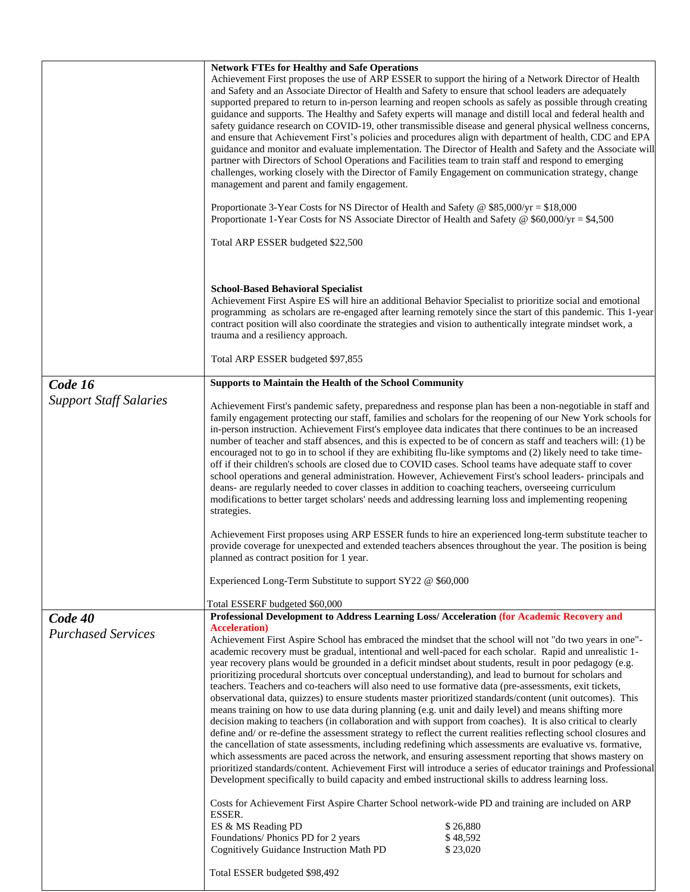|                                      | <b>Network FTEs for Healthy and Safe Operations</b><br>Achievement First proposes the use of ARP ESSER to support the hiring of a Network Director of Health<br>and Safety and an Associate Director of Health and Safety to ensure that school leaders are adequately<br>supported prepared to return to in-person learning and reopen schools as safely as possible through creating<br>guidance and supports. The Healthy and Safety experts will manage and distill local and federal health and<br>safety guidance research on COVID-19, other transmissible disease and general physical wellness concerns,<br>and ensure that Achievement First's policies and procedures align with department of health, CDC and EPA<br>guidance and monitor and evaluate implementation. The Director of Health and Safety and the Associate will<br>partner with Directors of School Operations and Facilities team to train staff and respond to emerging<br>challenges, working closely with the Director of Family Engagement on communication strategy, change<br>management and parent and family engagement.<br>Proportionate 3-Year Costs for NS Director of Health and Safety @ \$85,000/yr = \$18,000<br>Proportionate 1-Year Costs for NS Associate Director of Health and Safety @ \$60,000/yr = \$4,500<br>Total ARP ESSER budgeted \$22,500                                                                                                                                                                                                                                                                                                                                                                                                                                                                                                                                     |                                  |
|--------------------------------------|-----------------------------------------------------------------------------------------------------------------------------------------------------------------------------------------------------------------------------------------------------------------------------------------------------------------------------------------------------------------------------------------------------------------------------------------------------------------------------------------------------------------------------------------------------------------------------------------------------------------------------------------------------------------------------------------------------------------------------------------------------------------------------------------------------------------------------------------------------------------------------------------------------------------------------------------------------------------------------------------------------------------------------------------------------------------------------------------------------------------------------------------------------------------------------------------------------------------------------------------------------------------------------------------------------------------------------------------------------------------------------------------------------------------------------------------------------------------------------------------------------------------------------------------------------------------------------------------------------------------------------------------------------------------------------------------------------------------------------------------------------------------------------------------------------------------------------------------------------------------------------------------|----------------------------------|
|                                      | <b>School-Based Behavioral Specialist</b><br>Achievement First Aspire ES will hire an additional Behavior Specialist to prioritize social and emotional<br>programming as scholars are re-engaged after learning remotely since the start of this pandemic. This 1-year<br>contract position will also coordinate the strategies and vision to authentically integrate mindset work, a<br>trauma and a resiliency approach.                                                                                                                                                                                                                                                                                                                                                                                                                                                                                                                                                                                                                                                                                                                                                                                                                                                                                                                                                                                                                                                                                                                                                                                                                                                                                                                                                                                                                                                             |                                  |
|                                      | Total ARP ESSER budgeted \$97,855                                                                                                                                                                                                                                                                                                                                                                                                                                                                                                                                                                                                                                                                                                                                                                                                                                                                                                                                                                                                                                                                                                                                                                                                                                                                                                                                                                                                                                                                                                                                                                                                                                                                                                                                                                                                                                                       |                                  |
| Code 16                              | <b>Supports to Maintain the Health of the School Community</b>                                                                                                                                                                                                                                                                                                                                                                                                                                                                                                                                                                                                                                                                                                                                                                                                                                                                                                                                                                                                                                                                                                                                                                                                                                                                                                                                                                                                                                                                                                                                                                                                                                                                                                                                                                                                                          |                                  |
| <b>Support Staff Salaries</b>        | Achievement First's pandemic safety, preparedness and response plan has been a non-negotiable in staff and<br>family engagement protecting our staff, families and scholars for the reopening of our New York schools for<br>in-person instruction. Achievement First's employee data indicates that there continues to be an increased<br>number of teacher and staff absences, and this is expected to be of concern as staff and teachers will: (1) be<br>encouraged not to go in to school if they are exhibiting flu-like symptoms and (2) likely need to take time-<br>off if their children's schools are closed due to COVID cases. School teams have adequate staff to cover<br>school operations and general administration. However, Achievement First's school leaders- principals and<br>deans- are regularly needed to cover classes in addition to coaching teachers, overseeing curriculum<br>modifications to better target scholars' needs and addressing learning loss and implementing reopening<br>strategies.<br>Achievement First proposes using ARP ESSER funds to hire an experienced long-term substitute teacher to<br>provide coverage for unexpected and extended teachers absences throughout the year. The position is being<br>planned as contract position for 1 year.<br>Experienced Long-Term Substitute to support SY22 @ \$60,000                                                                                                                                                                                                                                                                                                                                                                                                                                                                                                                  |                                  |
|                                      |                                                                                                                                                                                                                                                                                                                                                                                                                                                                                                                                                                                                                                                                                                                                                                                                                                                                                                                                                                                                                                                                                                                                                                                                                                                                                                                                                                                                                                                                                                                                                                                                                                                                                                                                                                                                                                                                                         |                                  |
| Code 40<br><b>Purchased Services</b> | Total ESSERF budgeted \$60,000<br>Professional Development to Address Learning Loss/ Acceleration (for Academic Recovery and<br><b>Acceleration</b> )<br>Achievement First Aspire School has embraced the mindset that the school will not "do two years in one"-<br>academic recovery must be gradual, intentional and well-paced for each scholar. Rapid and unrealistic 1-<br>year recovery plans would be grounded in a deficit mindset about students, result in poor pedagogy (e.g.<br>prioritizing procedural shortcuts over conceptual understanding), and lead to burnout for scholars and<br>teachers. Teachers and co-teachers will also need to use formative data (pre-assessments, exit tickets,<br>observational data, quizzes) to ensure students master prioritized standards/content (unit outcomes). This<br>means training on how to use data during planning (e.g. unit and daily level) and means shifting more<br>decision making to teachers (in collaboration and with support from coaches). It is also critical to clearly<br>define and/ or re-define the assessment strategy to reflect the current realities reflecting school closures and<br>the cancellation of state assessments, including redefining which assessments are evaluative vs. formative,<br>which assessments are paced across the network, and ensuring assessment reporting that shows mastery on<br>prioritized standards/content. Achievement First will introduce a series of educator trainings and Professional<br>Development specifically to build capacity and embed instructional skills to address learning loss.<br>Costs for Achievement First Aspire Charter School network-wide PD and training are included on ARP<br>ESSER.<br>ES & MS Reading PD<br>Foundations/ Phonics PD for 2 years<br>Cognitively Guidance Instruction Math PD<br>Total ESSER budgeted \$98,492 | \$26,880<br>\$48,592<br>\$23,020 |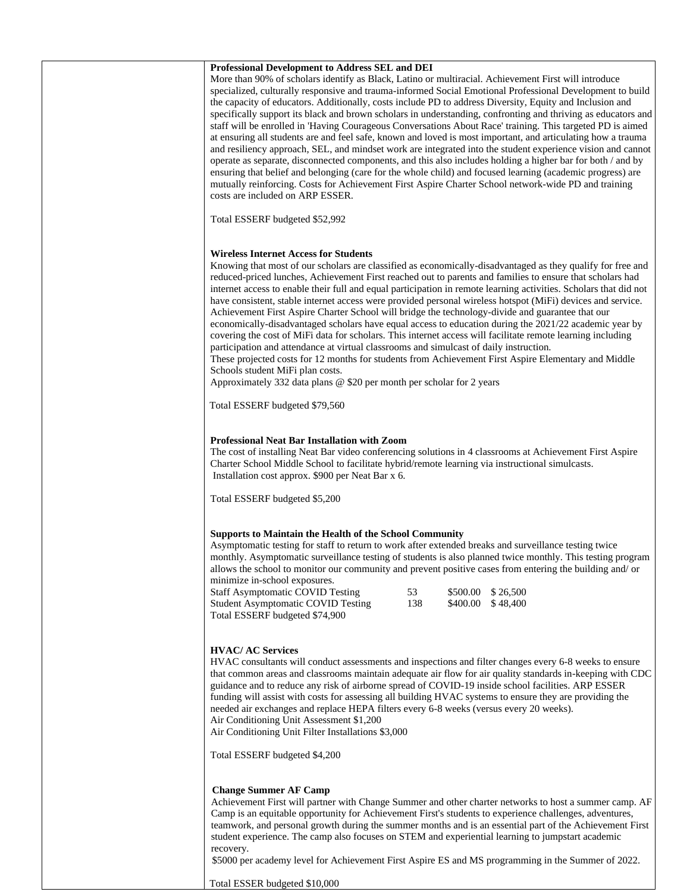| Professional Development to Address SEL and DEI<br>More than 90% of scholars identify as Black, Latino or multiracial. Achievement First will introduce<br>specialized, culturally responsive and trauma-informed Social Emotional Professional Development to build<br>the capacity of educators. Additionally, costs include PD to address Diversity, Equity and Inclusion and<br>specifically support its black and brown scholars in understanding, confronting and thriving as educators and<br>staff will be enrolled in 'Having Courageous Conversations About Race' training. This targeted PD is aimed<br>at ensuring all students are and feel safe, known and loved is most important, and articulating how a trauma<br>and resiliency approach, SEL, and mindset work are integrated into the student experience vision and cannot<br>operate as separate, disconnected components, and this also includes holding a higher bar for both / and by<br>ensuring that belief and belonging (care for the whole child) and focused learning (academic progress) are<br>mutually reinforcing. Costs for Achievement First Aspire Charter School network-wide PD and training<br>costs are included on ARP ESSER.<br>Total ESSERF budgeted \$52,992 |
|-----------------------------------------------------------------------------------------------------------------------------------------------------------------------------------------------------------------------------------------------------------------------------------------------------------------------------------------------------------------------------------------------------------------------------------------------------------------------------------------------------------------------------------------------------------------------------------------------------------------------------------------------------------------------------------------------------------------------------------------------------------------------------------------------------------------------------------------------------------------------------------------------------------------------------------------------------------------------------------------------------------------------------------------------------------------------------------------------------------------------------------------------------------------------------------------------------------------------------------------------------------|
| <b>Wireless Internet Access for Students</b><br>Knowing that most of our scholars are classified as economically-disadvantaged as they qualify for free and<br>reduced-priced lunches, Achievement First reached out to parents and families to ensure that scholars had<br>internet access to enable their full and equal participation in remote learning activities. Scholars that did not<br>have consistent, stable internet access were provided personal wireless hotspot (MiFi) devices and service.<br>Achievement First Aspire Charter School will bridge the technology-divide and guarantee that our<br>economically-disadvantaged scholars have equal access to education during the 2021/22 academic year by<br>covering the cost of MiFi data for scholars. This internet access will facilitate remote learning including<br>participation and attendance at virtual classrooms and simulcast of daily instruction.<br>These projected costs for 12 months for students from Achievement First Aspire Elementary and Middle<br>Schools student MiFi plan costs.<br>Approximately 332 data plans $@$ \$20 per month per scholar for 2 years<br>Total ESSERF budgeted \$79,560                                                              |
| Professional Neat Bar Installation with Zoom<br>The cost of installing Neat Bar video conferencing solutions in 4 classrooms at Achievement First Aspire<br>Charter School Middle School to facilitate hybrid/remote learning via instructional simulcasts.<br>Installation cost approx. \$900 per Neat Bar x 6.<br>Total ESSERF budgeted \$5,200                                                                                                                                                                                                                                                                                                                                                                                                                                                                                                                                                                                                                                                                                                                                                                                                                                                                                                         |
| <b>Supports to Maintain the Health of the School Community</b><br>Asymptomatic testing for staff to return to work after extended breaks and surveillance testing twice<br>monthly. Asymptomatic surveillance testing of students is also planned twice monthly. This testing program<br>allows the school to monitor our community and prevent positive cases from entering the building and/ or<br>minimize in-school exposures.<br><b>Staff Asymptomatic COVID Testing</b><br>53<br>\$26,500<br>\$500.00<br>138<br><b>Student Asymptomatic COVID Testing</b><br>\$400.00<br>\$48,400<br>Total ESSERF budgeted \$74,900                                                                                                                                                                                                                                                                                                                                                                                                                                                                                                                                                                                                                                 |
| <b>HVAC/ AC Services</b><br>HVAC consultants will conduct assessments and inspections and filter changes every 6-8 weeks to ensure<br>that common areas and classrooms maintain adequate air flow for air quality standards in-keeping with CDC<br>guidance and to reduce any risk of airborne spread of COVID-19 inside school facilities. ARP ESSER<br>funding will assist with costs for assessing all building HVAC systems to ensure they are providing the<br>needed air exchanges and replace HEPA filters every 6-8 weeks (versus every 20 weeks).<br>Air Conditioning Unit Assessment \$1,200<br>Air Conditioning Unit Filter Installations \$3,000<br>Total ESSERF budgeted \$4,200                                                                                                                                                                                                                                                                                                                                                                                                                                                                                                                                                             |
| <b>Change Summer AF Camp</b><br>Achievement First will partner with Change Summer and other charter networks to host a summer camp. AF<br>Camp is an equitable opportunity for Achievement First's students to experience challenges, adventures,<br>teamwork, and personal growth during the summer months and is an essential part of the Achievement First<br>student experience. The camp also focuses on STEM and experiential learning to jumpstart academic<br>recovery.<br>\$5000 per academy level for Achievement First Aspire ES and MS programming in the Summer of 2022.                                                                                                                                                                                                                                                                                                                                                                                                                                                                                                                                                                                                                                                                     |

Total ESSER budgeted \$10,000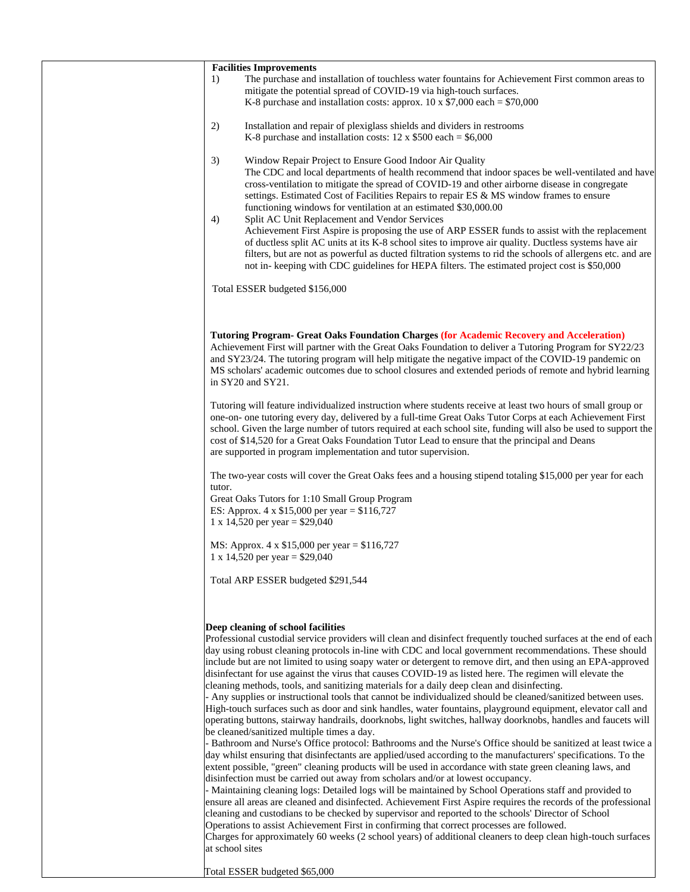| <b>Facilities Improvements</b>                                                                                                                                                                                                                                                                                                                                                                                                                                                                                                                                                                                                                                                                                                                                                                                                                                                                                                                                                                                                                                                                                                                                                                                                                                                                                                                                                                                                                                                                                                                                                                                                                                                                                                                                                                                                                                                                                                                                                                      |
|-----------------------------------------------------------------------------------------------------------------------------------------------------------------------------------------------------------------------------------------------------------------------------------------------------------------------------------------------------------------------------------------------------------------------------------------------------------------------------------------------------------------------------------------------------------------------------------------------------------------------------------------------------------------------------------------------------------------------------------------------------------------------------------------------------------------------------------------------------------------------------------------------------------------------------------------------------------------------------------------------------------------------------------------------------------------------------------------------------------------------------------------------------------------------------------------------------------------------------------------------------------------------------------------------------------------------------------------------------------------------------------------------------------------------------------------------------------------------------------------------------------------------------------------------------------------------------------------------------------------------------------------------------------------------------------------------------------------------------------------------------------------------------------------------------------------------------------------------------------------------------------------------------------------------------------------------------------------------------------------------------|
| The purchase and installation of touchless water fountains for Achievement First common areas to<br>1)<br>mitigate the potential spread of COVID-19 via high-touch surfaces.<br>K-8 purchase and installation costs: approx. $10 \times $7,000$ each = \$70,000                                                                                                                                                                                                                                                                                                                                                                                                                                                                                                                                                                                                                                                                                                                                                                                                                                                                                                                                                                                                                                                                                                                                                                                                                                                                                                                                                                                                                                                                                                                                                                                                                                                                                                                                     |
| Installation and repair of plexiglass shields and dividers in restrooms<br>2)<br>K-8 purchase and installation costs: $12 \times $500$ each = \$6,000                                                                                                                                                                                                                                                                                                                                                                                                                                                                                                                                                                                                                                                                                                                                                                                                                                                                                                                                                                                                                                                                                                                                                                                                                                                                                                                                                                                                                                                                                                                                                                                                                                                                                                                                                                                                                                               |
| Window Repair Project to Ensure Good Indoor Air Quality<br>3)<br>The CDC and local departments of health recommend that indoor spaces be well-ventilated and have<br>cross-ventilation to mitigate the spread of COVID-19 and other airborne disease in congregate<br>settings. Estimated Cost of Facilities Repairs to repair ES & MS window frames to ensure<br>functioning windows for ventilation at an estimated \$30,000.00<br>Split AC Unit Replacement and Vendor Services<br>4)<br>Achievement First Aspire is proposing the use of ARP ESSER funds to assist with the replacement<br>of ductless split AC units at its K-8 school sites to improve air quality. Ductless systems have air<br>filters, but are not as powerful as ducted filtration systems to rid the schools of allergens etc. and are<br>not in-keeping with CDC guidelines for HEPA filters. The estimated project cost is \$50,000                                                                                                                                                                                                                                                                                                                                                                                                                                                                                                                                                                                                                                                                                                                                                                                                                                                                                                                                                                                                                                                                                    |
| Total ESSER budgeted \$156,000                                                                                                                                                                                                                                                                                                                                                                                                                                                                                                                                                                                                                                                                                                                                                                                                                                                                                                                                                                                                                                                                                                                                                                                                                                                                                                                                                                                                                                                                                                                                                                                                                                                                                                                                                                                                                                                                                                                                                                      |
| <b>Tutoring Program- Great Oaks Foundation Charges (for Academic Recovery and Acceleration)</b><br>Achievement First will partner with the Great Oaks Foundation to deliver a Tutoring Program for SY22/23<br>and SY23/24. The tutoring program will help mitigate the negative impact of the COVID-19 pandemic on<br>MS scholars' academic outcomes due to school closures and extended periods of remote and hybrid learning<br>in $SY20$ and $SY21$ .                                                                                                                                                                                                                                                                                                                                                                                                                                                                                                                                                                                                                                                                                                                                                                                                                                                                                                                                                                                                                                                                                                                                                                                                                                                                                                                                                                                                                                                                                                                                            |
| Tutoring will feature individualized instruction where students receive at least two hours of small group or<br>one-on- one tutoring every day, delivered by a full-time Great Oaks Tutor Corps at each Achievement First<br>school. Given the large number of tutors required at each school site, funding will also be used to support the<br>cost of \$14,520 for a Great Oaks Foundation Tutor Lead to ensure that the principal and Deans<br>are supported in program implementation and tutor supervision.                                                                                                                                                                                                                                                                                                                                                                                                                                                                                                                                                                                                                                                                                                                                                                                                                                                                                                                                                                                                                                                                                                                                                                                                                                                                                                                                                                                                                                                                                    |
| The two-year costs will cover the Great Oaks fees and a housing stipend totaling \$15,000 per year for each<br>tutor.                                                                                                                                                                                                                                                                                                                                                                                                                                                                                                                                                                                                                                                                                                                                                                                                                                                                                                                                                                                                                                                                                                                                                                                                                                                                                                                                                                                                                                                                                                                                                                                                                                                                                                                                                                                                                                                                               |
| Great Oaks Tutors for 1:10 Small Group Program<br>ES: Approx. 4 x $$15,000$ per year = $$116,727$<br>1 x 14,520 per year = $$29,040$                                                                                                                                                                                                                                                                                                                                                                                                                                                                                                                                                                                                                                                                                                                                                                                                                                                                                                                                                                                                                                                                                                                                                                                                                                                                                                                                                                                                                                                                                                                                                                                                                                                                                                                                                                                                                                                                |
| MS: Approx. 4 x \$15,000 per year = \$116,727<br>1 x 14,520 per year = $$29,040$                                                                                                                                                                                                                                                                                                                                                                                                                                                                                                                                                                                                                                                                                                                                                                                                                                                                                                                                                                                                                                                                                                                                                                                                                                                                                                                                                                                                                                                                                                                                                                                                                                                                                                                                                                                                                                                                                                                    |
| Total ARP ESSER budgeted \$291,544                                                                                                                                                                                                                                                                                                                                                                                                                                                                                                                                                                                                                                                                                                                                                                                                                                                                                                                                                                                                                                                                                                                                                                                                                                                                                                                                                                                                                                                                                                                                                                                                                                                                                                                                                                                                                                                                                                                                                                  |
| Deep cleaning of school facilities<br>Professional custodial service providers will clean and disinfect frequently touched surfaces at the end of each<br>day using robust cleaning protocols in-line with CDC and local government recommendations. These should<br>include but are not limited to using soapy water or detergent to remove dirt, and then using an EPA-approved<br>disinfectant for use against the virus that causes COVID-19 as listed here. The regimen will elevate the<br>cleaning methods, tools, and sanitizing materials for a daily deep clean and disinfecting.<br>- Any supplies or instructional tools that cannot be individualized should be cleaned/sanitized between uses.<br>High-touch surfaces such as door and sink handles, water fountains, playground equipment, elevator call and<br>operating buttons, stairway handrails, doorknobs, light switches, hallway doorknobs, handles and faucets will<br>be cleaned/sanitized multiple times a day.<br>- Bathroom and Nurse's Office protocol: Bathrooms and the Nurse's Office should be sanitized at least twice a<br>day whilst ensuring that disinfectants are applied/used according to the manufacturers' specifications. To the<br>extent possible, "green" cleaning products will be used in accordance with state green cleaning laws, and<br>disinfection must be carried out away from scholars and/or at lowest occupancy.<br>- Maintaining cleaning logs: Detailed logs will be maintained by School Operations staff and provided to<br>ensure all areas are cleaned and disinfected. Achievement First Aspire requires the records of the professional<br>cleaning and custodians to be checked by supervisor and reported to the schools' Director of School<br>Operations to assist Achievement First in confirming that correct processes are followed.<br>Charges for approximately 60 weeks (2 school years) of additional cleaners to deep clean high-touch surfaces<br>at school sites |
| Total ESSER budgeted \$65,000                                                                                                                                                                                                                                                                                                                                                                                                                                                                                                                                                                                                                                                                                                                                                                                                                                                                                                                                                                                                                                                                                                                                                                                                                                                                                                                                                                                                                                                                                                                                                                                                                                                                                                                                                                                                                                                                                                                                                                       |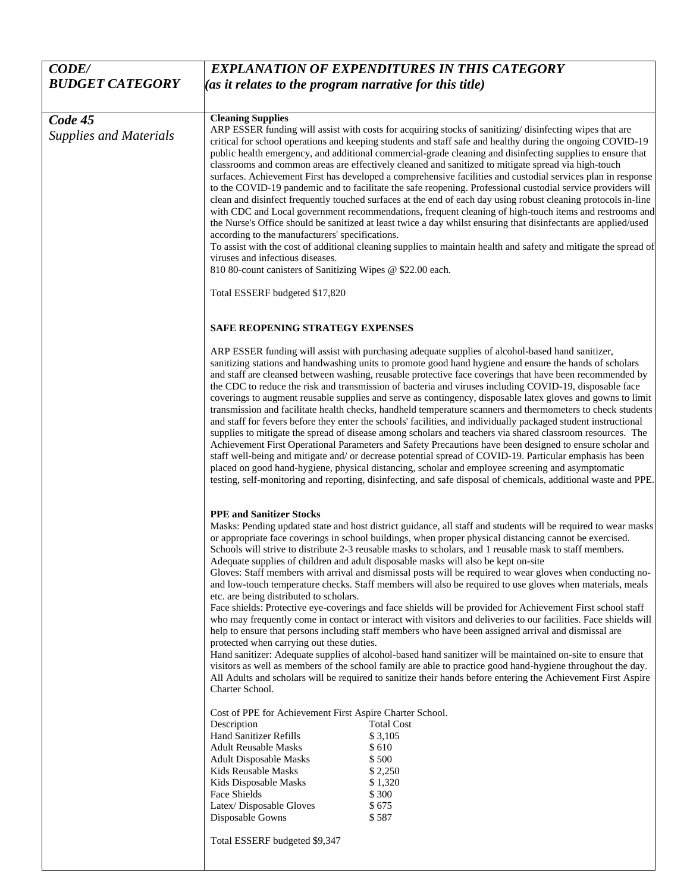| <b>CODE/</b>                             | <b>EXPLANATION OF EXPENDITURES IN THIS CATEGORY</b>                                                                                                                                                                                                                                                                                                                                                                                                                                                                                                                                                                                                                                                                                                                                                                                                                                                                                                                                                                                                                                                                                                                                                                                                                                                                                                                                                                                                                                           |  |
|------------------------------------------|-----------------------------------------------------------------------------------------------------------------------------------------------------------------------------------------------------------------------------------------------------------------------------------------------------------------------------------------------------------------------------------------------------------------------------------------------------------------------------------------------------------------------------------------------------------------------------------------------------------------------------------------------------------------------------------------------------------------------------------------------------------------------------------------------------------------------------------------------------------------------------------------------------------------------------------------------------------------------------------------------------------------------------------------------------------------------------------------------------------------------------------------------------------------------------------------------------------------------------------------------------------------------------------------------------------------------------------------------------------------------------------------------------------------------------------------------------------------------------------------------|--|
| <b>BUDGET CATEGORY</b>                   | (as it relates to the program narrative for this title)                                                                                                                                                                                                                                                                                                                                                                                                                                                                                                                                                                                                                                                                                                                                                                                                                                                                                                                                                                                                                                                                                                                                                                                                                                                                                                                                                                                                                                       |  |
|                                          |                                                                                                                                                                                                                                                                                                                                                                                                                                                                                                                                                                                                                                                                                                                                                                                                                                                                                                                                                                                                                                                                                                                                                                                                                                                                                                                                                                                                                                                                                               |  |
| Code 45<br><b>Supplies and Materials</b> | <b>Cleaning Supplies</b><br>ARP ESSER funding will assist with costs for acquiring stocks of sanitizing/disinfecting wipes that are<br>critical for school operations and keeping students and staff safe and healthy during the ongoing COVID-19<br>public health emergency, and additional commercial-grade cleaning and disinfecting supplies to ensure that<br>classrooms and common areas are effectively cleaned and sanitized to mitigate spread via high-touch<br>surfaces. Achievement First has developed a comprehensive facilities and custodial services plan in response<br>to the COVID-19 pandemic and to facilitate the safe reopening. Professional custodial service providers will<br>clean and disinfect frequently touched surfaces at the end of each day using robust cleaning protocols in-line<br>with CDC and Local government recommendations, frequent cleaning of high-touch items and restrooms and<br>the Nurse's Office should be sanitized at least twice a day whilst ensuring that disinfectants are applied/used<br>according to the manufacturers' specifications.<br>To assist with the cost of additional cleaning supplies to maintain health and safety and mitigate the spread of                                                                                                                                                                                                                                                                  |  |
|                                          | viruses and infectious diseases.                                                                                                                                                                                                                                                                                                                                                                                                                                                                                                                                                                                                                                                                                                                                                                                                                                                                                                                                                                                                                                                                                                                                                                                                                                                                                                                                                                                                                                                              |  |
|                                          | 810 80-count canisters of Sanitizing Wipes @ \$22.00 each.                                                                                                                                                                                                                                                                                                                                                                                                                                                                                                                                                                                                                                                                                                                                                                                                                                                                                                                                                                                                                                                                                                                                                                                                                                                                                                                                                                                                                                    |  |
|                                          | Total ESSERF budgeted \$17,820                                                                                                                                                                                                                                                                                                                                                                                                                                                                                                                                                                                                                                                                                                                                                                                                                                                                                                                                                                                                                                                                                                                                                                                                                                                                                                                                                                                                                                                                |  |
|                                          | <b>SAFE REOPENING STRATEGY EXPENSES</b>                                                                                                                                                                                                                                                                                                                                                                                                                                                                                                                                                                                                                                                                                                                                                                                                                                                                                                                                                                                                                                                                                                                                                                                                                                                                                                                                                                                                                                                       |  |
|                                          | ARP ESSER funding will assist with purchasing adequate supplies of alcohol-based hand sanitizer,<br>sanitizing stations and handwashing units to promote good hand hygiene and ensure the hands of scholars<br>and staff are cleansed between washing, reusable protective face coverings that have been recommended by<br>the CDC to reduce the risk and transmission of bacteria and viruses including COVID-19, disposable face<br>coverings to augment reusable supplies and serve as contingency, disposable latex gloves and gowns to limit<br>transmission and facilitate health checks, handheld temperature scanners and thermometers to check students<br>and staff for fevers before they enter the schools' facilities, and individually packaged student instructional<br>supplies to mitigate the spread of disease among scholars and teachers via shared classroom resources. The<br>Achievement First Operational Parameters and Safety Precautions have been designed to ensure scholar and<br>staff well-being and mitigate and/ or decrease potential spread of COVID-19. Particular emphasis has been<br>placed on good hand-hygiene, physical distancing, scholar and employee screening and asymptomatic<br>testing, self-monitoring and reporting, disinfecting, and safe disposal of chemicals, additional waste and PPE.                                                                                                                                            |  |
|                                          | <b>PPE and Sanitizer Stocks</b><br>Masks: Pending updated state and host district guidance, all staff and students will be required to wear masks<br>or appropriate face coverings in school buildings, when proper physical distancing cannot be exercised.<br>Schools will strive to distribute 2-3 reusable masks to scholars, and 1 reusable mask to staff members.<br>Adequate supplies of children and adult disposable masks will also be kept on-site<br>Gloves: Staff members with arrival and dismissal posts will be required to wear gloves when conducting no-<br>and low-touch temperature checks. Staff members will also be required to use gloves when materials, meals<br>etc. are being distributed to scholars.<br>Face shields: Protective eye-coverings and face shields will be provided for Achievement First school staff<br>who may frequently come in contact or interact with visitors and deliveries to our facilities. Face shields will<br>help to ensure that persons including staff members who have been assigned arrival and dismissal are<br>protected when carrying out these duties.<br>Hand sanitizer: Adequate supplies of alcohol-based hand sanitizer will be maintained on-site to ensure that<br>visitors as well as members of the school family are able to practice good hand-hygiene throughout the day.<br>All Adults and scholars will be required to sanitize their hands before entering the Achievement First Aspire<br>Charter School. |  |
|                                          | Cost of PPE for Achievement First Aspire Charter School.<br><b>Total Cost</b><br>Description<br>Hand Sanitizer Refills<br>\$3,105<br><b>Adult Reusable Masks</b><br>\$610<br>\$500<br><b>Adult Disposable Masks</b><br>Kids Reusable Masks<br>\$2,250<br>Kids Disposable Masks<br>\$1,320<br>\$300<br>Face Shields<br>\$675<br>Latex/Disposable Gloves<br>\$587<br>Disposable Gowns<br>Total ESSERF budgeted \$9,347                                                                                                                                                                                                                                                                                                                                                                                                                                                                                                                                                                                                                                                                                                                                                                                                                                                                                                                                                                                                                                                                          |  |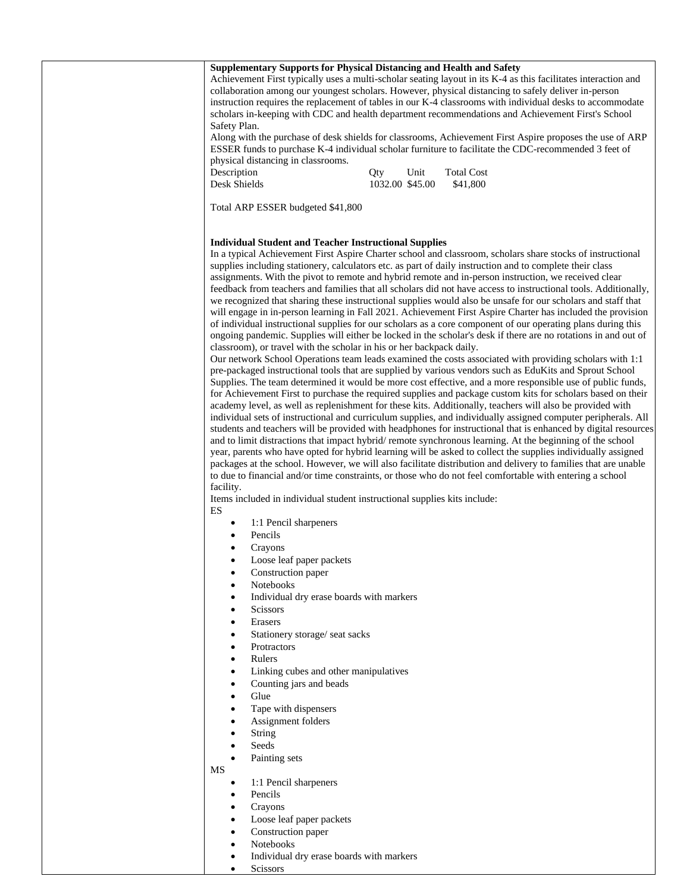| Supplementary Supports for Physical Distancing and Health and Safety<br>Achievement First typically uses a multi-scholar seating layout in its K-4 as this facilitates interaction and<br>collaboration among our youngest scholars. However, physical distancing to safely deliver in-person<br>instruction requires the replacement of tables in our K-4 classrooms with individual desks to accommodate<br>scholars in-keeping with CDC and health department recommendations and Achievement First's School<br>Safety Plan.<br>Along with the purchase of desk shields for classrooms, Achievement First Aspire proposes the use of ARP<br>ESSER funds to purchase K-4 individual scholar furniture to facilitate the CDC-recommended 3 feet of<br>physical distancing in classrooms.<br>Description<br><b>Total Cost</b><br>Qty<br>Unit<br>Desk Shields<br>1032.00 \$45.00<br>\$41,800<br>Total ARP ESSER budgeted \$41,800                                                                                                                                                                                                                                                                                                                                                                                                                                                                                                                                                                                                                                                                                                                                                                                                                                                                                                                                                                                                                                                                                                                                                                                                                                                                                                                                                                                        |
|-------------------------------------------------------------------------------------------------------------------------------------------------------------------------------------------------------------------------------------------------------------------------------------------------------------------------------------------------------------------------------------------------------------------------------------------------------------------------------------------------------------------------------------------------------------------------------------------------------------------------------------------------------------------------------------------------------------------------------------------------------------------------------------------------------------------------------------------------------------------------------------------------------------------------------------------------------------------------------------------------------------------------------------------------------------------------------------------------------------------------------------------------------------------------------------------------------------------------------------------------------------------------------------------------------------------------------------------------------------------------------------------------------------------------------------------------------------------------------------------------------------------------------------------------------------------------------------------------------------------------------------------------------------------------------------------------------------------------------------------------------------------------------------------------------------------------------------------------------------------------------------------------------------------------------------------------------------------------------------------------------------------------------------------------------------------------------------------------------------------------------------------------------------------------------------------------------------------------------------------------------------------------------------------------------------------------|
| <b>Individual Student and Teacher Instructional Supplies</b><br>In a typical Achievement First Aspire Charter school and classroom, scholars share stocks of instructional<br>supplies including stationery, calculators etc. as part of daily instruction and to complete their class<br>assignments. With the pivot to remote and hybrid remote and in-person instruction, we received clear<br>feedback from teachers and families that all scholars did not have access to instructional tools. Additionally,<br>we recognized that sharing these instructional supplies would also be unsafe for our scholars and staff that<br>will engage in in-person learning in Fall 2021. Achievement First Aspire Charter has included the provision<br>of individual instructional supplies for our scholars as a core component of our operating plans during this<br>ongoing pandemic. Supplies will either be locked in the scholar's desk if there are no rotations in and out of<br>classroom), or travel with the scholar in his or her backpack daily.<br>Our network School Operations team leads examined the costs associated with providing scholars with 1:1<br>pre-packaged instructional tools that are supplied by various vendors such as EduKits and Sprout School<br>Supplies. The team determined it would be more cost effective, and a more responsible use of public funds,<br>for Achievement First to purchase the required supplies and package custom kits for scholars based on their<br>academy level, as well as replenishment for these kits. Additionally, teachers will also be provided with<br>individual sets of instructional and curriculum supplies, and individually assigned computer peripherals. All<br>students and teachers will be provided with headphones for instructional that is enhanced by digital resources<br>and to limit distractions that impact hybrid/remote synchronous learning. At the beginning of the school<br>year, parents who have opted for hybrid learning will be asked to collect the supplies individually assigned<br>packages at the school. However, we will also facilitate distribution and delivery to families that are unable<br>to due to financial and/or time constraints, or those who do not feel comfortable with entering a school |
| facility.<br>Items included in individual student instructional supplies kits include:<br>ES<br>1:1 Pencil sharpeners<br>$\bullet$<br>Pencils<br>Crayons<br>Loose leaf paper packets<br>Construction paper<br>$\bullet$<br>Notebooks<br>$\bullet$<br>Individual dry erase boards with markers<br>$\bullet$                                                                                                                                                                                                                                                                                                                                                                                                                                                                                                                                                                                                                                                                                                                                                                                                                                                                                                                                                                                                                                                                                                                                                                                                                                                                                                                                                                                                                                                                                                                                                                                                                                                                                                                                                                                                                                                                                                                                                                                                              |
| <b>Scissors</b><br>$\bullet$<br>Erasers<br>$\bullet$<br>Stationery storage/ seat sacks<br>$\bullet$<br>Protractors<br>$\bullet$<br>Rulers<br>$\bullet$<br>Linking cubes and other manipulatives<br>$\bullet$<br>Counting jars and beads<br>$\bullet$<br>Glue<br>$\bullet$<br>Tape with dispensers<br>$\bullet$<br>Assignment folders<br>$\bullet$<br>String<br>$\bullet$                                                                                                                                                                                                                                                                                                                                                                                                                                                                                                                                                                                                                                                                                                                                                                                                                                                                                                                                                                                                                                                                                                                                                                                                                                                                                                                                                                                                                                                                                                                                                                                                                                                                                                                                                                                                                                                                                                                                                |
| Seeds<br>$\bullet$<br>Painting sets<br>$\bullet$<br>MS<br>1:1 Pencil sharpeners<br>$\bullet$<br>Pencils<br>$\bullet$<br>Crayons<br>$\bullet$<br>Loose leaf paper packets<br>$\bullet$<br>Construction paper<br>Notebooks<br>$\bullet$                                                                                                                                                                                                                                                                                                                                                                                                                                                                                                                                                                                                                                                                                                                                                                                                                                                                                                                                                                                                                                                                                                                                                                                                                                                                                                                                                                                                                                                                                                                                                                                                                                                                                                                                                                                                                                                                                                                                                                                                                                                                                   |

- Individual dry erase boards with markers
- Scissors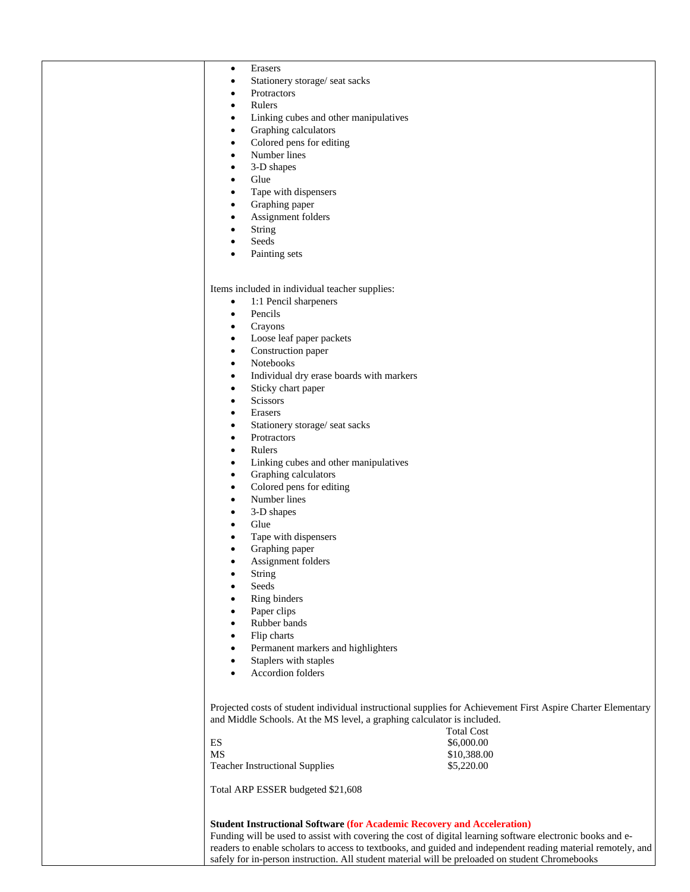| Erasers<br>$\bullet$                                                    |                                                                                                              |
|-------------------------------------------------------------------------|--------------------------------------------------------------------------------------------------------------|
| Stationery storage/ seat sacks<br>$\bullet$                             |                                                                                                              |
| Protractors<br>٠                                                        |                                                                                                              |
| Rulers<br>$\bullet$                                                     |                                                                                                              |
| Linking cubes and other manipulatives<br>$\bullet$                      |                                                                                                              |
|                                                                         |                                                                                                              |
| Graphing calculators<br>$\bullet$                                       |                                                                                                              |
| Colored pens for editing<br>$\bullet$                                   |                                                                                                              |
| Number lines<br>$\bullet$                                               |                                                                                                              |
| 3-D shapes<br>$\bullet$                                                 |                                                                                                              |
| Glue<br>$\bullet$                                                       |                                                                                                              |
|                                                                         |                                                                                                              |
| Tape with dispensers<br>$\bullet$                                       |                                                                                                              |
| Graphing paper<br>$\bullet$                                             |                                                                                                              |
| Assignment folders<br>$\bullet$                                         |                                                                                                              |
| <b>String</b><br>$\bullet$                                              |                                                                                                              |
| Seeds                                                                   |                                                                                                              |
| Painting sets                                                           |                                                                                                              |
|                                                                         |                                                                                                              |
|                                                                         |                                                                                                              |
|                                                                         |                                                                                                              |
| Items included in individual teacher supplies:                          |                                                                                                              |
| 1:1 Pencil sharpeners<br>$\bullet$                                      |                                                                                                              |
| Pencils<br>$\bullet$                                                    |                                                                                                              |
| Crayons<br>$\bullet$                                                    |                                                                                                              |
| Loose leaf paper packets<br>$\bullet$                                   |                                                                                                              |
|                                                                         |                                                                                                              |
| Construction paper<br>$\bullet$                                         |                                                                                                              |
| Notebooks<br>$\bullet$                                                  |                                                                                                              |
| Individual dry erase boards with markers<br>$\bullet$                   |                                                                                                              |
| Sticky chart paper<br>$\bullet$                                         |                                                                                                              |
| Scissors<br>$\bullet$                                                   |                                                                                                              |
|                                                                         |                                                                                                              |
| Erasers<br>$\bullet$                                                    |                                                                                                              |
| Stationery storage/ seat sacks<br>$\bullet$                             |                                                                                                              |
| Protractors<br>٠                                                        |                                                                                                              |
| Rulers<br>$\bullet$                                                     |                                                                                                              |
| Linking cubes and other manipulatives<br>$\bullet$                      |                                                                                                              |
|                                                                         |                                                                                                              |
| Graphing calculators<br>$\bullet$                                       |                                                                                                              |
| Colored pens for editing<br>$\bullet$                                   |                                                                                                              |
| Number lines<br>$\bullet$                                               |                                                                                                              |
| 3-D shapes                                                              |                                                                                                              |
| Glue                                                                    |                                                                                                              |
|                                                                         |                                                                                                              |
| Tape with dispensers                                                    |                                                                                                              |
| Graphing paper                                                          |                                                                                                              |
| Assignment folders                                                      |                                                                                                              |
| String                                                                  |                                                                                                              |
| Seeds                                                                   |                                                                                                              |
|                                                                         |                                                                                                              |
| Ring binders                                                            |                                                                                                              |
| Paper clips                                                             |                                                                                                              |
| Rubber bands                                                            |                                                                                                              |
| Flip charts                                                             |                                                                                                              |
| Permanent markers and highlighters                                      |                                                                                                              |
|                                                                         |                                                                                                              |
| Staplers with staples                                                   |                                                                                                              |
| Accordion folders                                                       |                                                                                                              |
|                                                                         |                                                                                                              |
|                                                                         |                                                                                                              |
|                                                                         | Projected costs of student individual instructional supplies for Achievement First Aspire Charter Elementary |
| and Middle Schools. At the MS level, a graphing calculator is included. |                                                                                                              |
|                                                                         |                                                                                                              |
|                                                                         | <b>Total Cost</b>                                                                                            |
| ES                                                                      | \$6,000.00                                                                                                   |
| MS                                                                      | \$10,388.00                                                                                                  |
| <b>Teacher Instructional Supplies</b>                                   | \$5,220.00                                                                                                   |
|                                                                         |                                                                                                              |
| Total ARP ESSER budgeted \$21,608                                       |                                                                                                              |
|                                                                         |                                                                                                              |
|                                                                         |                                                                                                              |
|                                                                         | <b>Student Instructional Software (for Academic Recovery and Acceleration)</b>                               |
|                                                                         |                                                                                                              |
|                                                                         | Funding will be used to assist with covering the cost of digital learning software electronic books and e-   |
|                                                                         | readers to enable scholars to access to textbooks, and guided and independent reading material remotely, and |
|                                                                         | safely for in-person instruction. All student material will be preloaded on student Chromebooks              |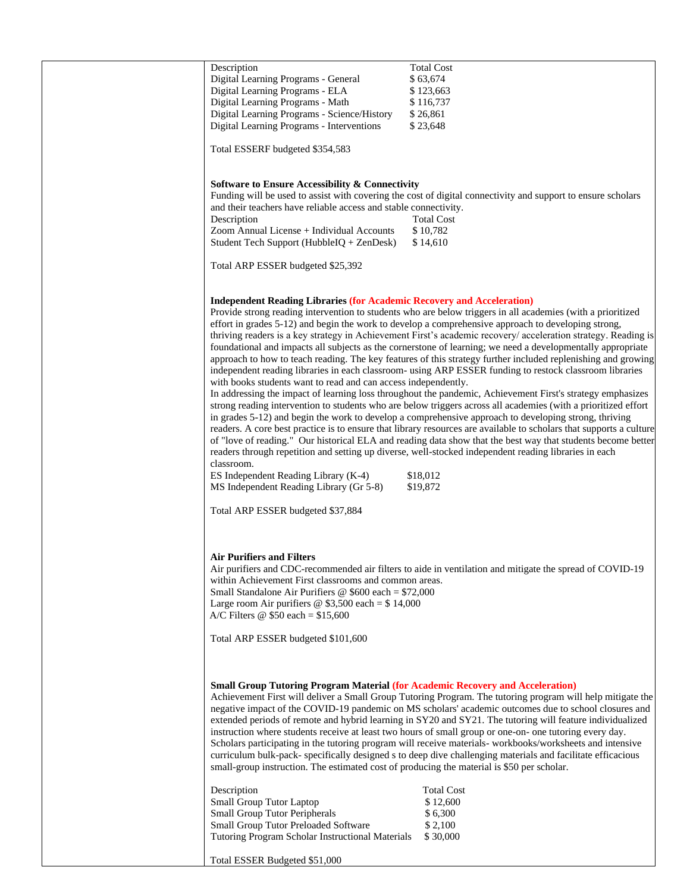| Description                                                                                | <b>Total Cost</b>                                                                                                   |
|--------------------------------------------------------------------------------------------|---------------------------------------------------------------------------------------------------------------------|
| Digital Learning Programs - General                                                        | \$63,674                                                                                                            |
| Digital Learning Programs - ELA                                                            | \$123,663                                                                                                           |
| Digital Learning Programs - Math                                                           | \$116,737                                                                                                           |
| Digital Learning Programs - Science/History                                                | \$26,861                                                                                                            |
|                                                                                            |                                                                                                                     |
| Digital Learning Programs - Interventions                                                  | \$23,648                                                                                                            |
|                                                                                            |                                                                                                                     |
| Total ESSERF budgeted \$354,583                                                            |                                                                                                                     |
|                                                                                            |                                                                                                                     |
|                                                                                            |                                                                                                                     |
| <b>Software to Ensure Accessibility &amp; Connectivity</b>                                 |                                                                                                                     |
|                                                                                            | Funding will be used to assist with covering the cost of digital connectivity and support to ensure scholars        |
| and their teachers have reliable access and stable connectivity.                           |                                                                                                                     |
| Description                                                                                | <b>Total Cost</b>                                                                                                   |
|                                                                                            |                                                                                                                     |
| Zoom Annual License + Individual Accounts                                                  | \$10,782                                                                                                            |
| Student Tech Support (HubbleIQ + ZenDesk)                                                  | \$14,610                                                                                                            |
|                                                                                            |                                                                                                                     |
| Total ARP ESSER budgeted \$25,392                                                          |                                                                                                                     |
|                                                                                            |                                                                                                                     |
|                                                                                            |                                                                                                                     |
| <b>Independent Reading Libraries (for Academic Recovery and Acceleration)</b>              |                                                                                                                     |
|                                                                                            |                                                                                                                     |
|                                                                                            | Provide strong reading intervention to students who are below triggers in all academies (with a prioritized         |
|                                                                                            | effort in grades 5-12) and begin the work to develop a comprehensive approach to developing strong,                 |
|                                                                                            | thriving readers is a key strategy in Achievement First's academic recovery/ acceleration strategy. Reading is      |
|                                                                                            | foundational and impacts all subjects as the cornerstone of learning; we need a developmentally appropriate         |
|                                                                                            | approach to how to teach reading. The key features of this strategy further included replenishing and growing       |
|                                                                                            | independent reading libraries in each classroom- using ARP ESSER funding to restock classroom libraries             |
| with books students want to read and can access independently.                             |                                                                                                                     |
|                                                                                            |                                                                                                                     |
|                                                                                            | In addressing the impact of learning loss throughout the pandemic, Achievement First's strategy emphasizes          |
|                                                                                            | strong reading intervention to students who are below triggers across all academies (with a prioritized effort      |
|                                                                                            | in grades 5-12) and begin the work to develop a comprehensive approach to developing strong, thriving               |
|                                                                                            | readers. A core best practice is to ensure that library resources are available to scholars that supports a culture |
|                                                                                            | of "love of reading." Our historical ELA and reading data show that the best way that students become better        |
|                                                                                            |                                                                                                                     |
|                                                                                            | readers through repetition and setting up diverse, well-stocked independent reading libraries in each               |
| classroom.                                                                                 |                                                                                                                     |
| ES Independent Reading Library (K-4)                                                       | \$18,012                                                                                                            |
| MS Independent Reading Library (Gr 5-8)                                                    | \$19,872                                                                                                            |
|                                                                                            |                                                                                                                     |
| Total ARP ESSER budgeted \$37,884                                                          |                                                                                                                     |
|                                                                                            |                                                                                                                     |
|                                                                                            |                                                                                                                     |
|                                                                                            |                                                                                                                     |
|                                                                                            |                                                                                                                     |
| Air Purifiers and Filters                                                                  |                                                                                                                     |
|                                                                                            | Air purifiers and CDC-recommended air filters to aide in ventilation and mitigate the spread of COVID-19            |
| within Achievement First classrooms and common areas.                                      |                                                                                                                     |
| Small Standalone Air Purifiers @ $$600$ each = \$72,000                                    |                                                                                                                     |
| Large room Air purifiers $\circledcirc$ \$3,500 each = \$14,000                            |                                                                                                                     |
|                                                                                            |                                                                                                                     |
| A/C Filters $\omega$ \$50 each = \$15,600                                                  |                                                                                                                     |
|                                                                                            |                                                                                                                     |
| Total ARP ESSER budgeted \$101,600                                                         |                                                                                                                     |
|                                                                                            |                                                                                                                     |
|                                                                                            |                                                                                                                     |
|                                                                                            |                                                                                                                     |
| <b>Small Group Tutoring Program Material (for Academic Recovery and Acceleration)</b>      |                                                                                                                     |
|                                                                                            |                                                                                                                     |
|                                                                                            | Achievement First will deliver a Small Group Tutoring Program. The tutoring program will help mitigate the          |
|                                                                                            | negative impact of the COVID-19 pandemic on MS scholars' academic outcomes due to school closures and               |
|                                                                                            | extended periods of remote and hybrid learning in SY20 and SY21. The tutoring will feature individualized           |
|                                                                                            | instruction where students receive at least two hours of small group or one-on- one tutoring every day.             |
|                                                                                            | Scholars participating in the tutoring program will receive materials-workbooks/worksheets and intensive            |
|                                                                                            | curriculum bulk-pack- specifically designed s to deep dive challenging materials and facilitate efficacious         |
|                                                                                            |                                                                                                                     |
| small-group instruction. The estimated cost of producing the material is \$50 per scholar. |                                                                                                                     |
|                                                                                            |                                                                                                                     |
| Description                                                                                | <b>Total Cost</b>                                                                                                   |
| Small Group Tutor Laptop                                                                   | \$12,600                                                                                                            |
| Small Group Tutor Peripherals                                                              | \$6,300                                                                                                             |
| Small Group Tutor Preloaded Software                                                       | \$2,100                                                                                                             |
|                                                                                            |                                                                                                                     |
| Tutoring Program Scholar Instructional Materials                                           | \$30,000                                                                                                            |
|                                                                                            |                                                                                                                     |
| Total ESSER Budgeted \$51,000                                                              |                                                                                                                     |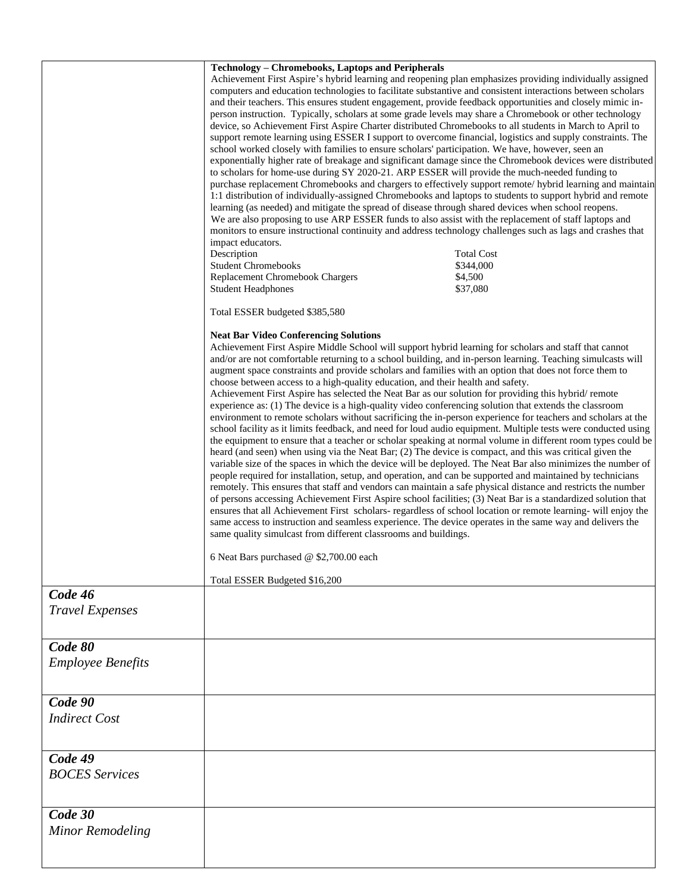|                                     | <b>Technology - Chromebooks, Laptops and Peripherals</b><br>impact educators.<br>Description<br><b>Student Chromebooks</b><br>Replacement Chromebook Chargers                                                                                                                                                                                                                                                                                                                                                                                                                                                                                                                                                                                                                                                                                                                                                                                                                                                                                                                                                                                                                                                                                                                                                                                                                                                                                                                                                                                                                                                                                                                                                                                                                                                                                                                                                                                                                              | Achievement First Aspire's hybrid learning and reopening plan emphasizes providing individually assigned<br>computers and education technologies to facilitate substantive and consistent interactions between scholars<br>and their teachers. This ensures student engagement, provide feedback opportunities and closely mimic in-<br>person instruction. Typically, scholars at some grade levels may share a Chromebook or other technology<br>device, so Achievement First Aspire Charter distributed Chromebooks to all students in March to April to<br>support remote learning using ESSER I support to overcome financial, logistics and supply constraints. The<br>school worked closely with families to ensure scholars' participation. We have, however, seen an<br>exponentially higher rate of breakage and significant damage since the Chromebook devices were distributed<br>to scholars for home-use during SY 2020-21. ARP ESSER will provide the much-needed funding to<br>purchase replacement Chromebooks and chargers to effectively support remote/ hybrid learning and maintain<br>1:1 distribution of individually-assigned Chromebooks and laptops to students to support hybrid and remote<br>learning (as needed) and mitigate the spread of disease through shared devices when school reopens.<br>We are also proposing to use ARP ESSER funds to also assist with the replacement of staff laptops and<br>monitors to ensure instructional continuity and address technology challenges such as lags and crashes that<br><b>Total Cost</b><br>\$344,000<br>\$4,500 |  |  |
|-------------------------------------|--------------------------------------------------------------------------------------------------------------------------------------------------------------------------------------------------------------------------------------------------------------------------------------------------------------------------------------------------------------------------------------------------------------------------------------------------------------------------------------------------------------------------------------------------------------------------------------------------------------------------------------------------------------------------------------------------------------------------------------------------------------------------------------------------------------------------------------------------------------------------------------------------------------------------------------------------------------------------------------------------------------------------------------------------------------------------------------------------------------------------------------------------------------------------------------------------------------------------------------------------------------------------------------------------------------------------------------------------------------------------------------------------------------------------------------------------------------------------------------------------------------------------------------------------------------------------------------------------------------------------------------------------------------------------------------------------------------------------------------------------------------------------------------------------------------------------------------------------------------------------------------------------------------------------------------------------------------------------------------------|-----------------------------------------------------------------------------------------------------------------------------------------------------------------------------------------------------------------------------------------------------------------------------------------------------------------------------------------------------------------------------------------------------------------------------------------------------------------------------------------------------------------------------------------------------------------------------------------------------------------------------------------------------------------------------------------------------------------------------------------------------------------------------------------------------------------------------------------------------------------------------------------------------------------------------------------------------------------------------------------------------------------------------------------------------------------------------------------------------------------------------------------------------------------------------------------------------------------------------------------------------------------------------------------------------------------------------------------------------------------------------------------------------------------------------------------------------------------------------------------------------------------------------------------------------------------------------------------------------|--|--|
|                                     | <b>Student Headphones</b>                                                                                                                                                                                                                                                                                                                                                                                                                                                                                                                                                                                                                                                                                                                                                                                                                                                                                                                                                                                                                                                                                                                                                                                                                                                                                                                                                                                                                                                                                                                                                                                                                                                                                                                                                                                                                                                                                                                                                                  | \$37,080                                                                                                                                                                                                                                                                                                                                                                                                                                                                                                                                                                                                                                                                                                                                                                                                                                                                                                                                                                                                                                                                                                                                                                                                                                                                                                                                                                                                                                                                                                                                                                                            |  |  |
|                                     | Total ESSER budgeted \$385,580                                                                                                                                                                                                                                                                                                                                                                                                                                                                                                                                                                                                                                                                                                                                                                                                                                                                                                                                                                                                                                                                                                                                                                                                                                                                                                                                                                                                                                                                                                                                                                                                                                                                                                                                                                                                                                                                                                                                                             |                                                                                                                                                                                                                                                                                                                                                                                                                                                                                                                                                                                                                                                                                                                                                                                                                                                                                                                                                                                                                                                                                                                                                                                                                                                                                                                                                                                                                                                                                                                                                                                                     |  |  |
|                                     | <b>Neat Bar Video Conferencing Solutions</b><br>Achievement First Aspire Middle School will support hybrid learning for scholars and staff that cannot<br>and/or are not comfortable returning to a school building, and in-person learning. Teaching simulcasts will<br>augment space constraints and provide scholars and families with an option that does not force them to<br>choose between access to a high-quality education, and their health and safety.<br>Achievement First Aspire has selected the Neat Bar as our solution for providing this hybrid/remote<br>experience as: (1) The device is a high-quality video conferencing solution that extends the classroom<br>environment to remote scholars without sacrificing the in-person experience for teachers and scholars at the<br>school facility as it limits feedback, and need for loud audio equipment. Multiple tests were conducted using<br>the equipment to ensure that a teacher or scholar speaking at normal volume in different room types could be<br>heard (and seen) when using via the Neat Bar; (2) The device is compact, and this was critical given the<br>variable size of the spaces in which the device will be deployed. The Neat Bar also minimizes the number of<br>people required for installation, setup, and operation, and can be supported and maintained by technicians<br>remotely. This ensures that staff and vendors can maintain a safe physical distance and restricts the number<br>of persons accessing Achievement First Aspire school facilities; (3) Neat Bar is a standardized solution that<br>ensures that all Achievement First scholars- regardless of school location or remote learning- will enjoy the<br>same access to instruction and seamless experience. The device operates in the same way and delivers the<br>same quality simulcast from different classrooms and buildings.<br>6 Neat Bars purchased @ \$2,700.00 each<br>Total ESSER Budgeted \$16,200 |                                                                                                                                                                                                                                                                                                                                                                                                                                                                                                                                                                                                                                                                                                                                                                                                                                                                                                                                                                                                                                                                                                                                                                                                                                                                                                                                                                                                                                                                                                                                                                                                     |  |  |
| Code 46                             |                                                                                                                                                                                                                                                                                                                                                                                                                                                                                                                                                                                                                                                                                                                                                                                                                                                                                                                                                                                                                                                                                                                                                                                                                                                                                                                                                                                                                                                                                                                                                                                                                                                                                                                                                                                                                                                                                                                                                                                            |                                                                                                                                                                                                                                                                                                                                                                                                                                                                                                                                                                                                                                                                                                                                                                                                                                                                                                                                                                                                                                                                                                                                                                                                                                                                                                                                                                                                                                                                                                                                                                                                     |  |  |
| <b>Travel Expenses</b>              |                                                                                                                                                                                                                                                                                                                                                                                                                                                                                                                                                                                                                                                                                                                                                                                                                                                                                                                                                                                                                                                                                                                                                                                                                                                                                                                                                                                                                                                                                                                                                                                                                                                                                                                                                                                                                                                                                                                                                                                            |                                                                                                                                                                                                                                                                                                                                                                                                                                                                                                                                                                                                                                                                                                                                                                                                                                                                                                                                                                                                                                                                                                                                                                                                                                                                                                                                                                                                                                                                                                                                                                                                     |  |  |
| Code 80<br><b>Employee Benefits</b> |                                                                                                                                                                                                                                                                                                                                                                                                                                                                                                                                                                                                                                                                                                                                                                                                                                                                                                                                                                                                                                                                                                                                                                                                                                                                                                                                                                                                                                                                                                                                                                                                                                                                                                                                                                                                                                                                                                                                                                                            |                                                                                                                                                                                                                                                                                                                                                                                                                                                                                                                                                                                                                                                                                                                                                                                                                                                                                                                                                                                                                                                                                                                                                                                                                                                                                                                                                                                                                                                                                                                                                                                                     |  |  |
| Code 90<br><b>Indirect Cost</b>     |                                                                                                                                                                                                                                                                                                                                                                                                                                                                                                                                                                                                                                                                                                                                                                                                                                                                                                                                                                                                                                                                                                                                                                                                                                                                                                                                                                                                                                                                                                                                                                                                                                                                                                                                                                                                                                                                                                                                                                                            |                                                                                                                                                                                                                                                                                                                                                                                                                                                                                                                                                                                                                                                                                                                                                                                                                                                                                                                                                                                                                                                                                                                                                                                                                                                                                                                                                                                                                                                                                                                                                                                                     |  |  |
| Code 49<br><b>BOCES</b> Services    |                                                                                                                                                                                                                                                                                                                                                                                                                                                                                                                                                                                                                                                                                                                                                                                                                                                                                                                                                                                                                                                                                                                                                                                                                                                                                                                                                                                                                                                                                                                                                                                                                                                                                                                                                                                                                                                                                                                                                                                            |                                                                                                                                                                                                                                                                                                                                                                                                                                                                                                                                                                                                                                                                                                                                                                                                                                                                                                                                                                                                                                                                                                                                                                                                                                                                                                                                                                                                                                                                                                                                                                                                     |  |  |
| Code 30<br><b>Minor Remodeling</b>  |                                                                                                                                                                                                                                                                                                                                                                                                                                                                                                                                                                                                                                                                                                                                                                                                                                                                                                                                                                                                                                                                                                                                                                                                                                                                                                                                                                                                                                                                                                                                                                                                                                                                                                                                                                                                                                                                                                                                                                                            |                                                                                                                                                                                                                                                                                                                                                                                                                                                                                                                                                                                                                                                                                                                                                                                                                                                                                                                                                                                                                                                                                                                                                                                                                                                                                                                                                                                                                                                                                                                                                                                                     |  |  |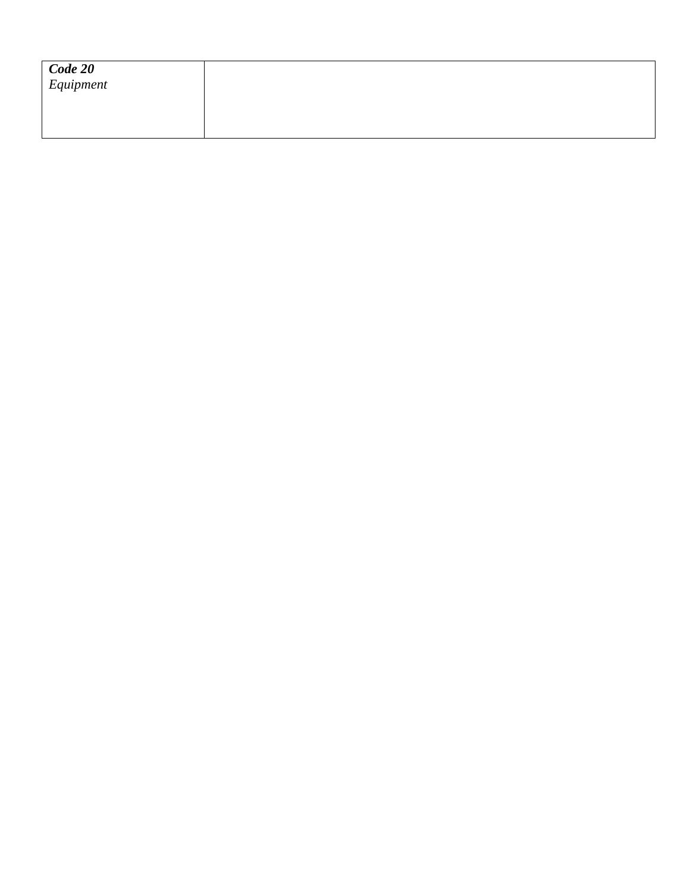| $\sqrt{\frac{Code\ 20}{Equipment}}$ |  |  |  |
|-------------------------------------|--|--|--|
|                                     |  |  |  |
|                                     |  |  |  |
|                                     |  |  |  |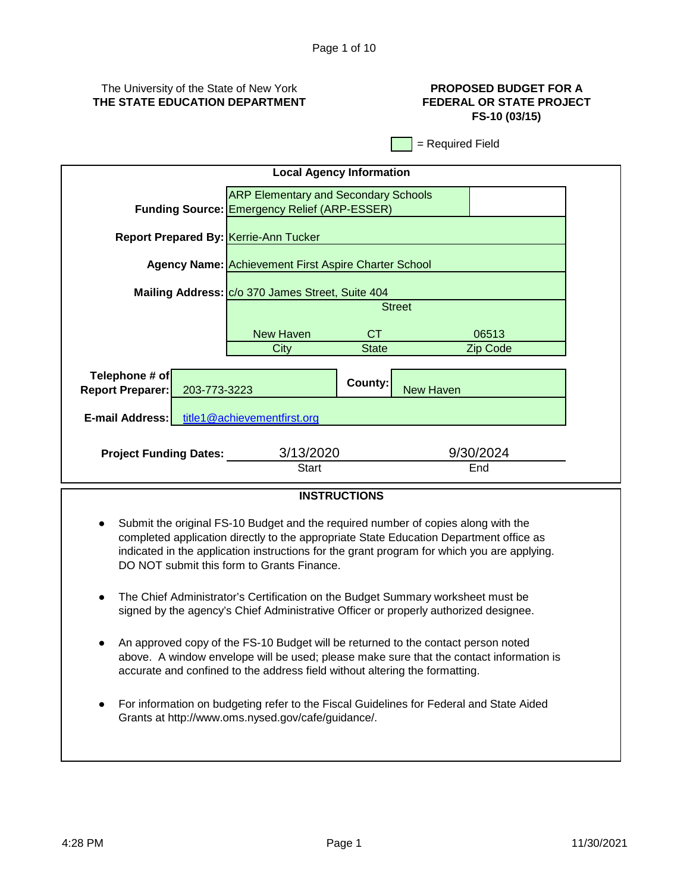# The University of the State of New York **THE STATE EDUCATION DEPARTMENT**

# **PROPOSED BUDGET FOR A FEDERAL OR STATE PROJECT FS-10 (03/15)**

= Required Field

| <b>Local Agency Information</b>                           |                                                                                                    |              |                  |                  |  |
|-----------------------------------------------------------|----------------------------------------------------------------------------------------------------|--------------|------------------|------------------|--|
|                                                           | <b>ARP Elementary and Secondary Schools</b><br><b>Funding Source: Emergency Relief (ARP-ESSER)</b> |              |                  |                  |  |
| <b>Report Prepared By: Kerrie-Ann Tucker</b>              |                                                                                                    |              |                  |                  |  |
|                                                           | <b>Agency Name: Achievement First Aspire Charter School</b>                                        |              |                  |                  |  |
|                                                           | Mailing Address: C/o 370 James Street, Suite 404                                                   |              |                  |                  |  |
|                                                           |                                                                                                    |              | <b>Street</b>    |                  |  |
|                                                           | <b>New Haven</b>                                                                                   | CT.          |                  | 06513            |  |
|                                                           | City                                                                                               | <b>State</b> |                  | Zip Code         |  |
| Telephone # of<br><b>Report Preparer:</b><br>203-773-3223 |                                                                                                    | County:      | <b>New Haven</b> |                  |  |
| title1@achievementfirst.org<br><b>E-mail Address:</b>     |                                                                                                    |              |                  |                  |  |
| <b>Project Funding Dates:</b>                             | 3/13/2020<br><b>Start</b>                                                                          |              |                  | 9/30/2024<br>End |  |
|                                                           |                                                                                                    |              |                  |                  |  |

# **INSTRUCTIONS**

- Submit the original FS-10 Budget and the required number of copies along with the completed application directly to the appropriate State Education Department office as indicated in the application instructions for the grant program for which you are applying. DO NOT submit this form to Grants Finance.
- The Chief Administrator's Certification on the Budget Summary worksheet must be signed by the agency's Chief Administrative Officer or properly authorized designee.
- An approved copy of the FS-10 Budget will be returned to the contact person noted above. A window envelope will be used; please make sure that the contact information is accurate and confined to the address field without altering the formatting.
- For information on budgeting refer to the Fiscal Guidelines for Federal and State Aided Grants at http://www.oms.nysed.gov/cafe/guidance/.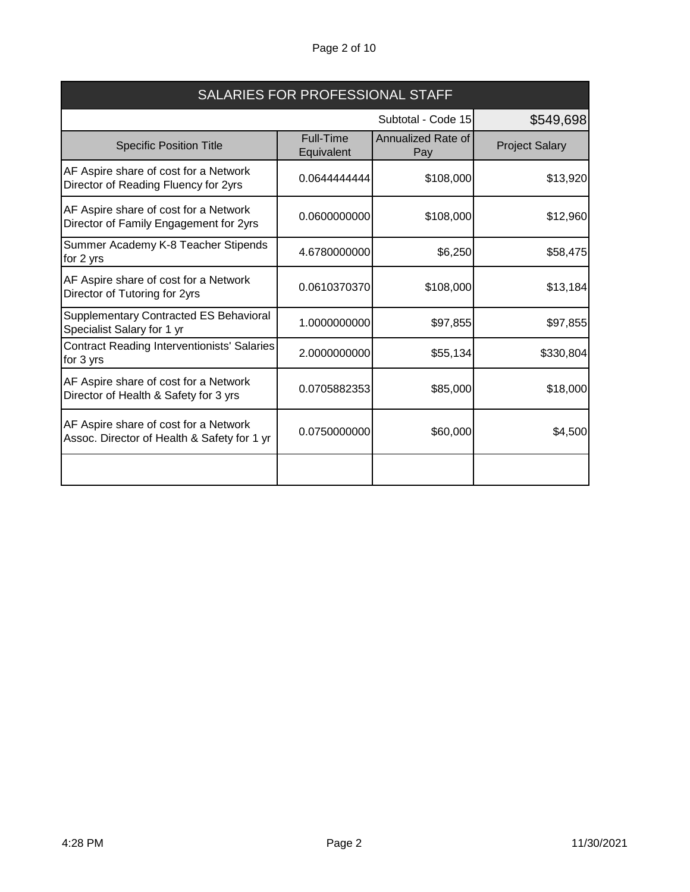# Page 2 of 10

| SALARIES FOR PROFESSIONAL STAFF                                                      |                                 |                           |                       |
|--------------------------------------------------------------------------------------|---------------------------------|---------------------------|-----------------------|
|                                                                                      | Subtotal - Code 15<br>\$549,698 |                           |                       |
| <b>Specific Position Title</b>                                                       | <b>Full-Time</b><br>Equivalent  | Annualized Rate of<br>Pay | <b>Project Salary</b> |
| AF Aspire share of cost for a Network<br>Director of Reading Fluency for 2yrs        | 0.0644444444                    | \$108,000                 | \$13,920              |
| AF Aspire share of cost for a Network<br>Director of Family Engagement for 2yrs      | 0.0600000000                    | \$108,000                 | \$12,960              |
| Summer Academy K-8 Teacher Stipends<br>for 2 yrs                                     | 4.6780000000                    | \$6,250                   | \$58,475              |
| AF Aspire share of cost for a Network<br>Director of Tutoring for 2yrs               | 0.0610370370                    | \$108,000                 | \$13,184              |
| Supplementary Contracted ES Behavioral<br>Specialist Salary for 1 yr                 | 1.0000000000                    | \$97,855                  | \$97,855              |
| <b>Contract Reading Interventionists' Salaries</b><br>for 3 yrs                      | 2.0000000000                    | \$55,134                  | \$330,804             |
| AF Aspire share of cost for a Network<br>Director of Health & Safety for 3 yrs       | 0.0705882353                    | \$85,000                  | \$18,000              |
| AF Aspire share of cost for a Network<br>Assoc. Director of Health & Safety for 1 yr | 0.0750000000                    | \$60,000                  | \$4,500               |
|                                                                                      |                                 |                           |                       |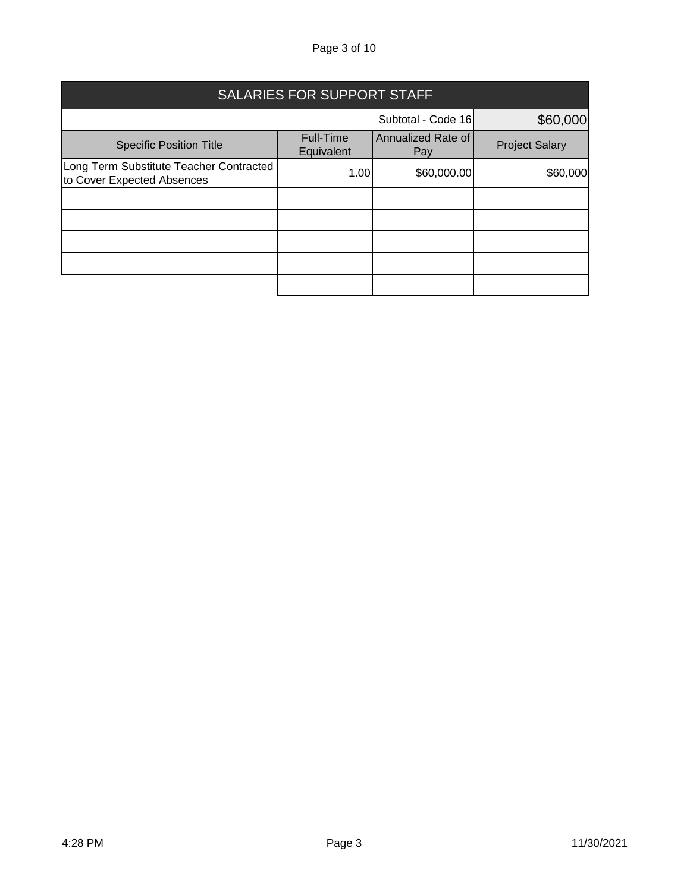# Page 3 of 10

| <b>SALARIES FOR SUPPORT STAFF</b>                                     |                                |                           |                       |  |
|-----------------------------------------------------------------------|--------------------------------|---------------------------|-----------------------|--|
| Subtotal - Code 16<br>\$60,000                                        |                                |                           |                       |  |
| <b>Specific Position Title</b>                                        | <b>Full-Time</b><br>Equivalent | Annualized Rate of<br>Pay | <b>Project Salary</b> |  |
| Long Term Substitute Teacher Contracted<br>to Cover Expected Absences | 1.00                           | \$60,000.00               | \$60,000              |  |
|                                                                       |                                |                           |                       |  |
|                                                                       |                                |                           |                       |  |
|                                                                       |                                |                           |                       |  |
|                                                                       |                                |                           |                       |  |
|                                                                       |                                |                           |                       |  |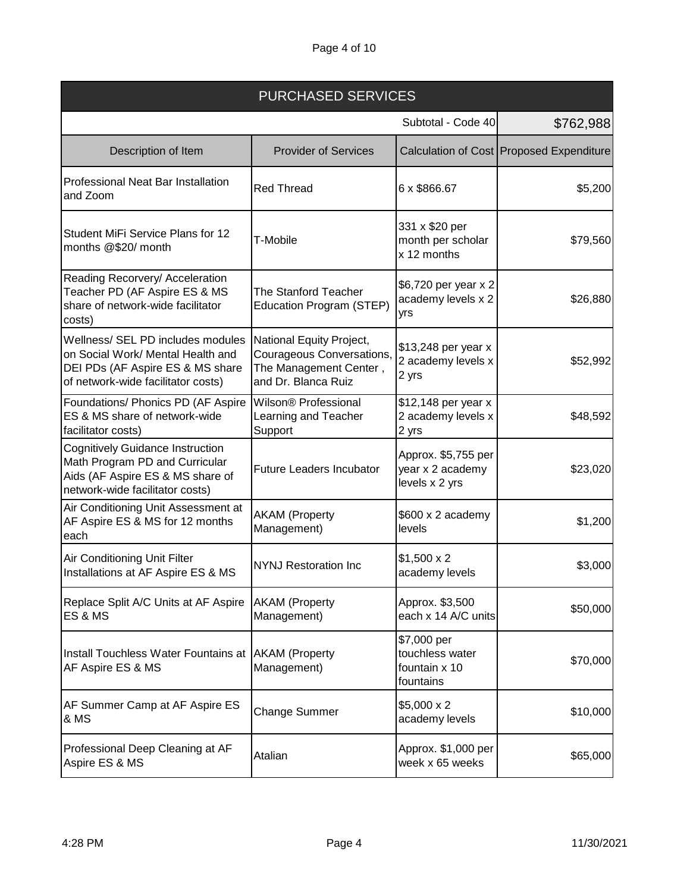| <b>PURCHASED SERVICES</b>                                                                                                                        |                                                                                                        |                                                              |                                            |
|--------------------------------------------------------------------------------------------------------------------------------------------------|--------------------------------------------------------------------------------------------------------|--------------------------------------------------------------|--------------------------------------------|
|                                                                                                                                                  |                                                                                                        | Subtotal - Code 40                                           | \$762,988                                  |
| Description of Item                                                                                                                              | <b>Provider of Services</b>                                                                            |                                                              | Calculation of Cost   Proposed Expenditure |
| <b>Professional Neat Bar Installation</b><br>and Zoom                                                                                            | <b>Red Thread</b>                                                                                      | 6 x \$866.67                                                 | \$5,200                                    |
| Student MiFi Service Plans for 12<br>months @\$20/ month                                                                                         | T-Mobile                                                                                               | 331 x \$20 per<br>month per scholar<br>x 12 months           | \$79,560                                   |
| Reading Recorvery/ Acceleration<br>Teacher PD (AF Aspire ES & MS<br>share of network-wide facilitator<br>costs)                                  | <b>The Stanford Teacher</b><br>Education Program (STEP)                                                | \$6,720 per year x 2<br>academy levels x 2<br>yrs            | \$26,880                                   |
| Wellness/ SEL PD includes modules<br>on Social Work/ Mental Health and<br>DEI PDs (AF Aspire ES & MS share<br>of network-wide facilitator costs) | National Equity Project,<br>Courageous Conversations,<br>The Management Center,<br>and Dr. Blanca Ruiz | \$13,248 per year x<br>2 academy levels x<br>2 yrs           | \$52,992                                   |
| Foundations/ Phonics PD (AF Aspire<br>ES & MS share of network-wide<br>facilitator costs)                                                        | Wilson® Professional<br>Learning and Teacher<br>Support                                                | \$12,148 per year x<br>2 academy levels x<br>2 yrs           | \$48,592                                   |
| Cognitively Guidance Instruction<br>Math Program PD and Curricular<br>Aids (AF Aspire ES & MS share of<br>network-wide facilitator costs)        | <b>Future Leaders Incubator</b>                                                                        | Approx. \$5,755 per<br>year x 2 academy<br>levels x 2 yrs    | \$23,020                                   |
| Air Conditioning Unit Assessment at<br>AF Aspire ES & MS for 12 months<br>each                                                                   | <b>AKAM</b> (Property<br>Management)                                                                   | \$600 x 2 academy<br>levels                                  | \$1,200                                    |
| Air Conditioning Unit Filter<br>Installations at AF Aspire ES & MS                                                                               | <b>NYNJ Restoration Inc</b>                                                                            | $$1,500 \times 2$<br>academy levels                          | \$3,000                                    |
| Replace Split A/C Units at AF Aspire<br>ES & MS                                                                                                  | <b>AKAM</b> (Property<br>Management)                                                                   | Approx. \$3,500<br>each x 14 A/C units                       | \$50,000                                   |
| Install Touchless Water Fountains at  AKAM (Property<br>AF Aspire ES & MS                                                                        | Management)                                                                                            | \$7,000 per<br>touchless water<br>fountain x 10<br>fountains | \$70,000                                   |
| AF Summer Camp at AF Aspire ES<br>& MS                                                                                                           | <b>Change Summer</b>                                                                                   | $$5,000 \times 2$<br>academy levels                          | \$10,000                                   |
| Professional Deep Cleaning at AF<br>Aspire ES & MS                                                                                               | Atalian                                                                                                | Approx. \$1,000 per<br>week x 65 weeks                       | \$65,000                                   |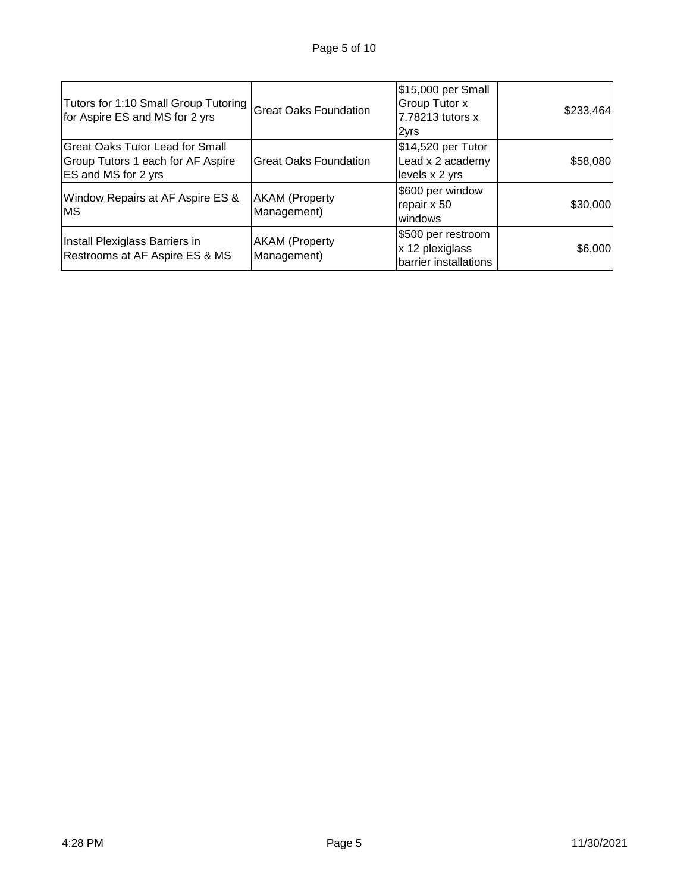| Tutors for 1:10 Small Group Tutoring<br>for Aspire ES and MS for 2 yrs                             | <b>Great Oaks Foundation</b>         | \$15,000 per Small<br>Group Tutor x<br>7.78213 tutors x<br>2yrs | \$233,464 |
|----------------------------------------------------------------------------------------------------|--------------------------------------|-----------------------------------------------------------------|-----------|
| <b>Great Oaks Tutor Lead for Small</b><br>Group Tutors 1 each for AF Aspire<br>ES and MS for 2 yrs | <b>Great Oaks Foundation</b>         | \$14,520 per Tutor<br>Lead x 2 academy<br>levels x 2 yrs        | \$58,080  |
| Window Repairs at AF Aspire ES &<br><b>MS</b>                                                      | <b>AKAM</b> (Property<br>Management) | \$600 per window<br>repair x 50<br>windows                      | \$30,000  |
| Install Plexiglass Barriers in<br>Restrooms at AF Aspire ES & MS                                   | <b>AKAM</b> (Property<br>Management) | \$500 per restroom<br>x 12 plexiglass<br>barrier installations  | \$6,000   |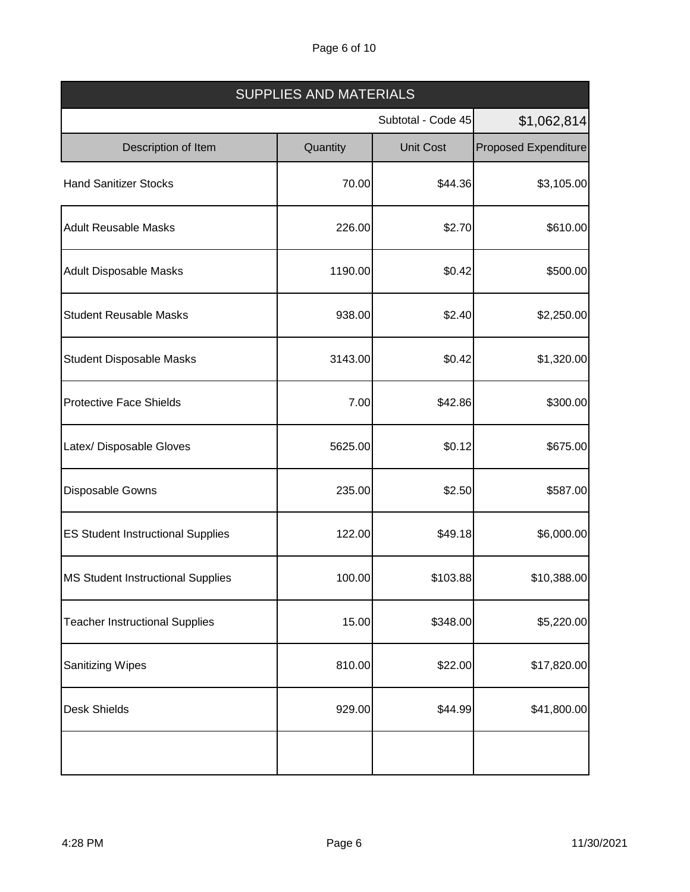# Page 6 of 10

| <b>SUPPLIES AND MATERIALS</b>            |          |                    |                             |  |
|------------------------------------------|----------|--------------------|-----------------------------|--|
|                                          |          | Subtotal - Code 45 |                             |  |
| Description of Item                      | Quantity | <b>Unit Cost</b>   | <b>Proposed Expenditure</b> |  |
| <b>Hand Sanitizer Stocks</b>             | 70.00    | \$44.36            | \$3,105.00                  |  |
| <b>Adult Reusable Masks</b>              | 226.00   | \$2.70             | \$610.00                    |  |
| <b>Adult Disposable Masks</b>            | 1190.00  | \$0.42             | \$500.00                    |  |
| <b>Student Reusable Masks</b>            | 938.00   | \$2.40             | \$2,250.00                  |  |
| <b>Student Disposable Masks</b>          | 3143.00  | \$0.42             | \$1,320.00                  |  |
| <b>Protective Face Shields</b>           | 7.00     | \$42.86            | \$300.00                    |  |
| Latex/ Disposable Gloves                 | 5625.00  | \$0.12             | \$675.00                    |  |
| Disposable Gowns                         | 235.00   | \$2.50             | \$587.00                    |  |
| <b>ES Student Instructional Supplies</b> | 122.00   | \$49.18            | \$6,000.00                  |  |
| <b>MS Student Instructional Supplies</b> | 100.00   | \$103.88           | \$10,388.00                 |  |
| <b>Teacher Instructional Supplies</b>    | 15.00    | \$348.00           | \$5,220.00                  |  |
| <b>Sanitizing Wipes</b>                  | 810.00   | \$22.00            | \$17,820.00                 |  |
| <b>Desk Shields</b>                      | 929.00   | \$44.99            | \$41,800.00                 |  |
|                                          |          |                    |                             |  |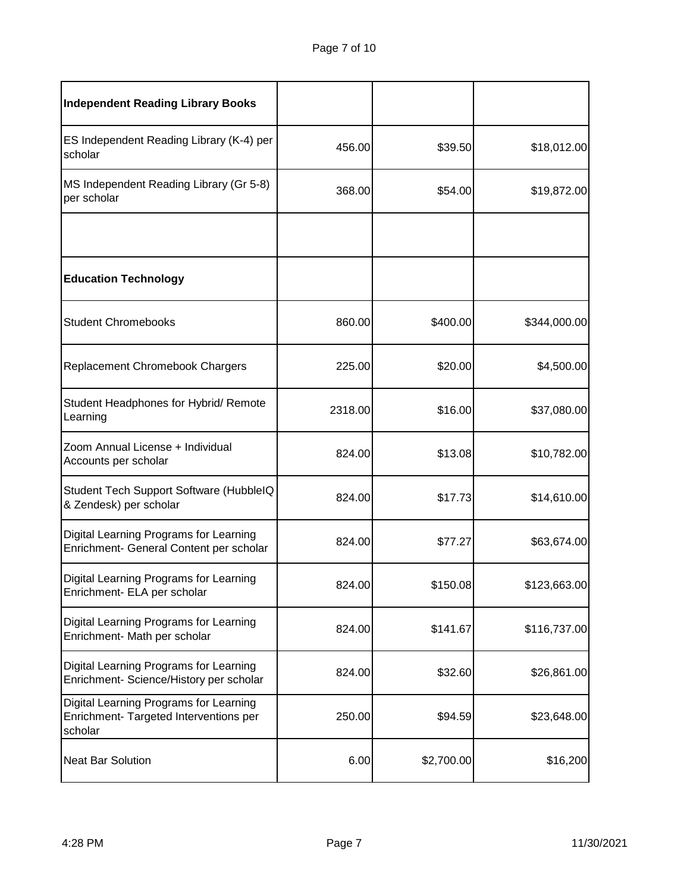| <b>Independent Reading Library Books</b>                                                    |         |            |              |
|---------------------------------------------------------------------------------------------|---------|------------|--------------|
| ES Independent Reading Library (K-4) per<br>scholar                                         | 456.00  | \$39.50    | \$18,012.00  |
| MS Independent Reading Library (Gr 5-8)<br>per scholar                                      | 368.00  | \$54.00    | \$19,872.00  |
|                                                                                             |         |            |              |
| <b>Education Technology</b>                                                                 |         |            |              |
| <b>Student Chromebooks</b>                                                                  | 860.00  | \$400.00   | \$344,000.00 |
| Replacement Chromebook Chargers                                                             | 225.00  | \$20.00    | \$4,500.00   |
| Student Headphones for Hybrid/ Remote<br>Learning                                           | 2318.00 | \$16.00    | \$37,080.00  |
| Zoom Annual License + Individual<br>Accounts per scholar                                    | 824.00  | \$13.08    | \$10,782.00  |
| Student Tech Support Software (HubbleIQ<br>& Zendesk) per scholar                           | 824.00  | \$17.73    | \$14,610.00  |
| Digital Learning Programs for Learning<br>Enrichment- General Content per scholar           | 824.00  | \$77.27    | \$63,674.00  |
| Digital Learning Programs for Learning<br>Enrichment- ELA per scholar                       | 824.00  | \$150.08   | \$123,663.00 |
| Digital Learning Programs for Learning<br>Enrichment- Math per scholar                      | 824.00  | \$141.67   | \$116,737.00 |
| Digital Learning Programs for Learning<br>Enrichment- Science/History per scholar           | 824.00  | \$32.60    | \$26,861.00  |
| Digital Learning Programs for Learning<br>Enrichment- Targeted Interventions per<br>scholar | 250.00  | \$94.59    | \$23,648.00  |
| <b>Neat Bar Solution</b>                                                                    | 6.00    | \$2,700.00 | \$16,200     |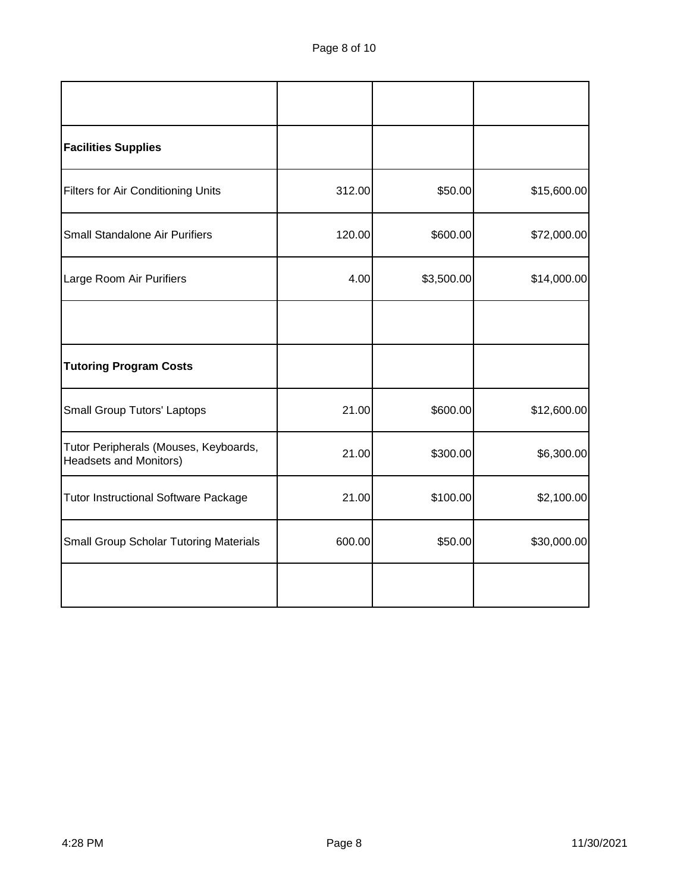| <b>Facilities Supplies</b>                                             |        |            |             |
|------------------------------------------------------------------------|--------|------------|-------------|
| <b>Filters for Air Conditioning Units</b>                              | 312.00 | \$50.00    | \$15,600.00 |
| Small Standalone Air Purifiers                                         | 120.00 | \$600.00   | \$72,000.00 |
| Large Room Air Purifiers                                               | 4.00   | \$3,500.00 | \$14,000.00 |
|                                                                        |        |            |             |
| <b>Tutoring Program Costs</b>                                          |        |            |             |
| <b>Small Group Tutors' Laptops</b>                                     | 21.00  | \$600.00   | \$12,600.00 |
| Tutor Peripherals (Mouses, Keyboards,<br><b>Headsets and Monitors)</b> | 21.00  | \$300.00   | \$6,300.00  |
| <b>Tutor Instructional Software Package</b>                            | 21.00  | \$100.00   | \$2,100.00  |
| <b>Small Group Scholar Tutoring Materials</b>                          | 600.00 | \$50.00    | \$30,000.00 |
|                                                                        |        |            |             |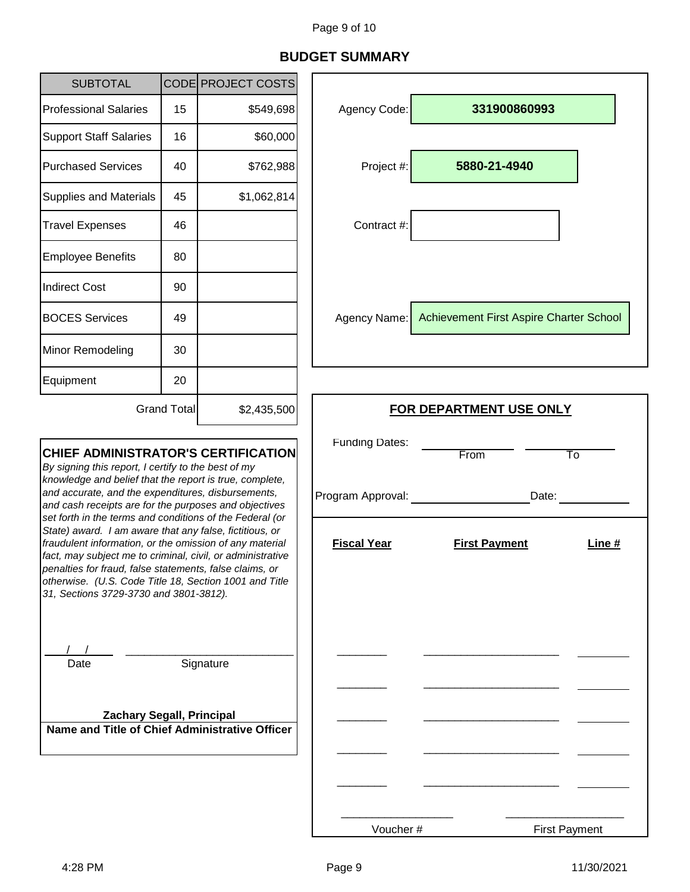# **BUDGET SUMMARY**

| <b>SUBTOTAL</b>                                                                                                                                                                                                                                                                                                                                                                                             |    | CODE PROJECT COSTS      |                                            |                                         |
|-------------------------------------------------------------------------------------------------------------------------------------------------------------------------------------------------------------------------------------------------------------------------------------------------------------------------------------------------------------------------------------------------------------|----|-------------------------|--------------------------------------------|-----------------------------------------|
| <b>Professional Salaries</b>                                                                                                                                                                                                                                                                                                                                                                                | 15 | \$549,698               | Agency Code:                               | 331900860993                            |
| <b>Support Staff Salaries</b>                                                                                                                                                                                                                                                                                                                                                                               | 16 | \$60,000                |                                            |                                         |
| <b>Purchased Services</b>                                                                                                                                                                                                                                                                                                                                                                                   | 40 | \$762,988               | Project #:                                 | 5880-21-4940                            |
| <b>Supplies and Materials</b>                                                                                                                                                                                                                                                                                                                                                                               | 45 | \$1,062,814             |                                            |                                         |
| <b>Travel Expenses</b>                                                                                                                                                                                                                                                                                                                                                                                      | 46 |                         | Contract #:                                |                                         |
| <b>Employee Benefits</b>                                                                                                                                                                                                                                                                                                                                                                                    | 80 |                         |                                            |                                         |
| <b>Indirect Cost</b>                                                                                                                                                                                                                                                                                                                                                                                        | 90 |                         |                                            |                                         |
| <b>BOCES Services</b>                                                                                                                                                                                                                                                                                                                                                                                       | 49 |                         | Agency Name:                               | Achievement First Aspire Charter School |
| Minor Remodeling                                                                                                                                                                                                                                                                                                                                                                                            | 30 |                         |                                            |                                         |
| Equipment                                                                                                                                                                                                                                                                                                                                                                                                   | 20 |                         |                                            |                                         |
| <b>Grand Total</b><br>\$2,435,500                                                                                                                                                                                                                                                                                                                                                                           |    | FOR DEPARTMENT USE ONLY |                                            |                                         |
| <b>CHIEF ADMINISTRATOR'S CERTIFICATION</b><br>By signing this report, I certify to the best of my<br>knowledge and belief that the report is true, complete,<br>and accurate, and the expenditures, disbursements,<br>and cash receipts are for the purposes and objectives                                                                                                                                 |    |                         | <b>Funding Dates:</b><br>Program Approval: | From<br>To<br>Date:                     |
| set forth in the terms and conditions of the Federal (or<br>State) award. I am aware that any false, fictitious, or<br>fraudulent information, or the omission of any material<br>fact, may subject me to criminal, civil, or administrative<br>penalties for fraud, false statements, false claims, or<br>otherwise. (U.S. Code Title 18, Section 1001 and Title<br>31, Sections 3729-3730 and 3801-3812). |    | <b>Fiscal Year</b>      | <b>First Payment</b><br>Line $#$           |                                         |
| Date                                                                                                                                                                                                                                                                                                                                                                                                        |    | Signature               |                                            |                                         |
| <b>Zachary Segall, Principal</b><br>Name and Title of Chief Administrative Officer                                                                                                                                                                                                                                                                                                                          |    |                         |                                            |                                         |
|                                                                                                                                                                                                                                                                                                                                                                                                             |    |                         |                                            |                                         |

Voucher #

First Payment